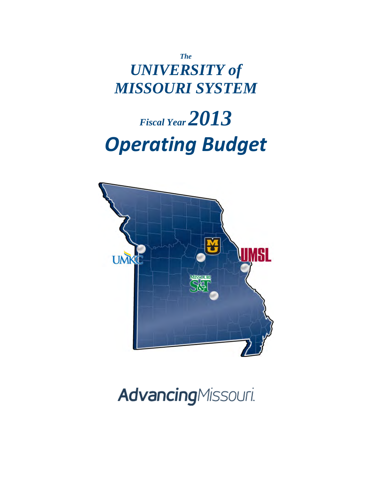*The UNIVERSITY of MISSOURI SYSTEM*

# *Fiscal Year 2013 Operating Budget*



# **Advancing**Missouri.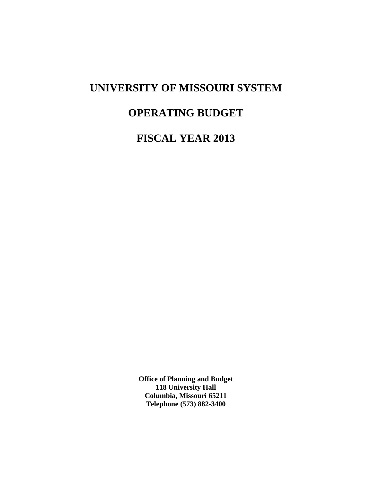## **UNIVERSITY OF MISSOURI SYSTEM**

# **OPERATING BUDGET**

**FISCAL YEAR 2013** 

**Office of Planning and Budget 118 University Hall Columbia, Missouri 65211 Telephone (573) 882-3400**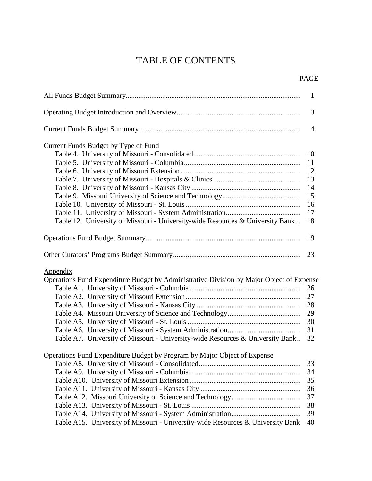## TABLE OF CONTENTS

| <b>PAGE</b> |
|-------------|
|             |

|                                                                                                                                                                                               | $\mathbf{1}$                     |
|-----------------------------------------------------------------------------------------------------------------------------------------------------------------------------------------------|----------------------------------|
|                                                                                                                                                                                               | 3                                |
|                                                                                                                                                                                               | 4                                |
| Current Funds Budget by Type of Fund                                                                                                                                                          |                                  |
|                                                                                                                                                                                               | 10                               |
|                                                                                                                                                                                               | 11                               |
|                                                                                                                                                                                               | -12                              |
|                                                                                                                                                                                               | 13                               |
|                                                                                                                                                                                               | 14                               |
|                                                                                                                                                                                               | 15                               |
|                                                                                                                                                                                               | 16                               |
|                                                                                                                                                                                               | 17                               |
| Table 12. University of Missouri - University-wide Resources & University Bank                                                                                                                | 18                               |
|                                                                                                                                                                                               | 19                               |
|                                                                                                                                                                                               | 23                               |
| <u>Appendix</u><br>Operations Fund Expenditure Budget by Administrative Division by Major Object of Expense<br>Table A7. University of Missouri - University-wide Resources & University Bank | 26<br>27<br>29<br>30<br>31<br>32 |
| Operations Fund Expenditure Budget by Program by Major Object of Expense                                                                                                                      |                                  |
|                                                                                                                                                                                               | 33                               |
|                                                                                                                                                                                               | 34                               |
|                                                                                                                                                                                               | 35                               |
|                                                                                                                                                                                               | 36                               |
|                                                                                                                                                                                               | 37                               |
|                                                                                                                                                                                               | 38                               |
|                                                                                                                                                                                               |                                  |
| Table A15. University of Missouri - University-wide Resources & University Bank                                                                                                               | 39<br>40                         |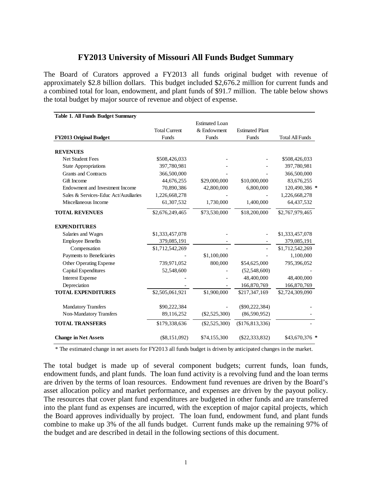## **FY2013 University of Missouri All Funds Budget Summary**

The Board of Curators approved a FY2013 all funds original budget with revenue of approximately \$2.8 billion dollars. This budget included \$2,676.2 million for current funds and a combined total for loan, endowment, and plant funds of \$91.7 million. The table below shows the total budget by major source of revenue and object of expense.

| <b>Table 1. All Funds Budget Summary</b> |                      |                       |                        |                        |
|------------------------------------------|----------------------|-----------------------|------------------------|------------------------|
|                                          |                      | <b>Estimated Loan</b> |                        |                        |
|                                          | <b>Total Current</b> | & Endowment           | <b>Estimated Plant</b> |                        |
| <b>FY2013 Original Budget</b>            | Funds                | Funds                 | Funds                  | <b>Total All Funds</b> |
| <b>REVENUES</b>                          |                      |                       |                        |                        |
| <b>Net Student Fees</b>                  | \$508,426,033        |                       |                        | \$508,426,033          |
| <b>State Appropriations</b>              | 397,780,981          |                       |                        | 397,780,981            |
| <b>Grants and Contracts</b>              | 366,500,000          |                       |                        | 366,500,000            |
| Gift Income                              | 44,676,255           | \$29,000,000          | \$10,000,000           | 83,676,255             |
| Endowment and Investment Income          | 70,890,386           | 42,800,000            | 6,800,000              | 120,490,386 *          |
| Sales & Services-Educ Act/Auxiliaries    | 1,226,668,278        |                       |                        | 1,226,668,278          |
| Miscellaneous Income                     | 61,307,532           | 1,730,000             | 1,400,000              | 64,437,532             |
| <b>TOTAL REVENUES</b>                    | \$2,676,249,465      | \$73,530,000          | \$18,200,000           | \$2,767,979,465        |
| <b>EXPENDITURES</b>                      |                      |                       |                        |                        |
| Salaries and Wages                       | \$1,333,457,078      |                       |                        | \$1,333,457,078        |
| <b>Employee Benefits</b>                 | 379,085,191          |                       |                        | 379,085,191            |
| Compensation                             | \$1,712,542,269      |                       |                        | \$1,712,542,269        |
| Payments to Beneficiaries                |                      | \$1,100,000           |                        | 1,100,000              |
| Other Operating Expense                  | 739,971,052          | 800,000               | \$54,625,000           | 795,396,052            |
| Capital Expenditures                     | 52,548,600           |                       | (52, 548, 600)         |                        |
| <b>Interest Expense</b>                  |                      |                       | 48,400,000             | 48,400,000             |
| Depreciation                             |                      |                       | 166,870,769            | 166,870,769            |
| <b>TOTAL EXPENDITURES</b>                | \$2,505,061,921      | \$1,900,000           | \$217,347,169          | \$2,724,309,090        |
| <b>Mandatory Transfers</b>               | \$90,222,384         |                       | $(\$90,222,384)$       |                        |
| Non-Mandatory Transfers                  | 89,116,252           | $(\$2,525,300)$       | (86,590,952)           |                        |
| <b>TOTAL TRANSFERS</b>                   | \$179,338,636        | $(\$2,525,300)$       | $(\$176,813,336)$      |                        |
| <b>Change in Net Assets</b>              | $(\$8,151,092)$      | \$74,155,300          | $(\$22,333,832)$       | $$43,670,376$ *        |

\* The estimated change in net assets for FY2013 all funds budget is driven by anticipated changes in the market.

The total budget is made up of several component budgets; current funds, loan funds, endowment funds, and plant funds. The loan fund activity is a revolving fund and the loan terms are driven by the terms of loan resources. Endowment fund revenues are driven by the Board's asset allocation policy and market performance, and expenses are driven by the payout policy. The resources that cover plant fund expenditures are budgeted in other funds and are transferred into the plant fund as expenses are incurred, with the exception of major capital projects, which the Board approves individually by project. The loan fund, endowment fund, and plant funds combine to make up 3% of the all funds budget. Current funds make up the remaining 97% of the budget and are described in detail in the following sections of this document.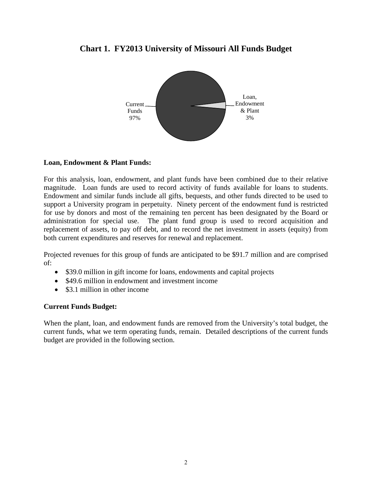

## **Chart 1. FY2013 University of Missouri All Funds Budget**

## **Loan, Endowment & Plant Funds:**

For this analysis, loan, endowment, and plant funds have been combined due to their relative magnitude. Loan funds are used to record activity of funds available for loans to students. Endowment and similar funds include all gifts, bequests, and other funds directed to be used to support a University program in perpetuity. Ninety percent of the endowment fund is restricted for use by donors and most of the remaining ten percent has been designated by the Board or administration for special use. The plant fund group is used to record acquisition and replacement of assets, to pay off debt, and to record the net investment in assets (equity) from both current expenditures and reserves for renewal and replacement.

Projected revenues for this group of funds are anticipated to be \$91.7 million and are comprised of:

- \$39.0 million in gift income for loans, endowments and capital projects
- \$49.6 million in endowment and investment income
- \$3.1 million in other income

## **Current Funds Budget:**

When the plant, loan, and endowment funds are removed from the University's total budget, the current funds, what we term operating funds, remain. Detailed descriptions of the current funds budget are provided in the following section.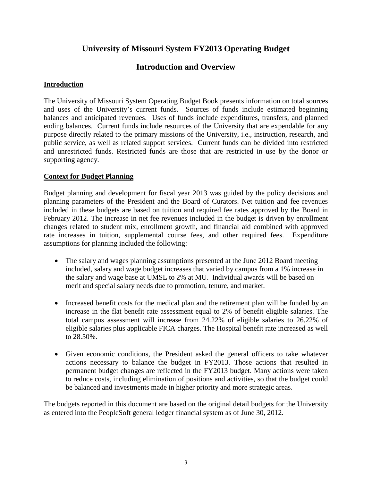## **University of Missouri System FY2013 Operating Budget**

## **Introduction and Overview**

### **Introduction**

The University of Missouri System Operating Budget Book presents information on total sources and uses of the University's current funds. Sources of funds include estimated beginning balances and anticipated revenues. Uses of funds include expenditures, transfers, and planned ending balances. Current funds include resources of the University that are expendable for any purpose directly related to the primary missions of the University, i.e., instruction, research, and public service, as well as related support services. Current funds can be divided into restricted and unrestricted funds. Restricted funds are those that are restricted in use by the donor or supporting agency.

## **Context for Budget Planning**

Budget planning and development for fiscal year 2013 was guided by the policy decisions and planning parameters of the President and the Board of Curators. Net tuition and fee revenues included in these budgets are based on tuition and required fee rates approved by the Board in February 2012. The increase in net fee revenues included in the budget is driven by enrollment changes related to student mix, enrollment growth, and financial aid combined with approved rate increases in tuition, supplemental course fees, and other required fees. Expenditure assumptions for planning included the following:

- The salary and wages planning assumptions presented at the June 2012 Board meeting included, salary and wage budget increases that varied by campus from a 1% increase in the salary and wage base at UMSL to 2% at MU. Individual awards will be based on merit and special salary needs due to promotion, tenure, and market.
- Increased benefit costs for the medical plan and the retirement plan will be funded by an increase in the flat benefit rate assessment equal to 2% of benefit eligible salaries. The total campus assessment will increase from 24.22% of eligible salaries to 26.22% of eligible salaries plus applicable FICA charges. The Hospital benefit rate increased as well to 28.50%.
- Given economic conditions, the President asked the general officers to take whatever actions necessary to balance the budget in FY2013. Those actions that resulted in permanent budget changes are reflected in the FY2013 budget. Many actions were taken to reduce costs, including elimination of positions and activities, so that the budget could be balanced and investments made in higher priority and more strategic areas.

The budgets reported in this document are based on the original detail budgets for the University as entered into the PeopleSoft general ledger financial system as of June 30, 2012.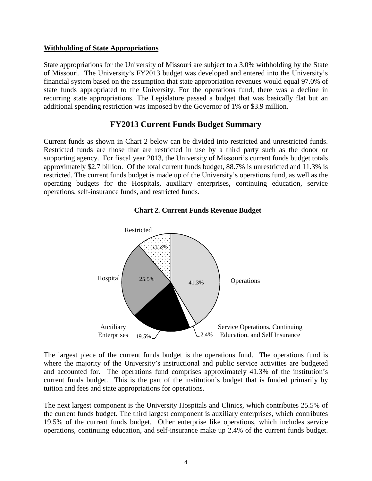### **Withholding of State Appropriations**

State appropriations for the University of Missouri are subject to a 3.0% withholding by the State of Missouri. The University's FY2013 budget was developed and entered into the University's financial system based on the assumption that state appropriation revenues would equal 97.0% of state funds appropriated to the University. For the operations fund, there was a decline in recurring state appropriations. The Legislature passed a budget that was basically flat but an additional spending restriction was imposed by the Governor of 1% or \$3.9 million.

## **FY2013 Current Funds Budget Summary**

Current funds as shown in Chart 2 below can be divided into restricted and unrestricted funds. Restricted funds are those that are restricted in use by a third party such as the donor or supporting agency. For fiscal year 2013, the University of Missouri's current funds budget totals approximately \$2.7 billion. Of the total current funds budget, 88.7% is unrestricted and 11.3% is restricted. The current funds budget is made up of the University's operations fund, as well as the operating budgets for the Hospitals, auxiliary enterprises, continuing education, service operations, self-insurance funds, and restricted funds.





The largest piece of the current funds budget is the operations fund. The operations fund is where the majority of the University's instructional and public service activities are budgeted and accounted for. The operations fund comprises approximately 41.3% of the institution's current funds budget. This is the part of the institution's budget that is funded primarily by tuition and fees and state appropriations for operations.

The next largest component is the University Hospitals and Clinics, which contributes 25.5% of the current funds budget. The third largest component is auxiliary enterprises, which contributes 19.5% of the current funds budget. Other enterprise like operations, which includes service operations, continuing education, and self-insurance make up 2.4% of the current funds budget.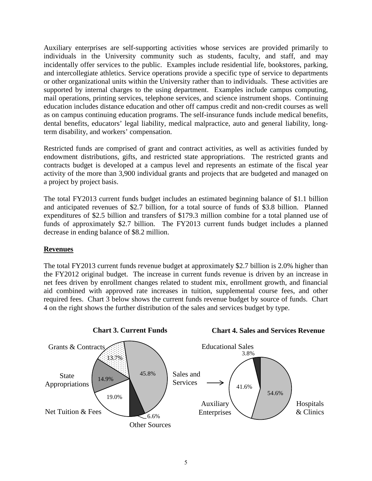Auxiliary enterprises are self-supporting activities whose services are provided primarily to individuals in the University community such as students, faculty, and staff, and may incidentally offer services to the public. Examples include residential life, bookstores, parking, and intercollegiate athletics. Service operations provide a specific type of service to departments or other organizational units within the University rather than to individuals. These activities are supported by internal charges to the using department. Examples include campus computing, mail operations, printing services, telephone services, and science instrument shops. Continuing education includes distance education and other off campus credit and non-credit courses as well as on campus continuing education programs. The self-insurance funds include medical benefits, dental benefits, educators' legal liability, medical malpractice, auto and general liability, longterm disability, and workers' compensation.

Restricted funds are comprised of grant and contract activities, as well as activities funded by endowment distributions, gifts, and restricted state appropriations. The restricted grants and contracts budget is developed at a campus level and represents an estimate of the fiscal year activity of the more than 3,900 individual grants and projects that are budgeted and managed on a project by project basis.

The total FY2013 current funds budget includes an estimated beginning balance of \$1.1 billion and anticipated revenues of \$2.7 billion, for a total source of funds of \$3.8 billion. Planned expenditures of \$2.5 billion and transfers of \$179.3 million combine for a total planned use of funds of approximately \$2.7 billion. The FY2013 current funds budget includes a planned decrease in ending balance of \$8.2 million.

## **Revenues**

The total FY2013 current funds revenue budget at approximately \$2.7 billion is 2.0% higher than the FY2012 original budget. The increase in current funds revenue is driven by an increase in net fees driven by enrollment changes related to student mix, enrollment growth, and financial aid combined with approved rate increases in tuition, supplemental course fees, and other required fees. Chart 3 below shows the current funds revenue budget by source of funds. Chart 4 on the right shows the further distribution of the sales and services budget by type.

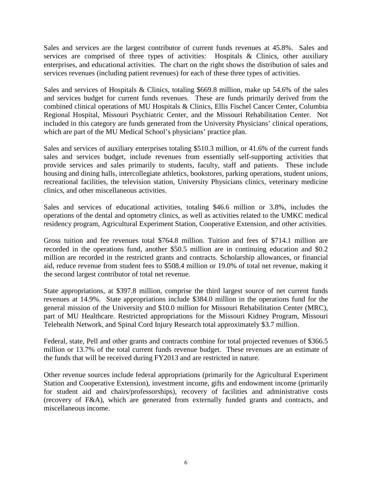Sales and services are the largest contributor of current funds revenues at 45.8%. Sales and services are comprised of three types of activities: Hospitals & Clinics, other auxiliary enterprises, and educational activities. The chart on the right shows the distribution of sales and services revenues (including patient revenues) for each of these three types of activities.

Sales and services of Hospitals & Clinics, totaling \$669.8 million, make up 54.6% of the sales and services budget for current funds revenues. These are funds primarily derived from the combined clinical operations of MU Hospitals & Clinics, Ellis Fischel Cancer Center, Columbia Regional Hospital, Missouri Psychiatric Center, and the Missouri Rehabilitation Center. Not included in this category are funds generated from the University Physicians' clinical operations, which are part of the MU Medical School's physicians' practice plan.

Sales and services of auxiliary enterprises totaling \$510.3 million, or 41.6% of the current funds sales and services budget, include revenues from essentially self-supporting activities that provide services and sales primarily to students, faculty, staff and patients. These include housing and dining halls, intercollegiate athletics, bookstores, parking operations, student unions, recreational facilities, the television station, University Physicians clinics, veterinary medicine clinics, and other miscellaneous activities.

Sales and services of educational activities, totaling \$46.6 million or 3.8%, includes the operations of the dental and optometry clinics, as well as activities related to the UMKC medical residency program, Agricultural Experiment Station, Cooperative Extension, and other activities.

Gross tuition and fee revenues total \$764.8 million. Tuition and fees of \$714.1 million are recorded in the operations fund, another \$50.5 million are in continuing education and \$0.2 million are recorded in the restricted grants and contracts. Scholarship allowances, or financial aid, reduce revenue from student fees to \$508.4 million or 19.0% of total net revenue, making it the second largest contributor of total net revenue.

State appropriations, at \$397.8 million, comprise the third largest source of net current funds revenues at 14.9%. State appropriations include \$384.0 million in the operations fund for the general mission of the University and \$10.0 million for Missouri Rehabilitation Center (MRC), part of MU Healthcare. Restricted appropriations for the Missouri Kidney Program, Missouri Telehealth Network, and Spinal Cord Injury Research total approximately \$3.7 million.

Federal, state, Pell and other grants and contracts combine for total projected revenues of \$366.5 million or 13.7% of the total current funds revenue budget. These revenues are an estimate of the funds that will be received during FY2013 and are restricted in nature.

Other revenue sources include federal appropriations (primarily for the Agricultural Experiment Station and Cooperative Extension), investment income, gifts and endowment income (primarily for student aid and chairs/professorships), recovery of facilities and administrative costs (recovery of F&A), which are generated from externally funded grants and contracts, and miscellaneous income.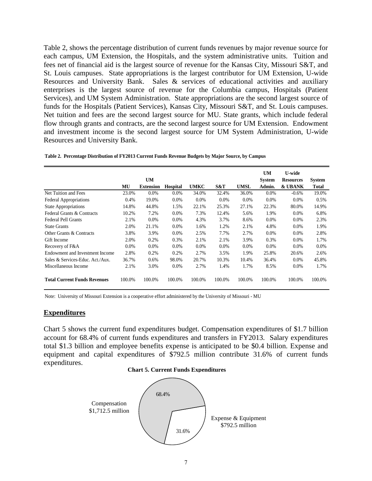Table 2, shows the percentage distribution of current funds revenues by major revenue source for each campus, UM Extension, the Hospitals, and the system administrative units. Tuition and fees net of financial aid is the largest source of revenue for the Kansas City, Missouri S&T, and St. Louis campuses. State appropriations is the largest contributor for UM Extension, U-wide Resources and University Bank. Sales & services of educational activities and auxiliary enterprises is the largest source of revenue for the Columbia campus, Hospitals (Patient Services), and UM System Administration. State appropriations are the second largest source of funds for the Hospitals (Patient Services), Kansas City, Missouri S&T, and St. Louis campuses. Net tuition and fees are the second largest source for MU. State grants, which include federal flow through grants and contracts, are the second largest source for UM Extension. Endowment and investment income is the second largest source for UM System Administration, U-wide Resources and University Bank.

|  | Table 2. Percentage Distribution of FY2013 Current Funds Revenue Budgets by Major Source, by Campus |  |  |  |  |  |
|--|-----------------------------------------------------------------------------------------------------|--|--|--|--|--|
|  |                                                                                                     |  |  |  |  |  |

|                                     |        | <b>UM</b>        |                 |         |         |        | <b>UM</b><br><b>System</b> | <b>U-wide</b><br><b>Resources</b> | System       |
|-------------------------------------|--------|------------------|-----------------|---------|---------|--------|----------------------------|-----------------------------------|--------------|
|                                     | MU     | <b>Extension</b> | <b>Hospital</b> | UMKC    | S&T     | UMSL   | Admin.                     | & UBANK                           | <b>Total</b> |
| Net Tuition and Fees                | 23.0%  | $0.0\%$          | 0.0%            | 34.0%   | 32.4%   | 36.0%  | $0.0\%$                    | $-0.6%$                           | 19.0%        |
| Federal Appropriations              | 0.4%   | 19.0%            | 0.0%            | $0.0\%$ | $0.0\%$ | 0.0%   | $0.0\%$                    | 0.0%                              | 0.5%         |
| <b>State Appropriations</b>         | 14.8%  | 44.8%            | 1.5%            | 22.1%   | 25.3%   | 27.1%  | 22.3%                      | 80.0%                             | 14.9%        |
| Federal Grants & Contracts          | 10.2%  | 7.2%             | 0.0%            | 7.3%    | 12.4%   | 5.6%   | 1.9%                       | 0.0%                              | 6.8%         |
| <b>Federal Pell Grants</b>          | 2.1%   | 0.0%             | 0.0%            | 4.3%    | 3.7%    | 8.6%   | $0.0\%$                    | 0.0%                              | 2.3%         |
| <b>State Grants</b>                 | 2.0%   | 21.1%            | 0.0%            | 1.6%    | 1.2%    | 2.1%   | 4.8%                       | 0.0%                              | 1.9%         |
| Other Grants & Contracts            | 3.8%   | 3.9%             | 0.0%            | 2.5%    | 7.7%    | 2.7%   | $0.0\%$                    | 0.0%                              | 2.8%         |
| Gift Income                         | 2.0%   | 0.2%             | 0.3%            | 2.1%    | 2.1%    | 3.9%   | 0.3%                       | 0.0%                              | 1.7%         |
| Recovery of F&A                     | 0.0%   | $0.0\%$          | 0.0%            | $0.0\%$ | 0.0%    | 0.0%   | $0.0\%$                    | 0.0%                              | $0.0\%$      |
| Endowment and Investment Income     | 2.8%   | 0.2%             | 0.2%            | 2.7%    | 3.5%    | 1.9%   | 25.8%                      | 20.6%                             | 2.6%         |
| Sales & Services-Educ. Act./Aux.    | 36.7%  | $0.6\%$          | 98.0%           | 20.7%   | 10.3%   | 10.4%  | 36.4%                      | 0.0%                              | 45.8%        |
| Miscellaneous Income                | 2.1%   | 3.0%             | 0.0%            | 2.7%    | 1.4%    | 1.7%   | 8.5%                       | 0.0%                              | 1.7%         |
| <b>Total Current Funds Revenues</b> | 100.0% | 100.0%           | 100.0%          | 100.0%  | 100.0%  | 100.0% | 100.0%                     | 100.0%                            | 100.0%       |

Note: University of Missouri Extension is a cooperative effort administered by the University of Missouri - MU

#### **Expenditures**

Chart 5 shows the current fund expenditures budget. Compensation expenditures of \$1.7 billion account for 68.4% of current funds expenditures and transfers in FY2013. Salary expenditures total \$1.3 billion and employee benefits expense is anticipated to be \$0.4 billion. Expense and equipment and capital expenditures of \$792.5 million contribute 31.6% of current funds expenditures.



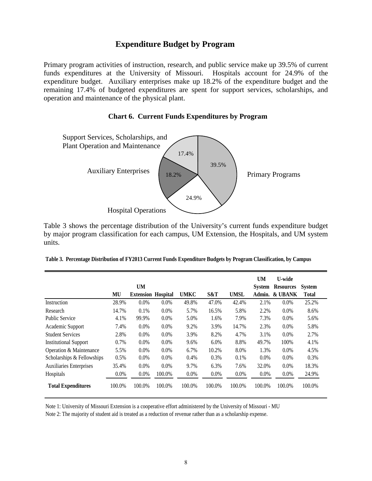## **Expenditure Budget by Program**

Primary program activities of instruction, research, and public service make up 39.5% of current funds expenditures at the University of Missouri. Hospitals account for 24.9% of the expenditure budget. Auxiliary enterprises make up 18.2% of the expenditure budget and the remaining 17.4% of budgeted expenditures are spent for support services, scholarships, and operation and maintenance of the physical plant.

#### **Chart 6. Current Funds Expenditures by Program**



Table 3 shows the percentage distribution of the University's current funds expenditure budget by major program classification for each campus, UM Extension, the Hospitals, and UM system units.

| Table 3. Percentage Distribution of FY2013 Current Funds Expenditure Budgets by Program Classification, by Campus |  |  |  |  |
|-------------------------------------------------------------------------------------------------------------------|--|--|--|--|
|                                                                                                                   |  |  |  |  |

|                              |         | <b>UM</b>        |                 |             |         |             | <b>UM</b><br><b>System</b> | U-wide<br><b>Resources</b> | <b>System</b> |
|------------------------------|---------|------------------|-----------------|-------------|---------|-------------|----------------------------|----------------------------|---------------|
|                              | MU      | <b>Extension</b> | <b>Hospital</b> | <b>UMKC</b> | S&T     | <b>UMSL</b> | Admin.                     | <b>&amp; UBANK</b>         | Total         |
| Instruction                  | 28.9%   | 0.0%             | 0.0%            | 49.8%       | 47.0%   | 42.4%       | 2.1%                       | 0.0%                       | 25.2%         |
| Research                     | 14.7%   | 0.1%             | 0.0%            | 5.7%        | 16.5%   | 5.8%        | 2.2%                       | 0.0%                       | 8.6%          |
| <b>Public Service</b>        | 4.1%    | 99.9%            | 0.0%            | 5.0%        | 1.6%    | 7.9%        | 7.3%                       | $0.0\%$                    | 5.6%          |
| Academic Support             | 7.4%    | $0.0\%$          | 0.0%            | 9.2%        | 3.9%    | 14.7%       | 2.3%                       | 0.0%                       | 5.8%          |
| <b>Student Services</b>      | 2.8%    | $0.0\%$          | 0.0%            | 3.9%        | 8.2%    | 4.7%        | 3.1%                       | 0.0%                       | 2.7%          |
| <b>Institutional Support</b> | 0.7%    | 0.0%             | 0.0%            | 9.6%        | 6.0%    | 8.8%        | 49.7%                      | 100%                       | 4.1%          |
| Operation & Maintenance      | 5.5%    | $0.0\%$          | 0.0%            | 6.7%        | 10.2%   | 8.0%        | 1.3%                       | $0.0\%$                    | 4.5%          |
| Scholarships & Fellowships   | 0.5%    | $0.0\%$          | 0.0%            | 0.4%        | 0.3%    | 0.1%        | 0.0%                       | $0.0\%$                    | 0.3%          |
| Auxiliaries Enterprises      | 35.4%   | 0.0%             | 0.0%            | 9.7%        | 6.3%    | 7.6%        | 32.0%                      | 0.0%                       | 18.3%         |
| Hospitals                    | $0.0\%$ | $0.0\%$          | 100.0%          | $0.0\%$     | $0.0\%$ | $0.0\%$     | 0.0%                       | 0.0%                       | 24.9%         |
| <b>Total Expenditures</b>    | 100.0%  | 100.0%           | 100.0%          | 100.0%      | 100.0%  | 100.0%      | 100.0%                     | 100.0%                     | 100.0%        |

Note 1: University of Missouri Extension is a cooperative effort administered by the University of Missouri - MU

Note 2: The majority of student aid is treated as a reduction of revenue rather than as a scholarship expense.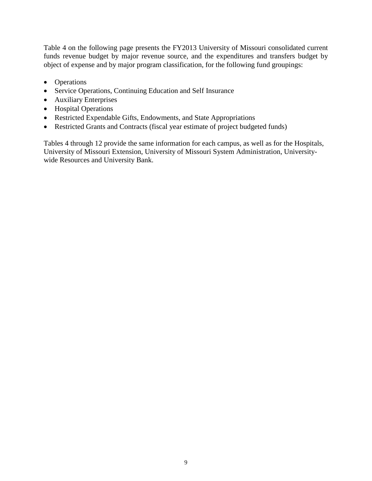Table 4 on the following page presents the FY2013 University of Missouri consolidated current funds revenue budget by major revenue source, and the expenditures and transfers budget by object of expense and by major program classification, for the following fund groupings:

- Operations
- Service Operations, Continuing Education and Self Insurance
- Auxiliary Enterprises
- Hospital Operations
- Restricted Expendable Gifts, Endowments, and State Appropriations
- Restricted Grants and Contracts (fiscal year estimate of project budgeted funds)

Tables 4 through 12 provide the same information for each campus, as well as for the Hospitals, University of Missouri Extension, University of Missouri System Administration, Universitywide Resources and University Bank.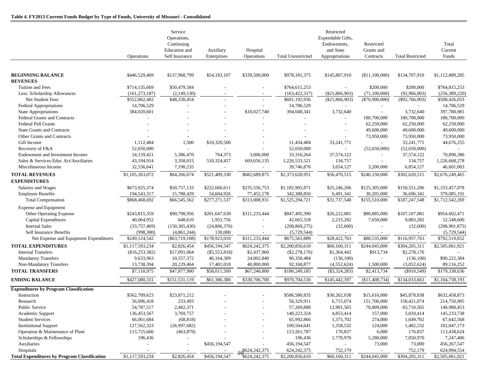|                                                     |                   | Service<br>Operations,<br>Continuing<br>Education and | Auxiliary       | Hospital                 |                           | Restricted<br>Expendable Gifts,<br>Endowments,<br>and State | Restricted<br>Grants and |                         | Total<br>Current |
|-----------------------------------------------------|-------------------|-------------------------------------------------------|-----------------|--------------------------|---------------------------|-------------------------------------------------------------|--------------------------|-------------------------|------------------|
|                                                     | <b>Operations</b> | Self Insurance                                        | Enterprises     | Operations               | <b>Total Unrestricted</b> | Appropriations                                              | Contracts                | <b>Total Restricted</b> | Funds            |
|                                                     |                   |                                                       |                 |                          |                           |                                                             |                          |                         |                  |
| <b>BEGINNING BALANCE</b><br><b>REVENUES</b>         | \$446,529,469     | \$137,968,799                                         | \$54,183,107    | \$339,500,000            | \$978,181,375             | \$145,807,910                                               | (\$11,100,000)           | \$134,707,910           | \$1,112,889,285  |
| Tuition and Fees                                    | \$714,135,669     | \$50,479,584                                          |                 |                          | \$764,615,253             |                                                             | \$200,000                | \$200,000               | \$764,815,253    |
| Less: Scholarship Allowances                        | (161, 273, 187)   | (2,149,130)                                           |                 |                          | (163, 422, 317)           | $(\$21,866,903)$                                            | (71,100,000)             | (92,966,903)            | (256, 389, 220)  |
| Net Student Fees                                    | \$552,862,482     | \$48,330,454                                          |                 |                          | \$601,192,936             | (\$21,866,903)                                              | $(\$70,900,000)$         | $(\$92,766,903)$        | \$508,426,033    |
| <b>Federal Appropriations</b>                       | 14,706,529        |                                                       |                 |                          | 14,706,529                |                                                             |                          |                         | 14,706,529       |
| <b>State Appropriations</b>                         | 384,020,601       |                                                       |                 | \$10,027,740             | 394,048,341               | 3,732,640                                                   | $\sim$                   | 3,732,640               | 397,780,981      |
| <b>Federal Grants and Contracts</b>                 |                   |                                                       |                 |                          |                           | $\blacksquare$                                              | 180,700,000              | 180,700,000             | 180,700,000      |
| <b>Federal Pell Grants</b>                          |                   |                                                       |                 |                          |                           | $\overline{\phantom{a}}$                                    | 62,250,000               | 62,250,000              | 62,250,000       |
| <b>State Grants and Contracts</b>                   |                   |                                                       |                 |                          |                           |                                                             | 49,600,000               | 49,600,000              | 49,600,000       |
| Other Grants and Contracts                          |                   |                                                       |                 |                          |                           | $\overline{\phantom{a}}$                                    | 73,950,000               | 73,950,000              | 73,950,000       |
| Gift Income                                         | 1,112,484         | 1,500                                                 | \$10,320,500    |                          | 11,434,484                | 33,241,771                                                  | $\sim$                   | 33, 241, 771            | 44,676,255       |
| Recovery of F&A                                     | 52,650,000        | $\sim$                                                |                 |                          | 52,650,000                | $\overline{a}$                                              | (52,650,000)             | (52,650,000)            |                  |
| Endowment and Investment Income                     | 24,159,421        | 5,386,470                                             | 764,373         | 3,006,000                | 33,316,264                | 37,574,122                                                  | $\sim$                   | 37,574,122              | 70,890,386       |
| Sales & Services-Educ Act/Auxiliaries               | 43,194,914        | 3,358,015                                             | 510,324,457     | 669, 656, 135            | 1,226,533,521             | 134,757                                                     | $\overline{\phantom{a}}$ | 134,757                 | 1,226,668,278    |
| Miscellaneous Income                                | 32,556,641        | 7,190,235                                             | $\sim$          | $\overline{\phantom{a}}$ | 39,746,876                | 3,654,127                                                   | 3,200,000                | 6,854,127               | 46,601,003       |
| <b>TOTAL REVENUES</b>                               | \$1,105,263,072   | \$64,266,674                                          | \$521,409,330   | \$682,689,875            | \$2,373,628,951           | \$56,470,515                                                | \$246,150,000            | \$302,620,515           | \$2,676,249,465  |
| <b>EXPENDITURES</b>                                 |                   |                                                       |                 |                          |                           |                                                             |                          |                         |                  |
| Salaries and Wages                                  | \$673,925,374     | \$50,757,133                                          | \$222,666,611   | \$235,556,753            | \$1,182,905,871           | \$25,246,206                                                | \$125,305,000            | \$150,551,206           | \$1,333,457,078  |
| <b>Employee Benefits</b>                            | 194,543,317       | 15,788,429                                            | 54,604,926      | 77,452,178               | 342,388,850               | 6,491,341                                                   | 30,205,000               | 36,696,341              | 379,085,191      |
| <b>Total Compensation</b>                           | \$868,468,692     | \$66,545,562                                          | \$277,271,537   | \$313,008,931            | \$1,525,294,721           | \$31,737,548                                                | \$155,510,000            | \$187,247,548           | \$1,712,542,269  |
| <b>Expense and Equipment</b>                        |                   |                                                       |                 |                          |                           |                                                             |                          |                         |                  |
| Other Operating Expense                             | \$243,815,359     | \$90,798,956                                          | \$201,647,630   | \$311,233,444            | \$847,495,390             | \$26,222,081                                                | \$80,885,000             | \$107,107,081           | \$954,602,471    |
| <b>Capital Expenditures</b>                         | 40,064,952        | 648,610                                               | 1,951,756       |                          | 42,665,318                | 2,233,282                                                   | 7,650,000                | 9,883,282               | 52,548,600       |
| <b>Internal Sales</b>                               | (33,757,469)      | (150, 305, 430)                                       | (24,806,376)    |                          | (208, 869, 275)           | (32,600)                                                    | $\overline{\phantom{a}}$ | (32,600)                | (208, 901, 875)  |
| <b>Self Insurance Benefits</b>                      | (998, 300)        | (4,861,244)                                           | 130,000         |                          | (5,729,544)               |                                                             |                          |                         | (5,729,544)      |
| Net Expense and Equipment Expenditures              | \$249,124,542     | $(\$63,719,108)$                                      | \$178,923,010   | \$311,233,444            | \$675,561,889             | \$28,422,763                                                | \$88,535,000             | \$116,957,763           | \$792,519,652    |
| <b>TOTAL EXPENDITURES</b>                           | \$1,117,593,234   | \$2,826,454                                           | \$456,194,547   | \$624,242,375            | \$2,200,856,610           | \$60,160,311                                                | \$244,045,000            | \$304,205,311           | \$2,505,061,921  |
| <b>Internal Transfers</b>                           | (\$16, 253, 382)  | \$17,091,064                                          | $(\$5,553,818)$ | \$2,437,960              | $(\$2,278,176)$           | \$1,364,442                                                 | \$913,734                | \$2,278,176             |                  |
| <b>Mandatory Transfers</b>                          | 9,633,963         | 10,557,372                                            | 46,164,309      | 24,002,840               | 90,358,484                | (136,100)                                                   | $\sim$                   | (136,100)               | \$90,222,384     |
| Non-Mandatory Transfers                             | 13,738,394        | 20,229,464                                            | 17,401,018      | 40,800,000               | 92,168,877                | (4,552,624)                                                 | 1,500,000                | (3,052,624)             | 89,116,252       |
| <b>TOTAL TRANSFERS</b>                              | \$7,118,975       | \$47,877,900                                          | \$58,011,509    | \$67,240,800             | \$180,249,185             | $(\$3,324,283)$                                             | \$2,413,734              | $(\$910,549)$           | \$179,338,636    |
| <b>ENDING BALANCE</b>                               | \$427,080,331     | \$151,531,119                                         | \$61,386,380    | \$330,706,700            | \$970,704,530             | \$145,442,397                                               | ( \$11,408,734)          | \$134,033,663           | \$1,104,738,193  |
|                                                     |                   |                                                       |                 |                          |                           |                                                             |                          |                         |                  |
| <b>Expenditures by Program Classification</b>       |                   |                                                       |                 |                          |                           |                                                             |                          |                         |                  |
| Instruction                                         | \$562,709,623     | \$23,871,212                                          |                 |                          | \$586,580,835             | \$30,262,038                                                | \$15,616,000             | \$45,878,038            | \$632,458,873    |
| Research                                            | 56,096,418        | 233,493                                               |                 |                          | 56,329,911                | 6,715,074                                                   | 151,706,000              | 158,421,074             | 214,750,985      |
| Public Service                                      | 54,787,517        | 2,482,371                                             |                 |                          | 57,269,888                | 12,901,565                                                  | 70,809,000               | 83,710,565              | 140,980,453      |
| Academic Support                                    | 136,453,567       | 3,769,757                                             |                 |                          | 140,223,324               | 4,853,414                                                   | 157,000                  | 5,010,414               | 145, 233, 738    |
| <b>Student Services</b>                             | 66,061,684        | (68, 818)                                             |                 |                          | 65,992,866                | 1,375,702                                                   | 274,000                  | 1,649,702               | 67,642,568       |
| <b>Institutional Support</b>                        | 127,562,323       | (26,997,682)                                          |                 |                          | 100,564,641               | 1,358,532                                                   | 124,000                  | 1,482,532               | 102,047,173      |
| Operation & Maintenance of Plant                    | 113,725,666       | (463, 879)                                            |                 |                          | 113,261,787               | 170,837                                                     | 6,000                    | 176,837                 | 113,438,624      |
| Scholarships & Fellowships                          | 196,436           |                                                       |                 |                          | 196,436                   | 1,770,970                                                   | 5,280,000                | 7,050,970               | 7,247,406        |
| Auxiliaries                                         |                   | $\overline{\phantom{a}}$                              | \$456,194,547   |                          | 456,194,547               | $\sim$                                                      | 73,000                   | 73,000                  | 456,267,547      |
| Hospitals                                           |                   | $\overline{\phantom{a}}$                              |                 | \$624,242,375            | 624, 242, 375             | 752,179                                                     |                          | 752,179                 | 624,994,554      |
| <b>Total Expenditures by Program Classification</b> | \$1,117,593,234   | \$2,826,454                                           | \$456,194,547   | \$624.242.375            | \$2,200,856,610           | \$60,160,311                                                | \$244,045,000            | \$304,205,311           | \$2,505,061,921  |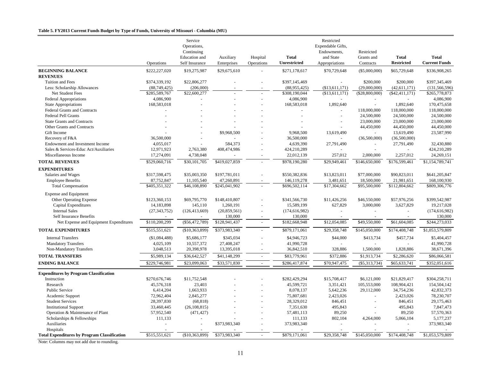#### **Table 5. FY2013 Current Funds Budget by Type of Funds, University of Missouri - Columbia (MU)**

|                                                     |                | Service<br>Operations,<br>Continuing<br>Education and | Auxiliary      | Hospital                 | <b>Total</b>            | Restricted<br>Expendable Gifts,<br>Endowments,<br>and State | Restricted<br>Grants and | <b>Total</b>               | <b>Total</b>             |
|-----------------------------------------------------|----------------|-------------------------------------------------------|----------------|--------------------------|-------------------------|-------------------------------------------------------------|--------------------------|----------------------------|--------------------------|
|                                                     | Operations     | Self Insurance                                        | Enterprises    | Operations               | <b>Unrestricted</b>     | Appropriations                                              | Contracts                | <b>Restricted</b>          | <b>Current Funds</b>     |
| <b>BEGINNING BALANCE</b>                            | \$222,227,020  | \$19,275,987                                          | \$29,675,610   |                          | \$271,178,617           | \$70,729,648                                                | (\$5,000,000)            | \$65,729,648               | \$336,908,265            |
| <b>REVENUES</b>                                     |                |                                                       |                |                          |                         |                                                             |                          |                            |                          |
| Tuition and Fees                                    | \$374,339,192  | \$22,806,277                                          |                |                          | \$397,145,469           |                                                             | \$200,000                | \$200,000                  | \$397,345,469            |
| Less: Scholarship Allowances                        | (88,749,425)   | (206,000)                                             |                |                          | (88,955,425)            | (\$13,611,171)                                              | (29,000,000)             | (42, 611, 171)             | (131, 566, 596)          |
| Net Student Fees                                    | \$285,589,767  | \$22,600,277                                          |                |                          | \$308,190,044           | (\$13,611,171)                                              | (\$28,800,000)           | $(\$42,411,171)$           | \$265,778,873            |
| Federal Appropriations                              | 4,086,900      |                                                       |                |                          | 4,086,900               |                                                             |                          |                            | 4,086,900                |
| State Appropriations                                | 168,583,018    |                                                       |                |                          | 168,583,018             | 1,892,640                                                   | $\sim$                   | 1,892,640                  | 170,475,658              |
| Federal Grants and Contracts                        |                |                                                       |                |                          |                         |                                                             | 118,000,000              | 118,000,000                | 118,000,000              |
| <b>Federal Pell Grants</b>                          |                |                                                       |                |                          |                         |                                                             | 24,500,000               | 24,500,000                 | 24,500,000<br>23,000,000 |
| <b>State Grants and Contracts</b>                   |                |                                                       |                |                          |                         |                                                             | 23,000,000               | 23,000,000                 |                          |
| Other Grants and Contracts<br>Gift Income           |                |                                                       | \$9,968,500    |                          |                         |                                                             | 44,450,000               | 44,450,000                 | 44,450,000<br>23,587,990 |
| Recovery of F&A                                     | 36,500,000     |                                                       |                |                          | 9,968,500<br>36,500,000 | 13,619,490                                                  |                          | 13,619,490<br>(36,500,000) |                          |
| Endowment and Investment Income                     | 4,055,017      |                                                       | 584,373        |                          | 4,639,390               | 27,791,490                                                  | (36,500,000)<br>$\sim$   | 27,791,490                 | 32,430,880               |
| Sales & Services-Educ Act/Auxiliaries               | 12,971,923     | 2,763,380                                             | 408,474,986    |                          | 424,210,289             |                                                             |                          |                            | 424,210,289              |
| Miscellaneous Income                                | 17,274,091     | 4,738,048                                             |                | $\overline{\phantom{a}}$ | 22,012,139              | 257,012                                                     | 2,000,000                | 2,257,012                  | 24,269,151               |
| <b>TOTAL REVENUES</b>                               | \$529,060,716  | \$30,101,705                                          | \$419,027,859  |                          | \$978,190,280           | \$29,949,461                                                | \$146,650,000            | \$176,599,461              | \$1,154,789,741          |
|                                                     |                |                                                       |                |                          |                         |                                                             |                          |                            |                          |
| <b>EXPENDITURES</b>                                 |                |                                                       |                |                          |                         |                                                             |                          |                            |                          |
| Salaries and Wages                                  | \$317,598,475  | \$35,003,350                                          | \$197,781,011  |                          | \$550,382,836           | \$13,823,011                                                | \$77,000,000             | \$90,823,011               | \$641,205,847            |
| <b>Employee Benefits</b>                            | 87,752,847     | 11,105,540                                            | 47,260,891     |                          | 146, 119, 278           | 3,481,651                                                   | 18,500,000               | 21,981,651                 | 168,100,930              |
| <b>Total Compensation</b>                           | \$405,351,322  | \$46,108,890                                          | \$245,041,902  |                          | \$696,502,114           | \$17,304,662                                                | \$95,500,000             | \$112,804,662              | \$809,306,776            |
| <b>Expense and Equipment</b>                        |                |                                                       |                |                          |                         |                                                             |                          |                            |                          |
| <b>Other Operating Expense</b>                      | \$123,360,153  | \$69,795,770                                          | \$148,410,807  |                          | \$341,566,730           | \$11,426,256                                                | \$46,550,000             | \$57,976,256               | \$399,542,987            |
| Capital Expenditures                                | 14,183,898     | 145,110                                               | 1,260,191      |                          | 15,589,199              | 627,829                                                     | 3,000,000                | 3,627,829                  | 19,217,028               |
| <b>Internal Sales</b>                               | (27, 343, 752) | (126, 413, 669)                                       | (20, 859, 561) |                          | (174, 616, 982)         |                                                             |                          |                            | (174, 616, 982)          |
| Self Insurance Benefits                             |                |                                                       | 130,000        |                          | 130,000                 |                                                             |                          |                            | 130,000                  |
| Net Expense and Equipment Expenditures              | \$110,200,299  | $(\$56,472,789)$                                      | \$128,941,437  | $\sim$                   | \$182,668,948           | \$12,054,085                                                | \$49,550,000             | \$61,604,085               | \$244,273,033            |
| <b>TOTAL EXPENDITURES</b>                           | \$515,551,621  | (\$10,363,899)                                        | \$373,983,340  | $\sim$                   | \$879,171,061           | \$29,358,748                                                | \$145,050,000            | \$174,408,748              | \$1,053,579,809          |
| <b>Internal Transfers</b>                           | (\$1,084,488)  | \$5,686,177                                           | \$345,034      |                          | \$4,946,723             | \$44,000                                                    | \$413,734                | \$457,734                  | \$5,404,457              |
| <b>Mandatory Transfers</b>                          | 4,025,109      | 10,557,372                                            | 27,408,247     |                          | 41,990,728              |                                                             | $\overline{a}$           | $\sim$                     | 41,990,728               |
| Non-Mandatory Transfers                             | 3,048,513      | 20,398,978                                            | 13,395,018     |                          | 36,842,510              | 328,886                                                     | 1,500,000                | 1,828,886                  | 38,671,396               |
| <b>TOTAL TRANSFERS</b>                              | \$5,989,134    | \$36,642,527                                          | \$41,148,299   | $\blacksquare$           | \$83,779,961            | \$372,886                                                   | \$1,913,734              | \$2,286,620                | \$86,066,581             |
| <b>ENDING BALANCE</b>                               | \$229,746,981  | \$23,099,063                                          | \$33,571,830   | $\overline{a}$           | \$286,417,874           | \$70,947,475                                                | $(\$5,313,734)$          | \$65,633,741               | \$352,051,616            |
| <b>Expenditures by Program Classification</b>       |                |                                                       |                |                          |                         |                                                             |                          |                            |                          |
| Instruction                                         | \$270,676,746  | \$11,752,548                                          |                |                          | \$282,429,294           | \$15,708,417                                                | \$6,121,000              | \$21,829,417               | \$304,258,711            |
| Research                                            | 45,576,318     | 23,403                                                |                |                          | 45,599,721              | 3,351,421                                                   | 105,553,000              | 108,904,421                | 154,504,142              |
| <b>Public Service</b>                               | 6,414,204      | 1,663,933                                             |                |                          | 8,078,137               | 5,642,236                                                   | 29,112,000               | 34,754,236                 | 42,832,373               |
| Academic Support                                    | 72,962,404     | 2,845,277                                             |                |                          | 75,807,681              | 2,423,026                                                   |                          | 2,423,026                  | 78,230,707               |
| <b>Student Services</b>                             | 28,397,830     | (68, 818)                                             |                |                          | 28,329,012              | 846,451                                                     |                          | 846,451                    | 29,175,463               |
| <b>Institutional Support</b>                        | 33,460,445     | (26, 108, 815)                                        |                |                          | 7,351,630               | 495,843                                                     |                          | 495,843                    | 7,847,473                |
| Operation & Maintenance of Plant                    | 57,952,540     | (471, 427)                                            |                |                          | 57,481,113              | 89,250                                                      |                          | 89,250                     | 57,570,363               |
| Scholarships & Fellowships                          | 111,133        |                                                       |                |                          | 111,133                 | 802,104                                                     | 4,264,000                | 5,066,104                  | 5,177,237                |
| Auxiliaries                                         |                |                                                       | \$373,983,340  |                          | 373,983,340             |                                                             |                          |                            | 373,983,340              |
| Hospitals                                           |                |                                                       |                |                          |                         |                                                             |                          |                            |                          |
| <b>Total Expenditures by Program Classification</b> | \$515,551,621  | (\$10,363,899)                                        | \$373,983,340  |                          | \$879,171,061           | \$29,358,748                                                | \$145,050,000            | \$174,408,748              | \$1,053,579,809          |
|                                                     |                |                                                       |                |                          |                         |                                                             |                          |                            |                          |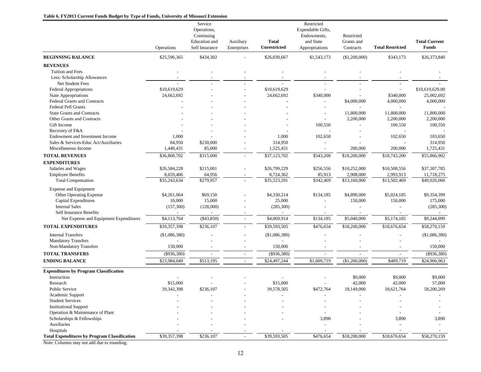#### **Table 6. FY2013 Current Funds Budget by Type of Funds, University of Missouri Extension**

|                                                       |               | Service        |               |                     | Restricted               |               |                          |                      |
|-------------------------------------------------------|---------------|----------------|---------------|---------------------|--------------------------|---------------|--------------------------|----------------------|
|                                                       |               | Operations,    |               |                     | Expendable Gifts,        |               |                          |                      |
|                                                       |               | Continuing     |               |                     | Endowments,              | Restricted    |                          |                      |
|                                                       |               | Education and  | Auxiliary     | <b>Total</b>        | and State                | Grants and    |                          | <b>Total Current</b> |
|                                                       | Operations    | Self Insurance | Enterprises   | <b>Unrestricted</b> | Appropriations           | Contracts     | <b>Total Restricted</b>  | <b>Funds</b>         |
| <b>BEGINNING BALANCE</b>                              | \$25,596,365  | \$434,302      |               | \$26,030,667        | \$1,543,173              | (\$1,200,000) | \$343,173                | \$26,373,840         |
| <b>REVENUES</b>                                       |               |                |               |                     |                          |               |                          |                      |
| Tuition and Fees                                      |               |                |               |                     |                          |               |                          |                      |
| Less: Scholarship Allowances                          |               |                |               |                     |                          |               |                          |                      |
| Net Student Fees                                      |               |                |               |                     |                          |               |                          |                      |
| <b>Federal Appropriations</b>                         | \$10,619,629  |                |               | \$10,619,629        |                          |               | $\overline{\phantom{a}}$ | \$10,619,629.00      |
| <b>State Appropriations</b>                           | 24,662,692    |                |               | 24,662,692          | \$340,000                |               | \$340,000                | 25,002,692           |
| Federal Grants and Contracts                          |               |                |               |                     |                          | \$4,000,000   | 4,000,000                | 4,000,000            |
| <b>Federal Pell Grants</b>                            |               |                |               |                     |                          |               |                          |                      |
| <b>State Grants and Contracts</b>                     |               |                |               |                     |                          | 11,800,000    | 11,800,000               | 11,800,000           |
| Other Grants and Contracts                            |               |                |               |                     | $\overline{\phantom{a}}$ | 2,200,000     | 2,200,000                | 2,200,000            |
| Gift Income                                           |               |                |               |                     | 100,550                  |               | 100,550                  | 100,550              |
| Recovery of F&A                                       |               |                |               |                     |                          |               |                          |                      |
| Endowment and Investment Income                       | 1,000         |                |               | 1,000               | 102,650                  |               | 102,650                  | 103,650              |
| Sales & Services-Educ Act/Auxiliaries                 | 84,950        | \$230,000      |               | 314,950             |                          |               |                          | 314,950              |
| Miscellaneous Income                                  | 1,440,431     | 85,000         |               | 1,525,431           |                          | 200,000       | 200,000                  | 1,725,431            |
| <b>TOTAL REVENUES</b>                                 | \$36,808,702  | \$315,000      | $\mathcal{L}$ | \$37,123,702        | \$543,200                | \$18,200,000  | \$18,743,200             | \$55,866,902         |
| <b>EXPENDITURES</b>                                   |               |                |               |                     |                          |               |                          |                      |
| Salaries and Wages                                    | \$26,584,228  | \$215,001      |               | \$26,799,229        | \$256,556                | \$10,252,000  | \$10,508,556             | \$37,307,785         |
| <b>Employee Benefits</b>                              | 8,659,406     | 64,956         |               | 8,724,362           | 85,913                   | 2,908,000     | 2,993,913                | 11,718,275           |
| <b>Total Compensation</b>                             | \$35,243,634  | \$279,957      |               | \$35,523,591        | \$342,469                | \$13,160,000  | \$13,502,469             | \$49,026,060         |
| <b>Expense and Equipment</b>                          |               |                |               |                     |                          |               |                          |                      |
| Other Operating Expense                               | \$4,261,064   | \$69,150       |               | \$4,330,214         | \$134,185                | \$4,890,000   | \$5,024,185              | \$9,354,399          |
| Capital Expenditures                                  | 10,000        | 15,000         |               | 25,000              |                          | 150,000       | 150,000                  | 175,000              |
| <b>Internal Sales</b>                                 | (157,300)     | (128,000)      |               | (285,300)           |                          |               |                          | (285, 300)           |
| Self Insurance Benefits                               |               |                |               |                     |                          |               |                          |                      |
| Net Expense and Equipment Expenditures                | \$4,113,764   | $(\$43,850)$   |               | \$4,069,914         | \$134,185                | \$5,040,000   | \$5,174,185              | \$9,244,099          |
| <b>TOTAL EXPENDITURES</b>                             | \$39,357,398  | \$236,107      |               | \$39,593,505        | \$476,654                | \$18,200,000  | \$18,676,654             | \$58,270,159         |
| <b>Internal Transfers</b>                             | (\$1,086,380) |                |               | (\$1,086,380)       |                          |               |                          | (\$1,086,380)        |
| <b>Mandatory Transfers</b><br>Non-Mandatory Transfers | 150,000       |                |               | 150,000             |                          |               |                          | 150,000              |
|                                                       |               |                |               |                     |                          |               |                          |                      |
| <b>TOTAL TRANSFERS</b>                                | (\$936,380)   | $\overline{a}$ | $\sim$        | (\$936,380)         |                          |               | $\overline{a}$           | $(\$936,380)$        |
| <b>ENDING BALANCE</b>                                 | \$23,984,049  | \$513,195      | $\sim$        | \$24,497,244        | \$1,609,719              | (\$1,200,000) | \$409,719                | \$24,906,963         |
| <b>Expenditures by Program Classification</b>         |               |                |               |                     |                          |               |                          |                      |
| Instruction                                           |               |                |               |                     |                          | \$9,000       | \$9,000                  | \$9,000              |
| Research                                              | \$15,000      |                |               | \$15,000            |                          | 42,000        | 42,000                   | 57,000               |
| <b>Public Service</b>                                 | 39, 342, 398  | \$236,107      |               | 39,578,505          | \$472,764                | 18,149,000    | 18,621,764               | 58,200,269           |
| Academic Support                                      |               |                |               |                     |                          |               |                          |                      |
| <b>Student Services</b>                               |               |                |               |                     |                          |               |                          |                      |
| <b>Institutional Support</b>                          |               |                |               |                     |                          |               |                          |                      |
| Operation & Maintenance of Plant                      |               |                |               |                     |                          |               |                          |                      |
| Scholarships & Fellowships                            |               |                |               |                     | 3,890                    |               | 3,890                    | 3,890                |
| Auxiliaries                                           |               |                |               |                     |                          |               |                          |                      |
| Hospitals                                             |               |                |               |                     |                          |               |                          |                      |
| <b>Total Expenditures by Program Classification</b>   | \$39,357,398  | \$236,107      |               | \$39,593,505        | \$476,654                | \$18,200,000  | \$18,676,654             | \$58,270,159         |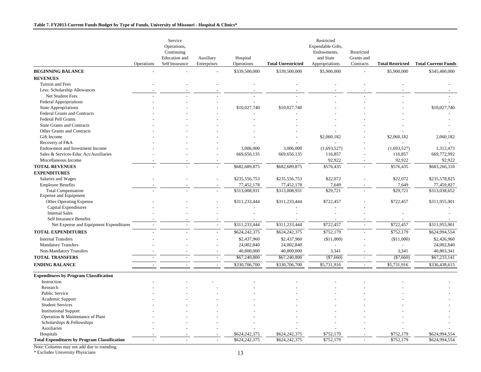|                                                                          | Operations | Service<br>Operations,<br>Continuing<br>Education and<br>Self Insurance | Auxiliary<br>Enterprises | Hospital<br>Operations | <b>Total Unrestricted</b> | Restricted<br>Expendable Gifts,<br>Endowments,<br>and State<br>Appropriations | Restricted<br>Grants and<br>Contracts | <b>Total Restricted</b> | <b>Total Current Funds</b> |
|--------------------------------------------------------------------------|------------|-------------------------------------------------------------------------|--------------------------|------------------------|---------------------------|-------------------------------------------------------------------------------|---------------------------------------|-------------------------|----------------------------|
| <b>BEGINNING BALANCE</b>                                                 |            |                                                                         | $\overline{a}$           | \$339,500,000          | \$339,500,000             | \$5,900,000                                                                   | $\overline{a}$                        | \$5,900,000             | \$345,400,000              |
| <b>REVENUES</b>                                                          |            |                                                                         |                          |                        |                           |                                                                               |                                       |                         |                            |
| Tuition and Fees                                                         |            |                                                                         |                          |                        |                           |                                                                               |                                       |                         |                            |
| Less: Scholarship Allowances                                             |            |                                                                         |                          |                        |                           |                                                                               |                                       |                         |                            |
| Net Student Fees                                                         |            |                                                                         |                          |                        |                           |                                                                               |                                       |                         |                            |
| Federal Appropriations                                                   |            |                                                                         |                          |                        |                           |                                                                               |                                       |                         |                            |
| <b>State Appropriations</b>                                              |            |                                                                         |                          | \$10,027,740           | \$10,027,740              |                                                                               |                                       |                         | \$10,027,740               |
| Federal Grants and Contracts                                             |            |                                                                         |                          |                        |                           |                                                                               |                                       |                         |                            |
| <b>Federal Pell Grants</b>                                               |            |                                                                         |                          |                        |                           |                                                                               |                                       |                         |                            |
| <b>State Grants and Contracts</b>                                        |            |                                                                         |                          |                        |                           |                                                                               |                                       |                         |                            |
| Other Grants and Contracts                                               |            |                                                                         |                          |                        |                           |                                                                               |                                       |                         |                            |
| Gift Income                                                              |            |                                                                         |                          |                        |                           | \$2,060,182                                                                   |                                       | \$2,060,182             | 2,060,182                  |
|                                                                          |            |                                                                         |                          |                        |                           |                                                                               |                                       |                         |                            |
| Recovery of F&A                                                          |            |                                                                         |                          |                        |                           |                                                                               |                                       |                         |                            |
| Endowment and Investment Income<br>Sales & Services-Educ Act/Auxiliaries |            |                                                                         |                          | 3,006,000              | 3,006,000                 | (1,693,527)                                                                   |                                       | (1,693,527)             | 1,312,473<br>669,772,992   |
| Miscellaneous Income                                                     |            |                                                                         |                          | 669,656,135            | 669,656,135               | 116,857<br>92,922                                                             |                                       | 116,857<br>92,922       | 92,922                     |
|                                                                          |            |                                                                         |                          |                        |                           |                                                                               |                                       |                         |                            |
| <b>TOTAL REVENUES</b>                                                    |            |                                                                         |                          | \$682,689,875          | \$682,689,875             | \$576,435                                                                     |                                       | \$576,435               | \$683,266,310              |
| <b>EXPENDITURES</b>                                                      |            |                                                                         |                          |                        |                           |                                                                               |                                       |                         |                            |
| Salaries and Wages                                                       |            |                                                                         |                          | \$235,556,753          | \$235,556,753             | \$22,072                                                                      |                                       | \$22,072                | \$235,578,825              |
| <b>Employee Benefits</b>                                                 |            |                                                                         |                          | 77,452,178             | 77,452,178                | 7,649                                                                         |                                       | 7,649                   | 77,459,827                 |
| <b>Total Compensation</b><br><b>Expense and Equipment</b>                |            |                                                                         |                          | \$313,008,931          | \$313,008,931             | \$29,721                                                                      |                                       | \$29,721                | \$313,038,652              |
| Other Operating Expense                                                  |            |                                                                         |                          | \$311,233,444          | \$311,233,444             | \$722,457                                                                     |                                       | \$722,457               | \$311,955,901              |
| Capital Expenditures                                                     |            |                                                                         |                          |                        |                           |                                                                               |                                       |                         |                            |
| <b>Internal Sales</b>                                                    |            |                                                                         |                          |                        |                           |                                                                               |                                       |                         |                            |
| <b>Self Insurance Benefits</b>                                           |            |                                                                         |                          |                        |                           |                                                                               |                                       |                         |                            |
| Net Expense and Equipment Expenditures                                   |            |                                                                         |                          | \$311,233,444          | \$311,233,444             | \$722,457                                                                     | $\overline{a}$                        | \$722,457               | \$311,955,901              |
| <b>TOTAL EXPENDITURES</b>                                                |            |                                                                         |                          | \$624,242,375          | \$624,242,375             | \$752,179                                                                     |                                       | \$752,179               | \$624,994,554              |
| <b>Internal Transfers</b>                                                |            |                                                                         |                          | \$2,437,960            | \$2,437,960               | (\$11,000)                                                                    |                                       | (\$11,000)              | \$2,426,960                |
| <b>Mandatory Transfers</b>                                               |            |                                                                         |                          | 24,002,840             | 24,002,840                |                                                                               |                                       |                         | 24,002,840                 |
| Non-Mandatory Transfers                                                  |            |                                                                         |                          | 40,800,000             | 40,800,000                | 3,341                                                                         |                                       | 3,341                   | 40,803,341                 |
| <b>TOTAL TRANSFERS</b>                                                   |            |                                                                         | $\overline{\phantom{a}}$ | \$67,240,800           | \$67,240,800              | $(\$7,660)$                                                                   | $\sim$                                | $(\$7,660)$             | \$67,233,141               |
| <b>ENDING BALANCE</b>                                                    |            |                                                                         | $\overline{a}$           | \$330,706,700          | \$330,706,700             | \$5,731,916                                                                   | $\sim$                                | \$5,731,916             | \$336,438,615              |
|                                                                          |            |                                                                         |                          |                        |                           |                                                                               |                                       |                         |                            |
| <b>Expenditures by Program Classification</b>                            |            |                                                                         |                          |                        |                           |                                                                               |                                       |                         |                            |
| Instruction                                                              |            |                                                                         |                          |                        |                           |                                                                               |                                       |                         |                            |
| Research                                                                 |            |                                                                         |                          |                        |                           |                                                                               |                                       |                         |                            |
| Public Service                                                           |            |                                                                         |                          |                        |                           |                                                                               |                                       |                         |                            |
| Academic Support                                                         |            |                                                                         |                          |                        |                           |                                                                               |                                       |                         |                            |
| <b>Student Services</b>                                                  |            |                                                                         |                          |                        |                           |                                                                               |                                       |                         |                            |
| <b>Institutional Support</b>                                             |            |                                                                         |                          |                        |                           |                                                                               |                                       |                         |                            |
| Operation & Maintenance of Plant                                         |            |                                                                         |                          |                        |                           |                                                                               |                                       |                         |                            |
| Scholarships & Fellowships                                               |            |                                                                         |                          |                        |                           |                                                                               |                                       |                         |                            |
| Auxiliaries                                                              |            |                                                                         |                          |                        |                           |                                                                               |                                       |                         |                            |
| Hospitals                                                                |            |                                                                         |                          | \$624,242,375          | \$624,242,375             | \$752,179                                                                     |                                       | \$752,179               | \$624,994,554              |
| <b>Total Expenditures by Program Classification</b>                      |            |                                                                         |                          | \$624,242,375          | \$624,242,375             | \$752,179                                                                     |                                       | \$752,179               | \$624.994.554              |

\* Excludes University Physicians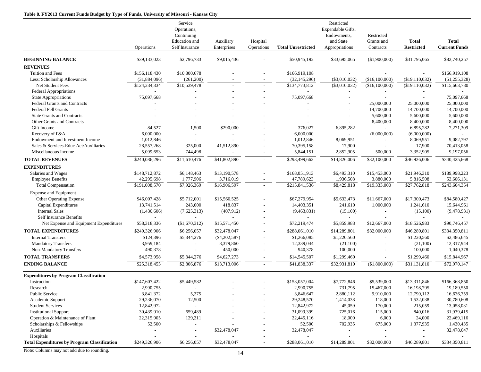#### **Table 8. FY2013 Current Funds Budget by Type of Funds, University of Missouri - Kansas City**

|                                                         |                        | Service<br>Operations,<br>Continuing<br>Education and | Auxiliary                    | Hospital                 |                           | Restricted<br>Expendable Gifts,<br>Endowments,<br>and State | Restricted<br>Grants and    | <b>Total</b>            | <b>Total</b>         |
|---------------------------------------------------------|------------------------|-------------------------------------------------------|------------------------------|--------------------------|---------------------------|-------------------------------------------------------------|-----------------------------|-------------------------|----------------------|
|                                                         | <b>Operations</b>      | Self Insurance                                        | Enterprises                  | Operations               | <b>Total Unrestricted</b> | Appropriations                                              | Contracts                   | <b>Restricted</b>       | <b>Current Funds</b> |
| <b>BEGINNING BALANCE</b>                                | \$39,133,023           | \$2,796,733                                           | \$9,015,436                  |                          | \$50,945,192              | \$33,695,065                                                | (\$1,900,000)               | \$31,795,065            | \$82,740,257         |
| <b>REVENUES</b>                                         |                        |                                                       |                              |                          |                           |                                                             |                             |                         |                      |
| Tuition and Fees                                        | \$156,118,430          | \$10,800,678                                          |                              |                          | \$166,919,108             |                                                             |                             |                         | \$166,919,108        |
| Less: Scholarship Allowances                            | (31,884,096)           | (261, 200)                                            |                              |                          | (32, 145, 296)            | $(\$3,010,032)$                                             | (\$16,100,000)              | (\$19,110,032)          | (51, 255, 328)       |
| Net Student Fees                                        | \$124,234,334          | \$10,539,478                                          |                              |                          | \$134,773,812             | $(\$3,010,032)$                                             | (\$16,100,000)              | (\$19,110,032)          | \$115,663,780        |
| Federal Appropriations                                  | $\sim$                 |                                                       |                              |                          | $\overline{a}$            |                                                             |                             |                         |                      |
| <b>State Appropriations</b>                             | 75,097,668             |                                                       |                              |                          | 75,097,668                |                                                             |                             |                         | 75,097,668           |
| Federal Grants and Contracts                            |                        |                                                       |                              |                          |                           |                                                             | 25,000,000                  | 25,000,000              | 25,000,000           |
| <b>Federal Pell Grants</b>                              |                        |                                                       |                              |                          |                           |                                                             | 14,700,000                  | 14,700,000              | 14,700,000           |
| <b>State Grants and Contracts</b>                       |                        |                                                       |                              |                          |                           |                                                             | 5,600,000                   | 5,600,000               | 5,600,000            |
| Other Grants and Contracts                              |                        |                                                       |                              |                          |                           |                                                             | 8,400,000                   | 8,400,000               | 8,400,000            |
| Gift Income                                             | 84,527                 | 1,500                                                 | \$290,000                    |                          | 376,027                   | 6,895,282                                                   | $\mathcal{L}_{\mathcal{A}}$ | 6,895,282               | 7,271,309            |
| Recovery of F&A                                         | 6,000,000              |                                                       |                              |                          | 6,000,000                 |                                                             | (6,000,000)                 | (6,000,000)             |                      |
| Endowment and Investment Income                         | 1,012,846              |                                                       |                              |                          | 1,012,846                 | 8,069,951                                                   |                             | 8,069,951               | 9,082,797            |
| Sales & Services-Educ Act/Auxiliaries                   | 28,557,268             | 325,000                                               | 41,512,890                   |                          | 70,395,158                | 17,900                                                      | $\overline{\phantom{a}}$    | 17,900                  | 70,413,058           |
| Miscellaneous Income                                    | 5,099,653              | 744,498                                               |                              |                          | 5,844,151                 | 2,852,905                                                   | 500,000                     | 3,352,905               | 9,197,056            |
| <b>TOTAL REVENUES</b>                                   | \$240,086,296          | \$11,610,476                                          | \$41,802,890                 |                          | \$293,499,662             | \$14,826,006                                                | \$32,100,000                | \$46,926,006            | \$340,425,668        |
| <b>EXPENDITURES</b>                                     |                        |                                                       |                              |                          |                           |                                                             |                             |                         |                      |
| Salaries and Wages                                      | \$148,712,872          | \$6,148,463                                           | \$13,190,578                 |                          | \$168,051,913             | \$6,493,310                                                 | \$15,453,000                | \$21,946,310            | \$189,998,223        |
| <b>Employee Benefits</b>                                | 42,295,698             | 1,777,906                                             | 3,716,019                    |                          | 47,789,623                | 1,936,508                                                   | 3,880,000                   | 5,816,508               | 53,606,131           |
| <b>Total Compensation</b>                               | \$191,008,570          | \$7,926,369                                           | \$16,906,597                 | $\overline{a}$           | \$215,841,536             | \$8,429,818                                                 | \$19,333,000                | \$27,762,818            | \$243,604,354        |
| <b>Expense and Equipment</b>                            |                        |                                                       |                              |                          |                           |                                                             |                             |                         |                      |
| Other Operating Expense                                 | \$46,007,428           | \$5,712,001                                           | \$15,560,525                 |                          | \$67,279,954              | \$5,633,473                                                 | \$11,667,000                | \$17,300,473            | \$84,580,427         |
| Capital Expenditures                                    | 13,741,514             | 243,000                                               | 418,837                      |                          | 14,403,351                | 241,610                                                     | 1,000,000                   | 1,241,610               | 15,644,961           |
| <b>Internal Sales</b>                                   | (1,430,606)            | (7,625,313)                                           | (407, 912)                   |                          | (9,463,831)               | (15,100)                                                    | $\overline{\phantom{0}}$    | (15,100)                | (9,478,931)          |
| <b>Self Insurance Benefits</b>                          |                        |                                                       |                              |                          |                           |                                                             |                             |                         |                      |
| Net Expense and Equipment Expenditures                  | \$58,318,336           | (\$1,670,312)                                         | \$15,571,450                 | $\sim$                   | \$72,219,474              | \$5,859,983                                                 | \$12,667,000                | \$18,526,983            | \$90,746,457         |
| <b>TOTAL EXPENDITURES</b>                               | \$249,326,906          | \$6,256,057                                           | \$32,478,047                 | $\overline{\phantom{a}}$ | \$288,061,010             | \$14,289,801                                                | \$32,000,000                | \$46,289,801            | \$334,350,811        |
|                                                         |                        | \$5,344,276                                           |                              |                          | \$1,266,085               |                                                             |                             |                         | \$2,486,645          |
| <b>Internal Transfers</b><br><b>Mandatory Transfers</b> | \$124,396<br>3,959,184 |                                                       | $(\$4,202,587)$<br>8,379,860 |                          | 12,339,044                | \$1,220,560<br>(21,100)                                     |                             | \$1,220,560<br>(21,100) | 12,317,944           |
| Non-Mandatory Transfers                                 | 490,378                |                                                       | 450,000                      |                          | 940,378                   | 100,000                                                     |                             | 100,000                 | 1,040,378            |
|                                                         |                        |                                                       |                              |                          |                           |                                                             |                             |                         |                      |
| <b>TOTAL TRANSFERS</b>                                  | \$4,573,958            | \$5,344,276                                           | \$4,627,273                  | $\overline{\phantom{a}}$ | \$14,545,507              | \$1,299,460                                                 |                             | \$1,299,460             | \$15,844,967         |
| <b>ENDING BALANCE</b>                                   | \$25,318,455           | \$2,806,876                                           | \$13,713,006                 | $\sim$                   | \$41,838,337              | \$32,931,810                                                | (\$1,800,000)               | \$31,131,810            | \$72,970,147         |
| <b>Expenditures by Program Classification</b>           |                        |                                                       |                              |                          |                           |                                                             |                             |                         |                      |
| Instruction                                             | \$147,607,422          | \$5,449,582                                           |                              |                          | \$153,057,004             | \$7,772,846                                                 | \$5,539,000                 | \$13,311,846            | \$166,368,850        |
| Research                                                | 2.990.755              |                                                       |                              |                          | 2,990,755                 | 731,795                                                     | 15,467,000                  | 16,198,795              | 19,189,550           |
| Public Service                                          | 3,841,372              | 5,275                                                 |                              |                          | 3,846,647                 | 2,880,112                                                   | 9,910,000                   | 12,790,112              | 16,636,759           |
| Academic Support                                        | 29,236,070             | 12,500                                                |                              |                          | 29,248,570                | 1,414,038                                                   | 118,000                     | 1,532,038               | 30,780,608           |
| <b>Student Services</b>                                 | 12,842,972             |                                                       |                              |                          | 12,842,972                | 45,059                                                      | 170,000                     | 215,059                 | 13,058,031           |
| <b>Institutional Support</b>                            | 30,439,910             | 659,489                                               |                              |                          | 31,099,399                | 725,016                                                     | 115,000                     | 840,016                 | 31,939,415           |
| Operation & Maintenance of Plant                        | 22,315,905             | 129,211                                               |                              |                          | 22,445,116                | 18,000                                                      | 6,000                       | 24,000                  | 22,469,116           |
| Scholarships & Fellowships                              | 52,500                 |                                                       |                              |                          | 52,500                    | 702,935                                                     | 675,000                     | 1,377,935               | 1,430,435            |
| Auxiliaries                                             |                        |                                                       | \$32,478,047                 |                          | 32,478,047                |                                                             |                             |                         | 32,478,047           |
| Hospitals                                               |                        |                                                       |                              |                          |                           |                                                             |                             |                         |                      |
| <b>Total Expenditures by Program Classification</b>     | \$249,326,906          | \$6,256,057                                           | \$32,478,047                 | $\overline{\phantom{a}}$ | \$288,061,010             | \$14,289,801                                                | \$32,000,000                | \$46,289,801            | \$334,350,811        |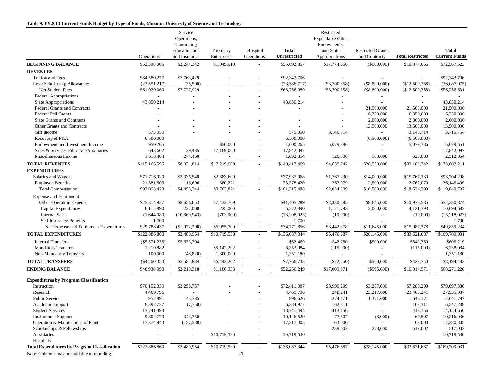#### **Table 9. FY2013 Current Funds Budget by Type of Funds, Missouri University of Science and Technology**

|                                                     | Operations               | Service<br>Operations,<br>Continuing<br>Education and<br>Self Insurance | Auxiliary<br>Enterprises | Hospital<br>Operations   | <b>Total</b><br><b>Unrestricted</b> | Restricted<br>Expendable Gifts,<br>Endowments,<br>and State<br>Appropriations | <b>Restricted Grants</b><br>and Contracts | <b>Total Restricted</b>                  | <b>Total</b><br><b>Current Funds</b> |
|-----------------------------------------------------|--------------------------|-------------------------------------------------------------------------|--------------------------|--------------------------|-------------------------------------|-------------------------------------------------------------------------------|-------------------------------------------|------------------------------------------|--------------------------------------|
| <b>BEGINNING BALANCE</b>                            | \$52,398,905             | \$2,244,342                                                             | \$1,049,610              |                          | \$55,692,857                        | \$17,774,666                                                                  | $(\$900,000)$                             | \$16,874,666                             | \$72,567,523                         |
| <b>REVENUES</b>                                     |                          |                                                                         |                          |                          |                                     |                                                                               |                                           |                                          |                                      |
| Tuition and Fees                                    | \$84,580,277             | \$7,763,429                                                             |                          |                          | \$92,343,706                        |                                                                               |                                           |                                          | \$92,343,706                         |
| Less: Scholarship Allowances                        | (23, 551, 217)           | (35,500)                                                                |                          |                          | (23, 586, 717)                      | $(\$3,700,358)$                                                               | $(\$8,800,000)$                           | (\$12,500,358)                           | (36,087,075)                         |
| Net Student Fees                                    | \$61,029,060             | \$7,727,929                                                             |                          |                          | \$68,756,989                        | $(\$3,700,358)$                                                               | $(\$8,800,000)$                           | (\$12,500,358)                           | \$56,256,631                         |
| <b>Federal Appropriations</b>                       | $\overline{\phantom{a}}$ |                                                                         |                          | $\overline{a}$           | $\overline{\phantom{a}}$            |                                                                               | $\overline{\phantom{a}}$                  | $\sim$                                   |                                      |
| <b>State Appropriations</b>                         | 43,850,214               |                                                                         |                          |                          | 43,850,214                          |                                                                               |                                           |                                          | 43,850,214                           |
| <b>Federal Grants and Contracts</b>                 |                          |                                                                         |                          |                          |                                     |                                                                               | 21,500,000                                | 21,500,000                               | 21,500,000                           |
| <b>Federal Pell Grants</b>                          |                          |                                                                         |                          |                          |                                     |                                                                               | 6,350,000                                 | 6,350,000                                | 6,350,000                            |
| <b>State Grants and Contracts</b>                   |                          |                                                                         |                          |                          |                                     |                                                                               | 2,000,000                                 | 2,000,000                                | 2,000,000                            |
| Other Grants and Contracts                          |                          |                                                                         |                          |                          |                                     |                                                                               | 13,500,000                                | 13,500,000                               | 13,500,000                           |
| Gift Income                                         | 575,050                  |                                                                         |                          |                          | 575,050                             | 3,140,714                                                                     | $\mathcal{L}_{\mathcal{A}}$               | 3,140,714                                | 3,715,764                            |
| Recovery of F&A                                     | 6,500,000                |                                                                         |                          |                          | 6,500,000                           |                                                                               | (6,500,000)                               | (6,500,000)                              |                                      |
| Endowment and Investment Income                     | 950,265                  |                                                                         | \$50,000                 |                          | 1,000,265                           | 5,079,386                                                                     | $\overline{\phantom{a}}$                  | 5,079,386                                | 6,079,651                            |
| Sales & Services-Educ Act/Auxiliaries               | 643,602                  | 29,435                                                                  | 17,169,060               | $\overline{a}$           | 17,842,097                          |                                                                               |                                           | $\overline{\phantom{a}}$                 | 17,842,097                           |
| Miscellaneous Income                                | 1,618,404                | 274,450                                                                 |                          |                          | 1,892,854                           | 120,000                                                                       | 500,000                                   | 620,000                                  | 2,512,854                            |
| <b>TOTAL REVENUES</b>                               | \$115,166,595            | \$8,031,814                                                             | \$17,219,060             | $\overline{\phantom{a}}$ | \$140,417,469                       | \$4,639,742                                                                   | \$28,550,000                              | \$33,189,742                             | \$173,607,211                        |
| <b>EXPENDITURES</b>                                 |                          |                                                                         |                          |                          |                                     |                                                                               |                                           |                                          |                                      |
| Salaries and Wages                                  | \$71,716,920             | \$3,336,548                                                             | \$2,883,600              |                          | \$77,937,068                        | \$1,767,230                                                                   | \$14,000,000                              | \$15,767,230                             | \$93,704,298                         |
| <b>Employee Benefits</b>                            | 21,381,503               | 1,116,696                                                               | 880,221                  | $\overline{\phantom{a}}$ | 23,378,420                          | 267,079                                                                       | 2,500,000                                 | 2,767,079                                | 26,145,499                           |
| <b>Total Compensation</b>                           | \$93,098,423             | \$4,453,244                                                             | \$3,763,821              |                          | \$101,315,488                       | \$2,034,309                                                                   | \$16,500,000                              | \$18,534,309                             | \$119,849,797                        |
| <b>Expense and Equipment</b>                        |                          |                                                                         |                          |                          |                                     |                                                                               |                                           |                                          |                                      |
| Other Operating Expense                             | \$25,314,927             | \$8,656,653                                                             | \$7,433,709              |                          | \$41,405,289                        | \$2,330,585                                                                   | \$8,645,000                               | \$10,975,585                             | \$52,380,874                         |
| Capital Expenditures                                | 6,115,890                | 232,000                                                                 | 225,000                  |                          | 6,572,890                           | 1,121,793                                                                     | 3,000,000                                 | 4,121,793                                | 10,694,683                           |
| <b>Internal Sales</b>                               | (1,644,080)              | (10,860,943)                                                            | (703,000)                |                          | (13,208,023)                        | (10,000)                                                                      | $\overline{\phantom{a}}$                  | (10,000)                                 | (13,218,023)                         |
| Self Insurance Benefits                             | 1,700                    |                                                                         |                          |                          | 1,700                               |                                                                               |                                           | $\sim$                                   | 1,700                                |
| Net Expense and Equipment Expenditures              | \$29,788,437             | $(\$1,972,290)$                                                         | \$6,955,709              | $\sim$                   | \$34,771,856                        | \$3,442,378                                                                   | \$11,645,000                              | \$15,087,378                             | \$49,859,234                         |
| <b>TOTAL EXPENDITURES</b>                           | \$122,886,860            | \$2,480,954                                                             | \$10,719,530             |                          | \$136,087,344                       | \$5,476,687                                                                   | \$28,145,000                              | \$33,621,687                             | \$169,709,031                        |
| <b>Internal Transfers</b>                           | $(\$5,571,235)$          | \$5,633,704                                                             |                          |                          | \$62,469                            | \$42,750                                                                      | \$500,000                                 | \$542,750                                | \$605,219                            |
| <b>Mandatory Transfers</b>                          | 1,210,882                |                                                                         | \$5,142,202              |                          | 6,353,084                           | (115,000)                                                                     |                                           | (115,000)                                | 6,238,084                            |
| Non-Mandatory Transfers                             | 100,000                  | (48, 820)                                                               | 1,300,000                | $\overline{a}$           | 1,351,180                           | $\overline{\phantom{a}}$                                                      |                                           |                                          | 1,351,180                            |
| <b>TOTAL TRANSFERS</b>                              | $(\$4,260,353)$          | \$5,584,884                                                             | \$6,442,202              | $\overline{a}$           | \$7,766,733                         | $(\$72,250)$                                                                  | \$500,000                                 | \$427,750                                | \$8,194,483                          |
| <b>ENDING BALANCE</b>                               | \$48,938,993             | \$2,210,318                                                             | \$1,106,938              | $\overline{\phantom{a}}$ | \$52,256,249                        | \$17,009,971                                                                  | $(\$995,000)$                             | \$16,014,971                             | \$68,271,220                         |
|                                                     |                          |                                                                         |                          |                          |                                     |                                                                               |                                           |                                          |                                      |
| <b>Expenditures by Program Classification</b>       |                          |                                                                         |                          |                          |                                     |                                                                               |                                           |                                          |                                      |
| Instruction                                         | \$70,152,330             | \$2,258,757                                                             |                          |                          | \$72,411,087                        | \$3,999,299                                                                   | \$3,287,000                               | \$7,286,299                              | \$79,697,386                         |
| Research                                            | 4,469,796                |                                                                         |                          |                          | 4,469,796                           | 248,241                                                                       | 23,217,000                                | 23,465,241                               | 27,935,037                           |
| <b>Public Service</b>                               | 952,891                  | 43,735                                                                  |                          |                          | 996,626                             | 274,171                                                                       | 1,371,000                                 | 1,645,171                                | 2,641,797                            |
| Academic Support                                    | 6,392,727                | (7,750)                                                                 |                          |                          | 6,384,977                           | 162,311                                                                       | $\overline{\phantom{a}}$                  | 162,311                                  | 6,547,288                            |
| <b>Student Services</b>                             | 13,741,494               |                                                                         |                          |                          | 13,741,494                          | 413,156                                                                       |                                           | 413,156                                  | 14,154,650                           |
| <b>Institutional Support</b>                        | 9,802,779                | 343,750                                                                 |                          |                          | 10,146,529                          | 77,507                                                                        | (8,000)                                   | 69,507                                   | 10,216,036                           |
| Operation & Maintenance of Plant                    | 17,374,843               | (157, 538)                                                              |                          |                          | 17,217,305                          | 63,000                                                                        |                                           | 63,000                                   | 17,280,305                           |
| Scholarships & Fellowships                          |                          |                                                                         |                          |                          |                                     | 239,002                                                                       | 278,000                                   | 517,002                                  | 517,002                              |
| Auxiliaries<br>Hospitals                            |                          | $\overline{\phantom{a}}$                                                | \$10,719,530             | $\overline{\phantom{a}}$ | 10,719,530                          |                                                                               |                                           |                                          | 10,719,530                           |
| <b>Total Expenditures by Program Classification</b> |                          |                                                                         |                          |                          | \$136,087,344                       |                                                                               |                                           | $\overline{\phantom{a}}$<br>\$33,621,687 | \$169,709,031                        |
|                                                     | \$122,886,860            | \$2,480,954                                                             | \$10,719,530             | $\sim$                   |                                     | \$5,476,687                                                                   | \$28,145,000                              |                                          |                                      |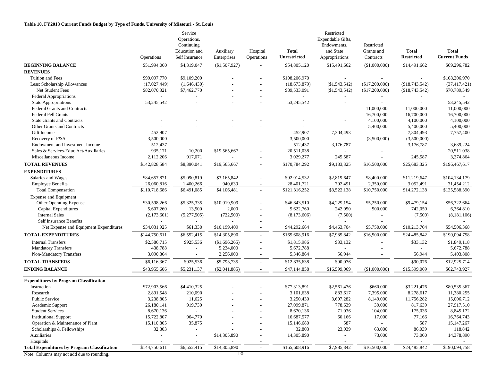#### **Table 10. FY2013 Current Funds Budget by Type of Funds, University of Missouri - St. Louis**

|                                                     | Operations    | Service<br>Operations,<br>Continuing<br>Education and<br>Self Insurance | Auxiliary<br>Enterprises | Hospital<br>Operations   | <b>Total</b><br>Unrestricted | Restricted<br>Expendable Gifts,<br>Endowments,<br>and State<br>Appropriations | Restricted<br>Grants and<br>Contracts | <b>Total</b><br><b>Restricted</b> | <b>Total</b><br><b>Current Funds</b> |
|-----------------------------------------------------|---------------|-------------------------------------------------------------------------|--------------------------|--------------------------|------------------------------|-------------------------------------------------------------------------------|---------------------------------------|-----------------------------------|--------------------------------------|
| <b>BEGINNING BALANCE</b>                            | \$51,994,000  | \$4,319,047                                                             | (\$1,507,927)            |                          | \$54,805,120                 | \$15,491,662                                                                  | (\$1,000,000)                         | \$14,491,662                      | \$69,296,782                         |
| <b>REVENUES</b>                                     |               |                                                                         |                          |                          |                              |                                                                               |                                       |                                   |                                      |
| Tuition and Fees                                    | \$99,097,770  | \$9,109,200                                                             |                          |                          | \$108,206,970                |                                                                               |                                       |                                   | \$108,206,970                        |
| Less: Scholarship Allowances                        | (17,027,449)  | (1,646,430)                                                             |                          |                          | (18, 673, 879)               | (\$1,543,542)                                                                 | $(\$17,200,000)$                      | (\$18,743,542)                    | (37, 417, 421)                       |
| Net Student Fees                                    | \$82,070,321  | \$7,462,770                                                             |                          |                          | \$89,533,091                 | $(\$1,543,542)$                                                               | (\$17,200,000)                        | (\$18,743,542)                    | \$70,789,549                         |
| <b>Federal Appropriations</b>                       | $\sim$        |                                                                         |                          | $\overline{a}$           |                              | $\overline{\phantom{a}}$                                                      |                                       |                                   |                                      |
| State Appropriations                                | 53,245,542    |                                                                         |                          |                          | 53, 245, 542                 |                                                                               |                                       |                                   | 53,245,542                           |
| <b>Federal Grants and Contracts</b>                 |               |                                                                         |                          |                          |                              |                                                                               | 11,000,000                            | 11,000,000                        | 11,000,000                           |
| <b>Federal Pell Grants</b>                          |               |                                                                         |                          |                          |                              |                                                                               | 16,700,000                            | 16,700,000                        | 16,700,000                           |
| <b>State Grants and Contracts</b>                   |               |                                                                         |                          |                          |                              |                                                                               | 4,100,000                             | 4,100,000                         | 4,100,000                            |
| Other Grants and Contracts                          |               |                                                                         |                          |                          |                              |                                                                               | 5,400,000                             | 5,400,000                         | 5,400,000                            |
| Gift Income                                         | 452,907       |                                                                         |                          |                          | 452,907                      | 7,304,493                                                                     | $\sim$                                | 7,304,493                         | 7,757,400                            |
| Recovery of F&A                                     | 3,500,000     |                                                                         |                          |                          | 3,500,000                    |                                                                               | (3,500,000)                           | (3,500,000)                       |                                      |
| Endowment and Investment Income                     | 512,437       |                                                                         |                          |                          | 512,437                      | 3,176,787                                                                     |                                       | 3,176,787                         | 3,689,224                            |
| Sales & Services-Educ Act/Auxiliaries               | 935,171       | 10,200                                                                  | \$19,565,667             |                          | 20,511,038                   |                                                                               |                                       | $\sim$                            | 20,511,038                           |
| Miscellaneous Income                                | 2,112,206     | 917,071                                                                 |                          |                          | 3,029,277                    | 245,587                                                                       |                                       | 245,587                           | 3,274,864                            |
| <b>TOTAL REVENUES</b>                               | \$142,828,584 | \$8,390,041                                                             | \$19,565,667             | $\sim$                   | \$170,784,292                | \$9,183,325                                                                   | \$16,500,000                          | \$25,683,325                      | \$196,467,617                        |
| <b>EXPENDITURES</b>                                 |               |                                                                         |                          |                          |                              |                                                                               |                                       |                                   |                                      |
| Salaries and Wages                                  | \$84,657,871  | \$5,090,819                                                             | \$3,165,842              |                          | \$92,914,532                 | \$2,819,647                                                                   | \$8,400,000                           | \$11,219,647                      | \$104,134,179                        |
| <b>Employee Benefits</b>                            | 26,060,816    | 1,400,266                                                               | 940,639                  | $\overline{\phantom{a}}$ | 28,401,721                   | 702,491                                                                       | 2,350,000                             | 3,052,491                         | 31,454,212                           |
| <b>Total Compensation</b>                           | \$110,718,686 | \$6,491,085                                                             | \$4,106,481              | $\sim$                   | \$121,316,252                | \$3,522,138                                                                   | \$10,750,000                          | \$14,272,138                      | \$135,588,390                        |
| <b>Expense and Equipment</b>                        |               |                                                                         |                          |                          |                              |                                                                               |                                       |                                   |                                      |
| Other Operating Expense                             | \$30,598,266  | \$5,325,335                                                             | \$10,919,909             |                          | \$46,843,510                 | \$4,229,154                                                                   | \$5,250,000                           | \$9,479,154                       | \$56,322,664                         |
| <b>Capital Expenditures</b>                         | 5,607,260     | 13,500                                                                  | 2,000                    |                          | 5,622,760                    | 242,050                                                                       | 500,000                               | 742,050                           | 6,364,810                            |
| <b>Internal Sales</b>                               | (2,173,601)   | (5,277,505)                                                             | (722, 500)               |                          | (8,173,606)                  | (7,500)                                                                       |                                       | (7,500)                           | (8,181,106)                          |
| Self Insurance Benefits                             |               |                                                                         |                          |                          |                              |                                                                               |                                       |                                   |                                      |
| Net Expense and Equipment Expenditures              | \$34,031,925  | \$61,330                                                                | \$10,199,409             | $\overline{\phantom{a}}$ | \$44,292,664                 | \$4,463,704                                                                   | \$5,750,000                           | \$10,213,704                      | \$54,506,368                         |
| <b>TOTAL EXPENDITURES</b>                           | \$144,750,611 | \$6,552,415                                                             | \$14,305,890             | $\sim$                   | \$165,608,916                | \$7,985,842                                                                   | \$16,500,000                          | \$24,485,842                      | \$190,094,758                        |
| <b>Internal Transfers</b>                           | \$2,586,715   | \$925,536                                                               | (\$1,696,265)            | $\overline{a}$           | \$1,815,986                  | \$33,132                                                                      |                                       | \$33,132                          | \$1,849,118                          |
| <b>Mandatory Transfers</b>                          | 438,788       |                                                                         | 5,234,000                |                          | 5,672,788                    |                                                                               |                                       |                                   | 5,672,788                            |
| Non-Mandatory Transfers                             | 3,090,864     |                                                                         | 2,256,000                | $\overline{a}$           | 5,346,864                    | 56,944                                                                        |                                       | 56,944                            | 5,403,808                            |
| <b>TOTAL TRANSFERS</b>                              | \$6,116,367   | \$925,536                                                               | \$5,793,735              | $\sim$                   | \$12,835,638                 | \$90,076                                                                      |                                       | \$90,076                          | \$12,925,714                         |
| <b>ENDING BALANCE</b>                               | \$43,955,606  | \$5,231,137                                                             | $(\$2,041,885)$          | $\sim$                   | \$47,144,858                 | \$16,599,069                                                                  | (\$1,000,000)                         | \$15,599,069                      | \$62,743,927                         |
| <b>Expenditures by Program Classification</b>       |               |                                                                         |                          |                          |                              |                                                                               |                                       |                                   |                                      |
| Instruction                                         | \$72,903,566  | \$4,410,325                                                             |                          |                          | \$77,313,891                 | \$2,561,476                                                                   | \$660,000                             | \$3,221,476                       | \$80,535,367                         |
| Research                                            | 2,891,548     | 210,090                                                                 |                          |                          | 3,101,638                    | 883,617                                                                       | 7,395,000                             | 8,278,617                         | 11,380,255                           |
| <b>Public Service</b>                               | 3,238,805     | 11,625                                                                  |                          |                          | 3,250,430                    | 3,607,282                                                                     | 8,149,000                             | 11,756,282                        | 15,006,712                           |
| Academic Support                                    | 26,180,141    | 919,730                                                                 |                          |                          | 27,099,871                   | 778,639                                                                       | 39,000                                | 817,639                           | 27,917,510                           |
| <b>Student Services</b>                             | 8,670,136     |                                                                         |                          |                          | 8,670,136                    | 71,036                                                                        | 104,000                               | 175,036                           | 8,845,172                            |
| <b>Institutional Support</b>                        | 15,722,807    | 964,770                                                                 |                          |                          | 16,687,577                   | 60,166                                                                        | 17,000                                | 77,166                            | 16,764,743                           |
| Operation & Maintenance of Plant                    | 15,110,805    | 35,875                                                                  |                          |                          | 15,146,680                   | 587                                                                           |                                       | 587                               | 15, 147, 267                         |
| Scholarships & Fellowships                          | 32,803        | $\qquad \qquad \blacksquare$                                            |                          |                          | 32,803                       | 23,039                                                                        | 63,000                                | 86,039                            | 118,842                              |
| Auxiliaries                                         |               | $\overline{a}$                                                          | \$14,305,890             |                          | 14,305,890                   |                                                                               | 73,000                                | 73,000                            | 14,378,890                           |
| Hospitals                                           |               |                                                                         |                          |                          |                              |                                                                               |                                       | $\overline{\phantom{a}}$          |                                      |
| <b>Total Expenditures by Program Classification</b> | \$144,750,611 | \$6,552,415                                                             | \$14,305,890             | $\overline{\phantom{a}}$ | \$165,608,916                | \$7,985,842                                                                   | \$16,500,000                          | \$24,485,842                      | \$190,094,758                        |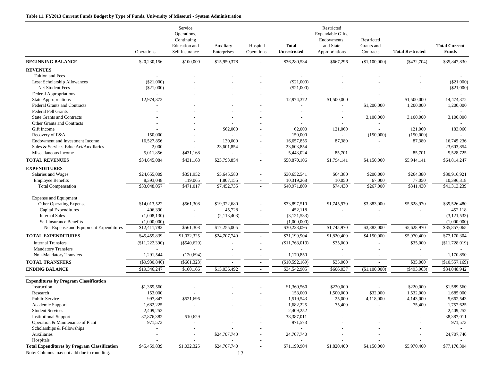#### **Table 11. FY2013 Current Funds Budget by Type of Funds, University of Missouri - System Administration**

|                                                     | Operations      | Service<br>Operations,<br>Continuing<br><b>Education</b> and<br>Self Insurance | Auxiliary<br>Enterprises | Hospital<br>Operations   | <b>Total</b><br><b>Unrestricted</b> | Restricted<br>Expendable Gifts,<br>Endowments,<br>and State<br>Appropriations | Restricted<br>Grants and<br>Contracts | <b>Total Restricted</b>  | <b>Total Current</b><br><b>Funds</b> |
|-----------------------------------------------------|-----------------|--------------------------------------------------------------------------------|--------------------------|--------------------------|-------------------------------------|-------------------------------------------------------------------------------|---------------------------------------|--------------------------|--------------------------------------|
| <b>BEGINNING BALANCE</b>                            | \$20,230,156    | \$100,000                                                                      | \$15,950,378             |                          | \$36,280,534                        | \$667,296                                                                     | (\$1,100,000)                         | $(\$432,704)$            | \$35,847,830                         |
| <b>REVENUES</b>                                     |                 |                                                                                |                          |                          |                                     |                                                                               |                                       |                          |                                      |
| <b>Tuition and Fees</b>                             |                 |                                                                                |                          |                          |                                     |                                                                               |                                       |                          |                                      |
| Less: Scholarship Allowances                        | $(\$21,000)$    |                                                                                |                          |                          | $(\$21,000)$                        |                                                                               |                                       |                          | $(\$21,000)$                         |
| Net Student Fees                                    | $(\$21,000)$    |                                                                                |                          |                          | (\$21,000)                          |                                                                               |                                       |                          | (S21.000)                            |
| <b>Federal Appropriations</b>                       |                 |                                                                                |                          |                          |                                     |                                                                               |                                       |                          |                                      |
| <b>State Appropriations</b>                         | 12,974,372      |                                                                                |                          |                          | 12,974,372                          | \$1,500,000                                                                   |                                       | \$1,500,000              | 14,474,372                           |
| <b>Federal Grants and Contracts</b>                 |                 |                                                                                |                          |                          |                                     |                                                                               | \$1,200,000                           | 1,200,000                | 1,200,000                            |
| <b>Federal Pell Grants</b>                          |                 |                                                                                |                          |                          |                                     |                                                                               |                                       |                          |                                      |
| <b>State Grants and Contracts</b>                   |                 |                                                                                |                          |                          |                                     |                                                                               | 3,100,000                             | 3,100,000                | 3,100,000                            |
| Other Grants and Contracts                          |                 |                                                                                |                          |                          |                                     |                                                                               | $\overline{a}$                        |                          |                                      |
| Gift Income                                         |                 |                                                                                | \$62,000                 |                          | 62,000                              | 121,060                                                                       | $\overline{a}$                        | 121,060                  | 183,060                              |
| Recovery of F&A                                     | 150,000         |                                                                                |                          |                          | 150,000                             | $\sim$                                                                        | (150,000)                             | (150,000)                |                                      |
| Endowment and Investment Income                     | 16,527,856      |                                                                                | 130,000                  |                          | 16,657,856                          | 87,380                                                                        |                                       | 87,380                   | 16,745,236                           |
| Sales & Services-Educ Act/Auxiliaries               | 2,000           |                                                                                | 23,601,854               |                          | 23,603,854                          | $\overline{a}$                                                                |                                       | $\sim$                   | 23,603,854                           |
| Miscellaneous Income                                | 5,011,856       | \$431,168                                                                      |                          |                          | 5,443,024                           | 85,701                                                                        |                                       | 85,701                   | 5,528,725                            |
| <b>TOTAL REVENUES</b>                               | \$34,645,084    | \$431,168                                                                      | \$23,793,854             |                          | \$58,870,106                        | \$1,794,141                                                                   | \$4,150,000                           | \$5,944,141              | \$64,814,247                         |
| <b>EXPENDITURES</b>                                 |                 |                                                                                |                          |                          |                                     |                                                                               |                                       |                          |                                      |
| Salaries and Wages                                  | \$24,655,009    | \$351,952                                                                      | \$5,645,580              |                          | \$30,652,541                        | \$64,380                                                                      | \$200,000                             | \$264,380                | \$30,916,921                         |
| <b>Employee Benefits</b>                            | 8,393,048       | 119,065                                                                        | 1,807,155                |                          | 10,319,268                          | 10,050                                                                        | 67,000                                | 77,050                   | 10,396,318                           |
| <b>Total Compensation</b>                           | \$33,048,057    | \$471,017                                                                      | \$7,452,735              |                          | \$40,971,809                        | \$74,430                                                                      | \$267,000                             | \$341,430                | \$41,313,239                         |
| <b>Expense and Equipment</b>                        |                 |                                                                                |                          |                          |                                     |                                                                               |                                       |                          |                                      |
| Other Operating Expense                             | \$14,013,522    | \$561,308                                                                      | \$19,322,680             |                          | \$33,897,510                        | \$1,745,970                                                                   | \$3,883,000                           | \$5,628,970              | \$39,526,480                         |
| Capital Expenditures                                | 406,390         |                                                                                | 45,728                   |                          | 452,118                             |                                                                               |                                       |                          | 452,118                              |
| <b>Internal Sales</b>                               | (1,008,130)     |                                                                                | (2,113,403)              |                          | (3, 121, 533)                       |                                                                               |                                       |                          | (3, 121, 533)                        |
| <b>Self Insurance Benefits</b>                      | (1,000,000)     |                                                                                |                          |                          | (1,000,000)                         |                                                                               |                                       |                          | (1,000,000)                          |
| Net Expense and Equipment Expenditures              | \$12,411,782    | \$561,308                                                                      | \$17,255,005             |                          | \$30,228,095                        | \$1,745,970                                                                   | \$3,883,000                           | \$5,628,970              | \$35,857,065                         |
| <b>TOTAL EXPENDITURES</b>                           | \$45,459,839    | \$1,032,325                                                                    | \$24,707,740             |                          | \$71,199,904                        | \$1,820,400                                                                   | \$4,150,000                           | \$5,970,400              | \$77,170,304                         |
| <b>Internal Transfers</b>                           | (\$11,222,390)  | $(\$540,629)$                                                                  |                          |                          | (\$11,763,019)                      | \$35,000                                                                      |                                       | \$35,000                 | (\$11,728,019)                       |
| <b>Mandatory Transfers</b>                          |                 |                                                                                |                          |                          |                                     |                                                                               |                                       | $\overline{\phantom{a}}$ |                                      |
| Non-Mandatory Transfers                             | 1,291,544       | (120, 694)                                                                     |                          |                          | 1,170,850                           |                                                                               |                                       | $\sim$                   | 1,170,850                            |
| <b>TOTAL TRANSFERS</b>                              | $(\$9,930,846)$ | $(\$661,323)$                                                                  |                          |                          | (\$10,592,169)                      | \$35,000                                                                      |                                       | \$35,000                 | (\$10,557,169)                       |
| <b>ENDING BALANCE</b>                               | \$19,346,247    | \$160,166                                                                      | \$15,036,492             | $\overline{\phantom{a}}$ | \$34,542,905                        | \$606,037                                                                     | (\$1,100,000)                         | $(\$493,963)$            | \$34,048,942                         |
| <b>Expenditures by Program Classification</b>       |                 |                                                                                |                          |                          |                                     |                                                                               |                                       |                          |                                      |
| Instruction                                         | \$1,369,560     |                                                                                |                          |                          | \$1,369,560                         | \$220,000                                                                     |                                       | \$220,000                | \$1,589,560                          |
| Research                                            | 153,000         |                                                                                |                          |                          | 153,000                             | 1,500,000                                                                     | \$32,000                              | 1,532,000                | 1,685,000                            |
| <b>Public Service</b>                               | 997,847         | \$521,696                                                                      |                          |                          | 1,519,543                           | 25,000                                                                        | 4,118,000                             | 4,143,000                | 5,662,543                            |
| Academic Support                                    | 1,682,225       |                                                                                |                          |                          | 1,682,225                           | 75,400                                                                        |                                       | 75,400                   | 1,757,625                            |
| <b>Student Services</b>                             | 2,409,252       |                                                                                |                          |                          | 2,409,252                           |                                                                               |                                       |                          | 2,409,252                            |
| <b>Institutional Support</b>                        | 37,876,382      | 510,629                                                                        |                          |                          | 38,387,011                          |                                                                               |                                       |                          | 38,387,011                           |
| Operation & Maintenance of Plant                    | 971,573         |                                                                                |                          |                          | 971,573                             |                                                                               |                                       |                          | 971,573                              |
| Scholarships & Fellowships                          |                 |                                                                                |                          |                          | $\overline{a}$                      |                                                                               |                                       |                          |                                      |
| Auxiliaries                                         |                 |                                                                                | \$24,707,740             |                          | 24,707,740                          |                                                                               |                                       |                          | 24,707,740                           |
| Hospitals                                           |                 |                                                                                |                          |                          |                                     |                                                                               |                                       |                          |                                      |
| <b>Total Expenditures by Program Classification</b> | \$45,459,839    | \$1,032,325                                                                    | \$24,707,740             | $\sim$                   | \$71,199,904                        | \$1,820,400                                                                   | \$4,150,000                           | \$5,970,400              | \$77,170,304                         |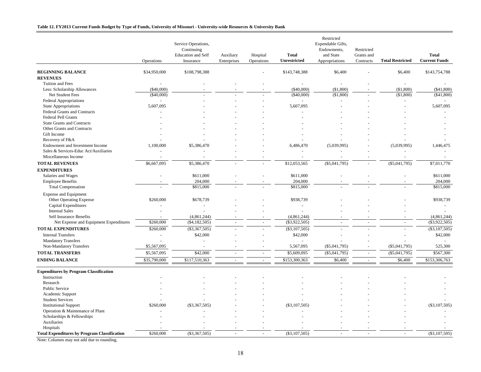#### **Table 12. FY2013 Current Funds Budget by Type of Funds, University of Missouri - University-wide Resources & University Bank**

|                                                     | Operations   | Service Operations,<br>Continuing<br><b>Education</b> and Self<br>Insurance | Auxiliary<br>Enterprises | Hospital<br>Operations   | <b>Total</b><br><b>Unrestricted</b> | Restricted<br>Expendable Gifts,<br>Endowments,<br>and State<br>Appropriations | Restricted<br>Grants and<br>Contracts | <b>Total Restricted</b> | <b>Total</b><br><b>Current Funds</b> |
|-----------------------------------------------------|--------------|-----------------------------------------------------------------------------|--------------------------|--------------------------|-------------------------------------|-------------------------------------------------------------------------------|---------------------------------------|-------------------------|--------------------------------------|
| <b>BEGINNING BALANCE</b>                            |              |                                                                             |                          |                          |                                     |                                                                               |                                       |                         |                                      |
|                                                     | \$34,950,000 | \$108,798,388                                                               |                          |                          | \$143,748,388                       | \$6,400                                                                       |                                       | \$6,400                 | \$143,754,788                        |
| <b>REVENUES</b>                                     |              |                                                                             |                          |                          |                                     |                                                                               |                                       |                         |                                      |
| Tuition and Fees                                    |              |                                                                             |                          |                          |                                     |                                                                               |                                       |                         |                                      |
| Less: Scholarship Allowances                        | $(\$40,000)$ |                                                                             |                          |                          | $(\$40,000)$<br>( \$40,000)         | (\$1,800)                                                                     |                                       | (\$1,800)               | $(\$41,800)$<br>( \$41, 800)         |
| Net Student Fees                                    | (\$40,000)   |                                                                             |                          |                          |                                     | (\$1,800)                                                                     |                                       | (\$1,800)               |                                      |
| Federal Appropriations                              | 5,607,095    |                                                                             |                          |                          | 5,607,095                           |                                                                               |                                       |                         | 5,607,095                            |
| <b>State Appropriations</b>                         |              |                                                                             |                          |                          |                                     |                                                                               |                                       |                         |                                      |
| Federal Grants and Contracts<br>Federal Pell Grants |              |                                                                             |                          |                          |                                     |                                                                               |                                       |                         |                                      |
| <b>State Grants and Contracts</b>                   |              |                                                                             |                          |                          |                                     |                                                                               |                                       |                         |                                      |
| Other Grants and Contracts                          |              |                                                                             |                          |                          |                                     |                                                                               |                                       |                         |                                      |
| Gift Income                                         |              |                                                                             |                          |                          |                                     |                                                                               |                                       |                         |                                      |
|                                                     |              |                                                                             |                          |                          |                                     |                                                                               |                                       |                         |                                      |
| Recovery of F&A<br>Endowment and Investment Income  | 1,100,000    | \$5,386,470                                                                 |                          |                          | 6,486,470                           | (5,039,995)                                                                   |                                       | (5,039,995)             | 1,446,475                            |
| Sales & Services-Educ Act/Auxiliaries               |              |                                                                             |                          |                          |                                     |                                                                               |                                       |                         |                                      |
| Miscellaneous Income                                |              |                                                                             |                          |                          |                                     |                                                                               |                                       |                         |                                      |
|                                                     |              |                                                                             |                          |                          |                                     |                                                                               |                                       |                         |                                      |
| <b>TOTAL REVENUES</b>                               | \$6,667,095  | \$5,386,470                                                                 |                          |                          | \$12,053,565                        | $(\$5,041,795)$                                                               |                                       | $(\$5,041,795)$         | \$7,011,770                          |
| <b>EXPENDITURES</b>                                 |              |                                                                             |                          |                          |                                     |                                                                               |                                       |                         |                                      |
| Salaries and Wages                                  |              | \$611,000                                                                   |                          |                          | \$611,000                           |                                                                               |                                       |                         | \$611,000                            |
| <b>Employee Benefits</b>                            |              | 204,000                                                                     |                          |                          | 204,000                             |                                                                               |                                       |                         | 204,000                              |
| <b>Total Compensation</b>                           |              | \$815,000                                                                   |                          |                          | \$815,000                           |                                                                               |                                       |                         | \$815,000                            |
| <b>Expense and Equipment</b>                        |              |                                                                             |                          |                          |                                     |                                                                               |                                       |                         |                                      |
| <b>Other Operating Expense</b>                      | \$260,000    | \$678,739                                                                   |                          |                          | \$938,739                           |                                                                               |                                       |                         | \$938,739                            |
| Capital Expenditures                                |              |                                                                             |                          |                          |                                     |                                                                               |                                       |                         |                                      |
| <b>Internal Sales</b>                               |              |                                                                             |                          |                          |                                     |                                                                               |                                       |                         |                                      |
| Self Insurance Benefits                             |              | (4,861,244)                                                                 |                          |                          | (4,861,244)                         |                                                                               |                                       |                         | (4,861,244)                          |
| Net Expense and Equipment Expenditures              | \$260,000    | ( \$4,182,505)                                                              | $\sim$                   | $\overline{\phantom{a}}$ | $(\$3,922,505)$                     | $\overline{\phantom{a}}$                                                      | $\sim$                                | $\omega$                | $(\$3,922,505)$                      |
| <b>TOTAL EXPENDITURES</b>                           | \$260,000    | $(\$3,367,505)$                                                             |                          |                          | $(\$3,107,505)$                     |                                                                               |                                       |                         | $(\$3,107,505)$                      |
| <b>Internal Transfers</b>                           |              | \$42,000                                                                    |                          |                          | \$42,000                            |                                                                               |                                       | L,                      | \$42,000                             |
| <b>Mandatory Transfers</b>                          |              |                                                                             |                          |                          |                                     |                                                                               |                                       |                         |                                      |
| Non-Mandatory Transfers                             | \$5,567,095  | $\sim$                                                                      |                          |                          | 5,567,095                           | $(\$5,041,795)$                                                               | $\overline{a}$                        | $(\$5,041,795)$         | 525,300                              |
| <b>TOTAL TRANSFERS</b>                              | \$5,567,095  | \$42,000                                                                    | $\sim$                   | $\overline{\phantom{a}}$ | \$5,609,095                         | $(\$5,041,795)$                                                               | $\sim$                                | $(\$5,041,795)$         | \$567,300                            |
| <b>ENDING BALANCE</b>                               | \$35,790,000 | \$117,510,363                                                               | $\sim$                   | $\sim$                   | \$153,300,363                       | \$6,400                                                                       | $\sim$                                | \$6,400                 | \$153,306,763                        |
|                                                     |              |                                                                             |                          |                          |                                     |                                                                               |                                       |                         |                                      |
| <b>Expenditures by Program Classification</b>       |              |                                                                             |                          |                          |                                     |                                                                               |                                       |                         |                                      |
| Instruction                                         |              |                                                                             |                          |                          |                                     |                                                                               |                                       |                         |                                      |
| Research                                            |              |                                                                             |                          |                          |                                     |                                                                               |                                       |                         |                                      |
| <b>Public Service</b>                               |              |                                                                             |                          |                          |                                     |                                                                               |                                       |                         |                                      |
| Academic Support                                    |              |                                                                             |                          |                          |                                     |                                                                               |                                       |                         |                                      |
| <b>Student Services</b>                             |              |                                                                             |                          |                          |                                     |                                                                               |                                       |                         |                                      |
| <b>Institutional Support</b>                        | \$260,000    | $(\$3,367,505)$                                                             |                          |                          | $(\$3,107,505)$                     |                                                                               |                                       |                         | $(\$3,107,505]$                      |
| Operation & Maintenance of Plant                    |              |                                                                             |                          |                          |                                     |                                                                               |                                       |                         |                                      |
| Scholarships & Fellowships                          |              |                                                                             |                          |                          |                                     |                                                                               |                                       |                         |                                      |
| Auxiliaries                                         |              |                                                                             |                          |                          |                                     |                                                                               |                                       |                         |                                      |
| Hospitals                                           |              |                                                                             |                          |                          |                                     |                                                                               |                                       |                         |                                      |
| <b>Total Expenditures by Program Classification</b> | \$260,000    | $(\$3,367,505)$                                                             |                          |                          | ( \$3,107,505)                      |                                                                               |                                       |                         | (\$3,107,505)                        |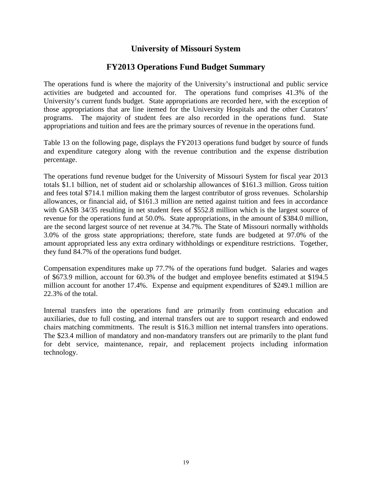## **University of Missouri System**

## **FY2013 Operations Fund Budget Summary**

The operations fund is where the majority of the University's instructional and public service activities are budgeted and accounted for. The operations fund comprises 41.3% of the University's current funds budget. State appropriations are recorded here, with the exception of those appropriations that are line itemed for the University Hospitals and the other Curators' programs. The majority of student fees are also recorded in the operations fund. State appropriations and tuition and fees are the primary sources of revenue in the operations fund.

Table 13 on the following page, displays the FY2013 operations fund budget by source of funds and expenditure category along with the revenue contribution and the expense distribution percentage.

The operations fund revenue budget for the University of Missouri System for fiscal year 2013 totals \$1.1 billion, net of student aid or scholarship allowances of \$161.3 million. Gross tuition and fees total \$714.1 million making them the largest contributor of gross revenues. Scholarship allowances, or financial aid, of \$161.3 million are netted against tuition and fees in accordance with GASB 34/35 resulting in net student fees of \$552.8 million which is the largest source of revenue for the operations fund at 50.0%. State appropriations, in the amount of \$384.0 million, are the second largest source of net revenue at 34.7%. The State of Missouri normally withholds 3.0% of the gross state appropriations; therefore, state funds are budgeted at 97.0% of the amount appropriated less any extra ordinary withholdings or expenditure restrictions. Together, they fund 84.7% of the operations fund budget.

Compensation expenditures make up 77.7% of the operations fund budget. Salaries and wages of \$673.9 million, account for 60.3% of the budget and employee benefits estimated at \$194.5 million account for another 17.4%. Expense and equipment expenditures of \$249.1 million are 22.3% of the total.

Internal transfers into the operations fund are primarily from continuing education and auxiliaries, due to full costing, and internal transfers out are to support research and endowed chairs matching commitments. The result is \$16.3 million net internal transfers into operations. The \$23.4 million of mandatory and non-mandatory transfers out are primarily to the plant fund for debt service, maintenance, repair, and replacement projects including information technology.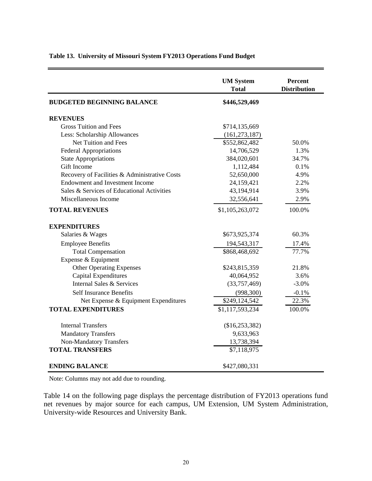|                                               | <b>UM System</b><br><b>Total</b> | Percent<br><b>Distribution</b> |
|-----------------------------------------------|----------------------------------|--------------------------------|
| <b>BUDGETED BEGINNING BALANCE</b>             | \$446,529,469                    |                                |
| <b>REVENUES</b>                               |                                  |                                |
| <b>Gross Tuition and Fees</b>                 | \$714,135,669                    |                                |
| Less: Scholarship Allowances                  | (161, 273, 187)                  |                                |
| Net Tuition and Fees                          | \$552,862,482                    | 50.0%                          |
| <b>Federal Appropriations</b>                 | 14,706,529                       | 1.3%                           |
| <b>State Appropriations</b>                   | 384,020,601                      | 34.7%                          |
| Gift Income                                   | 1,112,484                        | 0.1%                           |
| Recovery of Facilities & Administrative Costs | 52,650,000                       | 4.9%                           |
| <b>Endowment and Investment Income</b>        | 24,159,421                       | 2.2%                           |
| Sales & Services of Educational Activities    | 43,194,914                       | 3.9%                           |
| Miscellaneous Income                          | 32,556,641                       | 2.9%                           |
| <b>TOTAL REVENUES</b>                         | \$1,105,263,072                  | 100.0%                         |
| <b>EXPENDITURES</b>                           |                                  |                                |
| Salaries & Wages                              | \$673,925,374                    | 60.3%                          |
| <b>Employee Benefits</b>                      | 194,543,317                      | 17.4%                          |
| <b>Total Compensation</b>                     | \$868,468,692                    | 77.7%                          |
| Expense & Equipment                           |                                  |                                |
| <b>Other Operating Expenses</b>               | \$243,815,359                    | 21.8%                          |
| Capital Expenditures                          | 40,064,952                       | 3.6%                           |
| Internal Sales & Services                     | (33,757,469)                     | $-3.0%$                        |
| <b>Self Insurance Benefits</b>                | (998, 300)                       | $-0.1%$                        |
| Net Expense & Equipment Expenditures          | \$249,124,542                    | 22.3%                          |
| <b>TOTAL EXPENDITURES</b>                     | \$1,117,593,234                  | 100.0%                         |
| <b>Internal Transfers</b>                     | (\$16,253,382)                   |                                |
| <b>Mandatory Transfers</b>                    | 9,633,963                        |                                |
| <b>Non-Mandatory Transfers</b>                | 13,738,394                       |                                |
| <b>TOTAL TRANSFERS</b>                        | \$7,118,975                      |                                |
| <b>ENDING BALANCE</b>                         | \$427,080,331                    |                                |

## **Table 13. University of Missouri System FY2013 Operations Fund Budget**

Note: Columns may not add due to rounding.

Table 14 on the following page displays the percentage distribution of FY2013 operations fund net revenues by major source for each campus, UM Extension, UM System Administration, University-wide Resources and University Bank.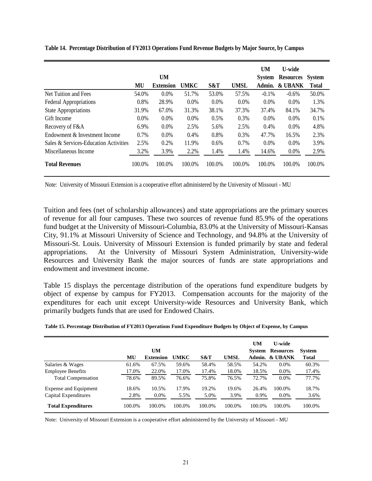|                                       |         | <b>UM</b>        |             |        |             | <b>UM</b><br><b>System</b> | <b>U-wide</b><br><b>Resources</b> | <b>System</b> |
|---------------------------------------|---------|------------------|-------------|--------|-------------|----------------------------|-----------------------------------|---------------|
|                                       | MU      | <b>Extension</b> | <b>UMKC</b> | S&T    | <b>UMSL</b> | Admin.                     | & UBANK                           | <b>Total</b>  |
| Net Tuition and Fees                  | 54.0%   | 0.0%             | 51.7%       | 53.0%  | 57.5%       | $-0.1%$                    | $-0.6%$                           | 50.0%         |
| <b>Federal Appropriations</b>         | 0.8%    | 28.9%            | $0.0\%$     | 0.0%   | 0.0%        | $0.0\%$                    | 0.0%                              | 1.3%          |
| <b>State Appropriations</b>           | 31.9%   | 67.0%            | 31.3%       | 38.1%  | 37.3%       | 37.4%                      | 84.1%                             | 34.7%         |
| Gift Income                           | $0.0\%$ | $0.0\%$          | $0.0\%$     | 0.5%   | 0.3%        | $0.0\%$                    | 0.0%                              | 0.1%          |
| Recovery of F&A                       | 6.9%    | 0.0%             | 2.5%        | 5.6%   | 2.5%        | 0.4%                       | 0.0%                              | 4.8%          |
| Endowment & Investment Income         | 0.7%    | 0.0%             | 0.4%        | 0.8%   | 0.3%        | 47.7%                      | 16.5%                             | 2.3%          |
| Sales & Services-Education Activities | 2.5%    | 0.2%             | 11.9%       | 0.6%   | $0.7\%$     | $0.0\%$                    | $0.0\%$                           | 3.9%          |
| Miscellaneous Income                  | 3.2%    | 3.9%             | 2.2%        | 1.4%   | 1.4%        | 14.6%                      | $0.0\%$                           | 2.9%          |
| <b>Total Revenues</b>                 | 100.0%  | 100.0%           | 100.0%      | 100.0% | 100.0%      | 100.0%                     | 100.0%                            | 100.0%        |

**Table 14. Percentage Distribution of FY2013 Operations Fund Revenue Budgets by Major Source, by Campus**

Note: University of Missouri Extension is a cooperative effort administered by the University of Missouri - MU

Tuition and fees (net of scholarship allowances) and state appropriations are the primary sources of revenue for all four campuses. These two sources of revenue fund 85.9% of the operations fund budget at the University of Missouri-Columbia, 83.0% at the University of Missouri-Kansas City, 91.1% at Missouri University of Science and Technology, and 94.8% at the University of Missouri-St. Louis. University of Missouri Extension is funded primarily by state and federal appropriations. At the University of Missouri System Administration, University-wide Resources and University Bank the major sources of funds are state appropriations and endowment and investment income.

Table 15 displays the percentage distribution of the operations fund expenditure budgets by object of expense by campus for FY2013. Compensation accounts for the majority of the expenditures for each unit except University-wide Resources and University Bank, which primarily budgets funds that are used for Endowed Chairs.

|                           |        |                  |        |        |             | <b>UM</b>     | <b>U-wide</b>    |               |
|---------------------------|--------|------------------|--------|--------|-------------|---------------|------------------|---------------|
|                           |        | UM               |        |        |             | <b>System</b> | <b>Resources</b> | <b>System</b> |
|                           | MU     | <b>Extension</b> | UMKC   | S&T    | <b>UMSL</b> | Admin.        | & UBANK          | Total         |
| Salaries & Wages          | 61.6%  | 67.5%            | 59.6%  | 58.4%  | 58.5%       | 54.2%         | 0.0%             | 60.3%         |
| <b>Employee Benefits</b>  | 17.0%  | 22.0%            | 17.0%  | 17.4%  | 18.0%       | 18.5%         | 0.0%             | 17.4%         |
| <b>Total Compensation</b> | 78.6%  | 89.5%            | 76.6%  | 75.8%  | 76.5%       | 72.7%         | $0.0\%$          | 77.7%         |
| Expense and Equipment     | 18.6%  | 10.5%            | 17.9%  | 19.2%  | 19.6%       | 26.4%         | 100.0%           | 18.7%         |
| Capital Expenditures      | 2.8%   | $0.0\%$          | 5.5%   | 5.0%   | 3.9%        | 0.9%          | 0.0%             | 3.6%          |
| <b>Total Expenditures</b> | 100.0% | 100.0%           | 100.0% | 100.0% | 100.0%      | 100.0%        | 100.0%           | 100.0%        |

Note: University of Missouri Extension is a cooperative effort administered by the University of Missouri - MU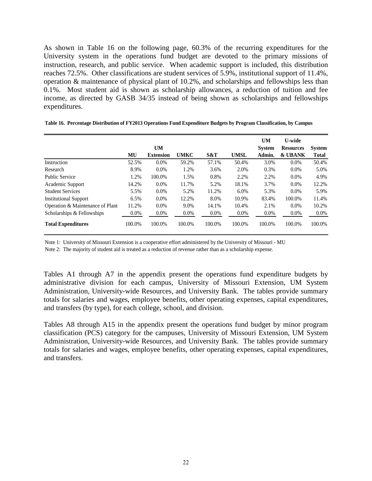As shown in Table 16 on the following page, 60.3% of the recurring expenditures for the University system in the operations fund budget are devoted to the primary missions of instruction, research, and public service. When academic support is included, this distribution reaches 72.5%. Other classifications are student services of 5.9%, institutional support of 11.4%, operation & maintenance of physical plant of 10.2%, and scholarships and fellowships less than 0.1%. Most student aid is shown as scholarship allowances, a reduction of tuition and fee income, as directed by GASB 34/35 instead of being shown as scholarships and fellowships expenditures.

|                                  |         | <b>UM</b>        |             |         |             | <b>UM</b><br><b>System</b> | <b>U-wide</b><br><b>Resources</b> | <b>System</b> |
|----------------------------------|---------|------------------|-------------|---------|-------------|----------------------------|-----------------------------------|---------------|
|                                  | MU      | <b>Extension</b> | <b>UMKC</b> | S&T     | <b>UMSL</b> | Admin.                     | & UBANK                           | <b>Total</b>  |
| Instruction                      | 52.5%   | $0.0\%$          | 59.2%       | 57.1%   | 50.4%       | 3.0%                       | $0.0\%$                           | 50.4%         |
| Research                         | 8.9%    | $0.0\%$          | 1.2%        | 3.6%    | 2.0%        | 0.3%                       | $0.0\%$                           | 5.0%          |
| <b>Public Service</b>            | 1.2%    | 100.0%           | 1.5%        | 0.8%    | 2.2%        | 2.2%                       | $0.0\%$                           | 4.9%          |
| Academic Support                 | 14.2%   | $0.0\%$          | 11.7%       | 5.2%    | 18.1%       | 3.7%                       | 0.0%                              | 12.2%         |
| <b>Student Services</b>          | 5.5%    | $0.0\%$          | 5.2%        | 11.2%   | 6.0%        | 5.3%                       | $0.0\%$                           | 5.9%          |
| <b>Institutional Support</b>     | 6.5%    | $0.0\%$          | 12.2%       | 8.0%    | 10.9%       | 83.4%                      | 100.0%                            | 11.4%         |
| Operation & Maintenance of Plant | 11.2%   | $0.0\%$          | 9.0%        | 14.1%   | 10.4%       | 2.1%                       | $0.0\%$                           | 10.2%         |
| Scholarships & Fellowships       | $0.0\%$ | 0.0%             | $0.0\%$     | $0.0\%$ | 0.0%        | $0.0\%$                    | $0.0\%$                           | $0.0\%$       |
| <b>Total Expenditures</b>        | 100.0%  | 100.0%           | 100.0%      | 100.0%  | 100.0%      | 100.0%                     | 100.0%                            | 100.0%        |

**Table 16. Percentage Distribution of FY2013 Operations Fund Expenditure Budgets by Program Classification, by Campus**

Note 1: University of Missouri Extension is a cooperative effort administered by the University of Missouri - MU

Note 2: The majority of student aid is treated as a reduction of revenue rather than as a scholarship expense.

Tables A1 through A7 in the appendix present the operations fund expenditure budgets by administrative division for each campus, University of Missouri Extension, UM System Administration, University-wide Resources, and University Bank. The tables provide summary totals for salaries and wages, employee benefits, other operating expenses, capital expenditures, and transfers (by type), for each college, school, and division.

Tables A8 through A15 in the appendix present the operations fund budget by minor program classification (PCS) category for the campuses, University of Missouri Extension, UM System Administration, University-wide Resources, and University Bank. The tables provide summary totals for salaries and wages, employee benefits, other operating expenses, capital expenditures, and transfers.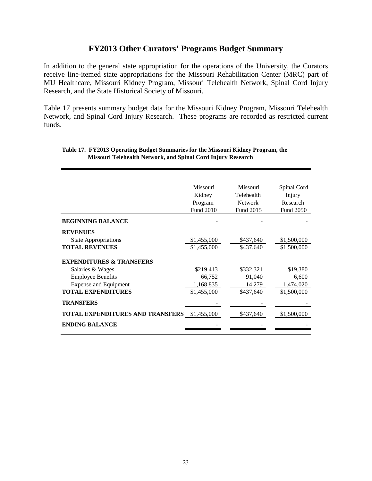## **FY2013 Other Curators' Programs Budget Summary**

In addition to the general state appropriation for the operations of the University, the Curators receive line-itemed state appropriations for the Missouri Rehabilitation Center (MRC) part of MU Healthcare, Missouri Kidney Program, Missouri Telehealth Network, Spinal Cord Injury Research, and the State Historical Society of Missouri.

Table 17 presents summary budget data for the Missouri Kidney Program, Missouri Telehealth Network, and Spinal Cord Injury Research. These programs are recorded as restricted current funds.

|                                                                         | Missouri<br>Kidney<br>Program<br>Fund 2010 | Missouri<br>Telehealth<br><b>Network</b><br>Fund 2015 | Spinal Cord<br>Injury<br>Research<br><b>Fund 2050</b> |
|-------------------------------------------------------------------------|--------------------------------------------|-------------------------------------------------------|-------------------------------------------------------|
| <b>BEGINNING BALANCE</b>                                                |                                            |                                                       |                                                       |
| <b>REVENUES</b><br><b>State Appropriations</b><br><b>TOTAL REVENUES</b> | \$1,455,000<br>\$1,455,000                 | \$437,640<br>\$437,640                                | \$1,500,000<br>\$1,500,000                            |
| <b>EXPENDITURES &amp; TRANSFERS</b>                                     |                                            |                                                       |                                                       |
| Salaries & Wages                                                        | \$219,413                                  | \$332,321                                             | \$19,380                                              |
| <b>Employee Benefits</b>                                                | 66,752                                     | 91,040                                                | 6,600                                                 |
| <b>Expense and Equipment</b>                                            | 1,168,835                                  | 14,279                                                | 1,474,020                                             |
| <b>TOTAL EXPENDITURES</b>                                               | \$1,455,000                                | \$437,640                                             | \$1,500,000                                           |
| <b>TRANSFERS</b>                                                        |                                            |                                                       |                                                       |
| <b>TOTAL EXPENDITURES AND TRANSFERS</b>                                 | \$1,455,000                                | \$437,640                                             | \$1,500,000                                           |
| <b>ENDING BALANCE</b>                                                   |                                            |                                                       |                                                       |

#### **Table 17. FY2013 Operating Budget Summaries for the Missouri Kidney Program, the Missouri Telehealth Network, and Spinal Cord Injury Research**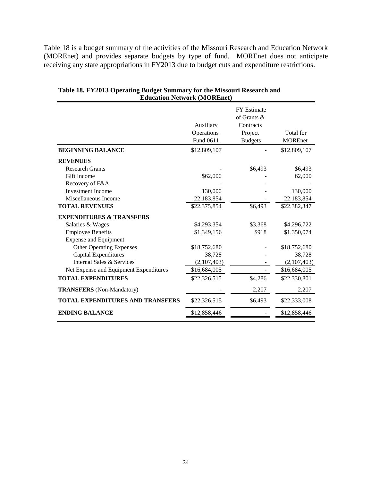Table 18 is a budget summary of the activities of the Missouri Research and Education Network (MOREnet) and provides separate budgets by type of fund. MOREnet does not anticipate receiving any state appropriations in FY2013 due to budget cuts and expenditure restrictions.

|                                         | Auxiliary<br>Operations<br>Fund 0611 | <b>FY Estimate</b><br>of Grants &<br>Contracts<br>Project<br><b>Budgets</b> | Total for<br><b>MOREnet</b> |
|-----------------------------------------|--------------------------------------|-----------------------------------------------------------------------------|-----------------------------|
| <b>BEGINNING BALANCE</b>                | \$12,809,107                         |                                                                             | \$12,809,107                |
| <b>REVENUES</b>                         |                                      |                                                                             |                             |
| <b>Research Grants</b>                  |                                      | \$6,493                                                                     | \$6,493                     |
| Gift Income                             | \$62,000                             |                                                                             | 62,000                      |
| Recovery of F&A                         |                                      |                                                                             |                             |
| <b>Investment Income</b>                | 130,000                              |                                                                             | 130,000                     |
| Miscellaneous Income                    | 22,183,854                           |                                                                             | 22,183,854                  |
| <b>TOTAL REVENUES</b>                   | \$22,375,854                         | \$6,493                                                                     | \$22,382,347                |
| <b>EXPENDITURES &amp; TRANSFERS</b>     |                                      |                                                                             |                             |
| Salaries & Wages                        | \$4,293,354                          | \$3,368                                                                     | \$4,296,722                 |
| <b>Employee Benefits</b>                | \$1,349,156                          | \$918                                                                       | \$1,350,074                 |
| <b>Expense and Equipment</b>            |                                      |                                                                             |                             |
| <b>Other Operating Expenses</b>         | \$18,752,680                         |                                                                             | \$18,752,680                |
| <b>Capital Expenditures</b>             | 38,728                               |                                                                             | 38,728                      |
| Internal Sales & Services               | (2,107,403)                          |                                                                             | (2,107,403)                 |
| Net Expense and Equipment Expenditures  | \$16,684,005                         |                                                                             | \$16,684,005                |
| <b>TOTAL EXPENDITURES</b>               | \$22,326,515                         | \$4,286                                                                     | \$22,330,801                |
| <b>TRANSFERS</b> (Non-Mandatory)        |                                      | 2,207                                                                       | 2,207                       |
| <b>TOTAL EXPENDITURES AND TRANSFERS</b> | \$22,326,515                         | \$6,493                                                                     | \$22,333,008                |
| <b>ENDING BALANCE</b>                   | \$12,858,446                         |                                                                             | \$12,858,446                |

**Table 18. FY2013 Operating Budget Summary for the Missouri Research and Education Network (MOREnet)**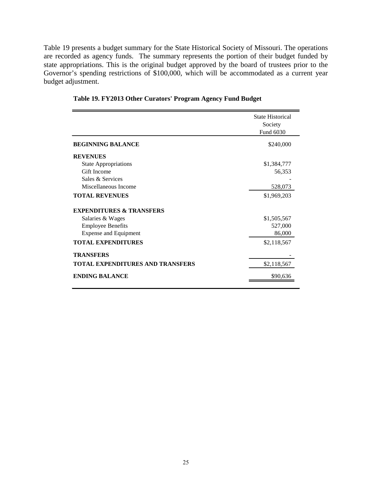Table 19 presents a budget summary for the State Historical Society of Missouri. The operations are recorded as agency funds. The summary represents the portion of their budget funded by state appropriations. This is the original budget approved by the board of trustees prior to the Governor's spending restrictions of \$100,000, which will be accommodated as a current year budget adjustment.

|                                         | <b>State Historical</b><br>Society<br>Fund 6030 |
|-----------------------------------------|-------------------------------------------------|
| <b>BEGINNING BALANCE</b>                | \$240,000                                       |
| <b>REVENUES</b>                         |                                                 |
| <b>State Appropriations</b>             | \$1,384,777                                     |
| Gift Income                             | 56,353                                          |
| Sales & Services                        |                                                 |
| Miscellaneous Income                    | 528,073                                         |
| <b>TOTAL REVENUES</b>                   | \$1,969,203                                     |
| <b>EXPENDITURES &amp; TRANSFERS</b>     |                                                 |
| Salaries & Wages                        | \$1,505,567                                     |
| <b>Employee Benefits</b>                | 527,000                                         |
| <b>Expense and Equipment</b>            | 86,000                                          |
| <b>TOTAL EXPENDITURES</b>               | \$2,118,567                                     |
| <b>TRANSFERS</b>                        |                                                 |
| <b>TOTAL EXPENDITURES AND TRANSFERS</b> | \$2,118,567                                     |
| <b>ENDING BALANCE</b>                   | \$90,636                                        |

**Table 19. FY2013 Other Curators' Program Agency Fund Budget**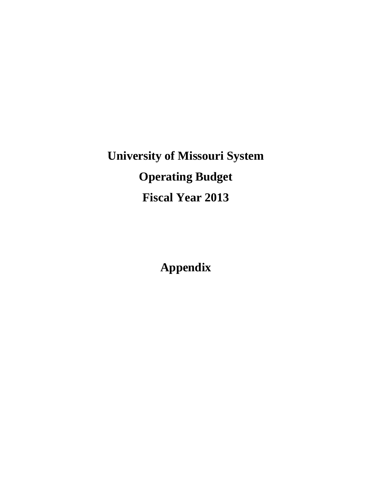**University of Missouri System Operating Budget Fiscal Year 2013** 

**Appendix**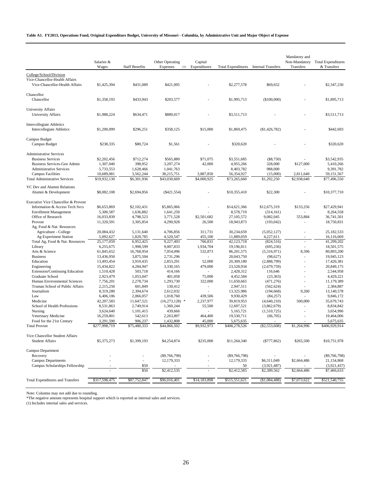#### **Table A1. FY2013, Operations Fund, Original Expenditure Budget, University of Missouri - Columbia, by Administrative Unit and Major Object of Expense**

|                                                                                             | Salaries &<br>Wages        | <b>Staff Benefits</b>    | Other Operating<br>Expenses<br>(1) | Capital<br>Expenditures | <b>Total Expenditures</b>  | <b>Internal Transfers</b> | Mandatory and<br>Non-Mandatory<br>Transfers | <b>Total Expenditures</b><br>& Transfers |
|---------------------------------------------------------------------------------------------|----------------------------|--------------------------|------------------------------------|-------------------------|----------------------------|---------------------------|---------------------------------------------|------------------------------------------|
|                                                                                             |                            |                          |                                    |                         |                            |                           |                                             |                                          |
| College/School/Division<br>Vice-Chancellor-Health Affairs<br>Vice-Chancellor-Health Affairs | \$1,425,394                | \$431,089                | \$421,095                          |                         | \$2,277,578                | \$69,652                  |                                             | \$2,347,230                              |
| Chancellor<br>Chancellor                                                                    | \$1,358,193                | \$433,943                | \$203,577                          |                         | \$1,995,713                | (\$100,000)               |                                             | \$1,895,713                              |
| University Affairs<br><b>University Affairs</b>                                             | \$1,988,224                | \$634,471                | \$889,017                          |                         | \$3,511,713                |                           |                                             | \$3,511,713                              |
| <b>Intercollegiate Athletics</b><br><b>Intercollegiate Athletics</b>                        | \$1,200,099                | \$296,251                | \$358,125                          | \$15,000                | \$1,869,475                | $(\$1,426,782)$           |                                             | \$442,693                                |
| Campus Budget                                                                               |                            |                          |                                    |                         |                            |                           |                                             |                                          |
| Campus Budget                                                                               | \$238,335                  | \$80,724                 | \$1,561                            |                         | \$320,620                  |                           |                                             | \$320,620                                |
| <b>Administrative Services</b>                                                              |                            |                          |                                    |                         |                            |                           |                                             |                                          |
| <b>Business Services</b>                                                                    | \$2,202,456                | \$712,274                | \$565,880                          | \$71,075                | \$3,551,685                | $(\$8,750)$               |                                             | \$3,542,935                              |
| Business Services-Gen Admin                                                                 | 1,307,040                  | 398,952                  | 3,207,274                          | 42,000                  | 4,955,266                  | 328,000                   | \$127,000                                   | 5,410,266                                |
| <b>Administrative Services</b>                                                              | 5,733,553                  | 1,628,466                | 1,041,763                          | 3,887,850               | 8,403,782                  | 988,000                   |                                             | 9,391,782                                |
| <b>Campus Facilities</b><br><b>Total Administrative Services</b>                            | 10,689,081<br>\$19,932,130 | 3,562,244<br>\$6,301,936 | 38,215,751<br>\$43,030,669         | $\overline{54,000,925}$ | 56,354,927<br>\$73,265,660 | (15,000)<br>\$1,292,250   | 2,811,640<br>\$2,938,640                    | 59,151,567<br>\$77,496,550               |
|                                                                                             |                            |                          |                                    |                         |                            |                           |                                             |                                          |
| VC Dev and Alumni Relations                                                                 |                            |                          |                                    |                         |                            |                           |                                             |                                          |
| Alumni & Development                                                                        | \$8,082,108                | \$2,694,856              | $(\$421,554)$                      |                         | \$10,355,410               | \$22,300                  |                                             | \$10,377,710                             |
| Executive Vice Chancellor & Provost                                                         |                            |                          |                                    |                         |                            |                           |                                             |                                          |
| Information & Access Tech Svcs                                                              | \$6,653,869                | \$2,102,431              | \$5,865,066                        |                         | \$14,621,366               | \$12,675,319              | \$133,256                                   | \$27,429,941                             |
| <b>Enrollment Management</b>                                                                | 5,300,587                  | 1,636,882                | 1,641,250                          |                         | 8,578,719                  | (314, 161)                |                                             | 8,264,558                                |
| Office of Research                                                                          | 16,033,839                 | 4,798,523                | 3,771,528                          | \$2,501,682             | 27,105,572                 | 9,082,045                 | 553,884                                     | 36,741,501                               |
| Provost                                                                                     | 11,320,591                 | 3,305,854                | 4,290,928                          | 26,500                  | 18,943,873                 | (193, 042)                |                                             | 18,750,831                               |
| Ag, Food & Nat. Resources                                                                   |                            |                          |                                    |                         |                            |                           |                                             |                                          |
| Agriculture - College                                                                       | 20,084,432                 | 5,131,640                | 4,706,856                          | 311,731                 | 30,234,659                 | (5,052,127)               |                                             | 25,182,533                               |
| Ag Experiment Station                                                                       | 5,092,627                  | 1,820,785                | 4,520,547                          | 455,100                 | 11,889,059                 | 4,227,611                 |                                             | 16,116,669                               |
| Total Ag, Food & Nat. Resources                                                             | 25,177,059                 | 6,952,425                | 9,227,403                          | 766,831                 | 42,123,718                 | (824, 516)                |                                             | 41,299,202                               |
| Library                                                                                     | 6,255,675                  | 1,998,599                | 9,007,833                          | 1,934,704               | 19,196,811                 | (695, 236)                |                                             | 18,501,575                               |
| Arts & Science                                                                              | 61,845,652                 | 16,768,954               | 7,054,096                          | 532,873                 | 86,201,575                 | (5,316,971)               | 8,596                                       | 80,893,200                               |
| <b>Business</b>                                                                             | 13,436,950                 | 3,875,504                | 2,731,296                          |                         | 20,043,750                 | (98, 627)                 | $\sim$                                      | 19,945,123                               |
| Education                                                                                   | 13,493,454                 | 3,910,435                | 2,853,291                          | 52,000                  | 20,309,180                 | (2,888,799)               |                                             | 17,420,381                               |
| Engineering                                                                                 | 15,434,822                 | 4,284,947                | 3,330,165                          | 479,000                 | 23,528,934                 | (2,679,759)               | $\overline{\phantom{a}}$                    | 20,849,175                               |
| <b>Extension/Continuing Education</b>                                                       | 1,510,428                  | 503,718                  | 414,166                            |                         | 2,428,312                  | 116,646                   |                                             | 2,544,958                                |
| Graduate School<br>Human Environmental Sciences                                             | 2,923,479                  | 1,053,047                | 401,058                            | 75,000<br>322,000       | 4,452,584                  | (23, 363)                 | $\sim$                                      | 4,429,221<br>11,179,389                  |
| Truman School of Public Affairs                                                             | 7,756,201<br>2,215,250     | 2,278,734<br>601,849     | 1,293,730<br>130,412               |                         | 11,650,665<br>2,947,511    | (471, 276)<br>(562, 624)  |                                             | 2,384,887                                |
| Journalism                                                                                  | 8,319,280                  | 2,394,674                | 2,612,032                          |                         | 13,325,986                 | (194, 668)                | 9,260                                       | 13,140,578                               |
| Law                                                                                         | 6,406,106                  | 2,066,057                | 1,018,760                          | 439,506                 | 9,930,429                  | (84, 257)                 |                                             | 9,846,172                                |
| Medicine                                                                                    | 42,207,583                 | 11,647,521               | (16, 273, 128)<br>$\ast$           | 2,237,977               | 39,819,953                 | (4,640,210)               | 500,000                                     | 35,679,743                               |
| School of Health Professions                                                                | 8,531,863                  | 2,749,914                | 1,360,244                          | 55,500                  | 12,697,521                 | (3,862,679)               |                                             | 8,834,842                                |
| Nursing                                                                                     | 3,624,640                  | 1,101,415                | 439,666                            |                         | 5,165,721                  | (1,510,725)               |                                             | 3,654,996                                |
| Veterinary Medicine                                                                         | 16,259,801                 | 542,613                  | 2,263,897                          | 464,400                 | 19,530,711                 | (66, 705)                 |                                             | 19,464,006                               |
| Food for the 21st Century                                                                   | 3,291,590                  | 906,237                  | 1,432,808                          | 45,000                  | 5,675,635                  |                           |                                             | 5,675,635                                |
| <b>Total Provost</b>                                                                        | \$277,998,719              | \$75,480,333             | \$44,866,502                       | \$9,932,973             | \$408,278,526              | $(\$2,553,608)$           | \$1,204,996                                 | \$406,929,914                            |
| Vice Chancellor Student Affairs                                                             |                            |                          |                                    |                         |                            |                           |                                             |                                          |
| <b>Student Affairs</b>                                                                      | \$5,375,273                | \$1,399,193              | \$4,254,874                        | \$235,000               | \$11,264,340               | $(\$777,862)$             | \$265,500                                   | \$10,751,978                             |
| Campus Department                                                                           |                            |                          |                                    |                         |                            |                           |                                             |                                          |
| Recovery                                                                                    |                            |                          | $(\$9,766,798)$                    |                         | (\$9,766,798)              |                           |                                             | $(\$9,766,798)$                          |
| <b>Campus Departments</b>                                                                   |                            | $\overline{\phantom{a}}$ | 12,179,333                         |                         | 12,179,333                 | \$6,311,049               | \$2,664,486                                 | 21,154,868                               |
| Campus Scholarships Fellowship                                                              |                            | \$50                     |                                    |                         | 50                         | (3,921,487)               |                                             | (3,921,437)                              |
|                                                                                             |                            | \$50                     | \$2,412,535                        |                         | \$2,412,585                | \$2,389,562               | \$2,664,486                                 | \$7,466,633                              |
| <b>Total Expenditures and Transfers</b>                                                     | \$317,598,475              | \$87,752,847             | \$96,016,401                       | \$14,183,898            | \$515,551,621              | (\$1,084,488)             | \$7,073,622                                 | \$521,540,755                            |
|                                                                                             |                            |                          |                                    |                         |                            |                           |                                             |                                          |

Note: Columns may not add due to rounding.

\*The negative amount represents hospital support which is reported as internal sales and services.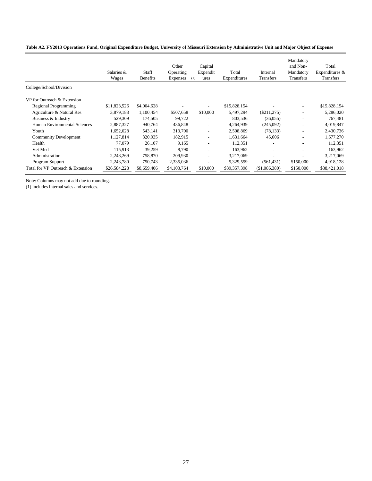|                                   | Salaries &<br>Wages | Staff<br><b>Benefits</b> | Other<br>Operating<br><b>Expenses</b> | Capital<br>Expendit<br>(1)<br>ures | Total<br>Expenditures | Internal<br><b>Transfers</b> | Mandatory<br>and Non-<br>Mandatory<br><b>Transfers</b> | Total<br>Expenditures &<br><b>Transfers</b> |
|-----------------------------------|---------------------|--------------------------|---------------------------------------|------------------------------------|-----------------------|------------------------------|--------------------------------------------------------|---------------------------------------------|
| College/School/Division           |                     |                          |                                       |                                    |                       |                              |                                                        |                                             |
| VP for Outreach & Extension       |                     |                          |                                       |                                    |                       |                              |                                                        |                                             |
| <b>Regional Programming</b>       | \$11,823,526        | \$4,004,628              |                                       |                                    | \$15,828,154          |                              |                                                        | \$15,828,154                                |
| Agriculture & Natural Res         | 3,879,183           | 1,100,454                | \$507,658                             | \$10,000                           | 5,497,294             | $(\$211,275)$                |                                                        | 5,286,020                                   |
| Business & Industry               | 529,309             | 174,505                  | 99,722                                |                                    | 803,536               | (36,055)                     |                                                        | 767,481                                     |
| Human Environmental Sciences      | 2,887,327           | 940,764                  | 436,848                               | $\overline{\phantom{0}}$           | 4,264,939             | (245,092)                    |                                                        | 4,019,847                                   |
| Youth                             | 1,652,028           | 543,141                  | 313,700                               | $\overline{\phantom{a}}$           | 2,508,869             | (78, 133)                    |                                                        | 2,430,736                                   |
| <b>Community Development</b>      | 1,127,814           | 320,935                  | 182,915                               |                                    | 1,631,664             | 45,606                       |                                                        | 1,677,270                                   |
| Health                            | 77.079              | 26,107                   | 9,165                                 |                                    | 112,351               |                              |                                                        | 112,351                                     |
| Vet Med                           | 115,913             | 39,259                   | 8,790                                 |                                    | 163,962               |                              |                                                        | 163,962                                     |
| Administration                    | 2,248,269           | 758,870                  | 209,930                               |                                    | 3,217,069             |                              |                                                        | 3,217,069                                   |
| Program Support                   | 2,243,780           | 750,743                  | 2,335,036                             |                                    | 5,329,559             | (561, 431)                   | \$150,000                                              | 4,918,128                                   |
| Total for VP Outreach & Extension | \$26,584,228        | \$8,659,406              | \$4,103,764                           | \$10,000                           | \$39,357,398          | (\$1,086,380)                | \$150,000                                              | \$38,421,018                                |
|                                   |                     |                          |                                       |                                    |                       |                              |                                                        |                                             |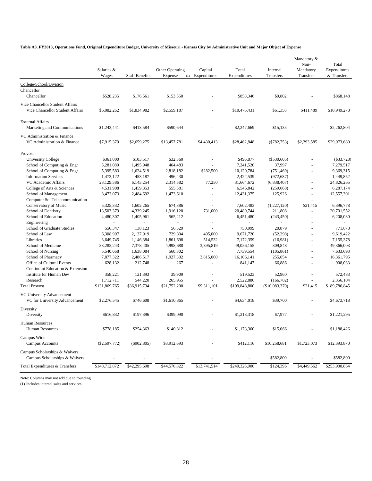#### **Table A3. FY2013, Operations Fund, Original Expenditure Budget, University of Missouri - Kansas City by Administrative Unit and Major Object of Expense**

|                                           | Salaries &      |                       | Other Operating | Capital              | Total         | Internal       | Mandatory &<br>Non-<br>Mandatory | Total<br>Expenditures |
|-------------------------------------------|-----------------|-----------------------|-----------------|----------------------|---------------|----------------|----------------------------------|-----------------------|
|                                           | Wages           | <b>Staff Benefits</b> | Expense         | (1) Expenditures     | Expenditures  | Transfers      | Transfers                        | & Transfers           |
| College/School/Division                   |                 |                       |                 |                      |               |                |                                  |                       |
| Chancellor                                |                 |                       |                 |                      |               |                |                                  |                       |
| Chancellor                                | \$528,235       | \$176,561             | \$153,550       |                      | \$858,346     | \$9,802        |                                  | \$868,148             |
| Vice Chancellor Student Affairs           |                 |                       |                 |                      |               |                |                                  |                       |
| Vice Chancellor Student Affairs           | \$6,082,262     | \$1,834,982           | \$2,559,187     |                      | \$10,476,431  | \$61,358       | \$411,489                        | \$10,949,278          |
| <b>External Affairs</b>                   |                 |                       |                 |                      |               |                |                                  |                       |
| Marketing and Communications              | \$1,243,441     | \$413,584             | \$590,644       |                      | \$2,247,669   | \$15,135       |                                  | \$2,262,804           |
| VC Administration & Finance               |                 |                       |                 |                      |               |                |                                  |                       |
| VC Administration & Finance               | \$7,915,379     | \$2,659,275           | \$13,457,781    | \$4,430,413          | \$28,462,848  | $(\$782,753)$  | \$2,293,585                      | \$29,973,680          |
| Provost                                   |                 |                       |                 |                      |               |                |                                  |                       |
| <b>University College</b>                 | \$361,000       | \$103,517             | \$32,360        |                      | \$496,877     | $(\$530,605)$  |                                  | $(\$33,728)$          |
| School of Computing & Engr                | 5,281,089       | 1,495,948             | 464,483         |                      | 7,241,520     | 37,997         |                                  | 7,279,517             |
| School of Computing & Engr                | 5,395,583       | 1,624,519             | 2,818,182       | \$282,500            | 10,120,784    | (751, 469)     |                                  | 9,369,315             |
| <b>Information Services</b>               | 1,473,122       | 453,187               | 496,230         |                      | 2,422,539     | (972, 687)     |                                  | 1,449,852             |
| VC Academic Affairs                       | 23,129,586      | 6,143,254             | 2,314,582       | 77,250               | 31,664,672    | (6,838,407)    |                                  | 24,826,265            |
| College of Arts & Sciences                | 4,531,908       | 1,459,353             | 555,581         | ÷,                   | 6,546,842     | (259, 668)     | $\sim$                           | 6,287,174             |
| School of Management                      | 8,473,073       | 2,484,692             | 1,473,610       |                      | 12,431,375    | 125,926        |                                  | 12,557,301            |
| Computer Sci Telecommunication            | $\omega$        | $\blacksquare$        | $\blacksquare$  | $\ddot{\phantom{1}}$ | ÷.            | $\omega$       | $\overline{\phantom{a}}$         | $\sim$                |
| Conservatory of Music                     | 5,325,332       | 1,602,265             | 674,886         |                      | 7,602,483     | (1,227,120)    | \$21.415                         | 6,396,778             |
| School of Dentistry                       | 13,503,379      | 4,339,245             | 1,916,120       | 731,000              | 20,489,744    | 211,808        |                                  | 20,701,552            |
| School of Education                       | 4,480,307       | 1,405,961             | 565,212         | ÷,                   | 6,451,480     | (243, 450)     |                                  | 6,208,030             |
| Engineering                               |                 | $\omega$              | $\omega$        |                      |               |                |                                  |                       |
| School of Graduate Studies                | 556,347         | 138,123               | 56,529          |                      | 750,999       | 20,879         |                                  | 771,878               |
| School of Law                             | 6,308,997       | 2,137,919             | 729,804         | 495,000              | 9,671,720     | (52, 298)      |                                  | 9,619,422             |
| Libraries                                 | 3,649,745       | 1,146,384             | 1,861,698       | 514,532              | 7,172,359     | (16,981)       | $\sim$                           | 7,155,378             |
| School of Medicine                        | 33,283,243      | 7,378,405             | 4,998,688       | 3,395,819            | 49,056,155    | 309,848        |                                  | 49,366,003            |
| School of Nursing                         | 5,540,668       | 1,638,084             | 560,802         | ÷.                   | 7,739,554     | (105, 861)     |                                  | 7,633,693             |
| School of Pharmacy                        | 7,877,322       | 2,486,517             | 1,927,302       | 3,815,000            | 16,106,141    | 255,654        |                                  | 16,361,795            |
| Office of Cultural Events                 | 628,132         | 212,748               | 267             |                      | 841,147       | 66,886         |                                  | 908,033               |
| Continuint Education & Extension          |                 |                       | ÷,              | ÷,                   |               |                |                                  |                       |
| Institute for Human Dev                   | 358,221         | 121,393               | 39,909          |                      | 519,523       | 52,960         |                                  | 572,483               |
| Research                                  | 1,712,711       | 544,220               | 265,955         |                      | 2,522,886     | (166, 782)     |                                  | 2,356,104             |
| <b>Total Provost</b>                      | \$131,869,765   | \$36,915,734          | \$21,752,200    | \$9,311,101          | \$199,848,800 | (\$10,083,370) | \$21,415                         | \$189,786,845         |
| VC University Advancement                 |                 |                       |                 |                      |               |                |                                  |                       |
| VC for University Advancement             | \$2,276,545     | \$746,608             | \$1,610,865     |                      | \$4,634,018   | \$39,700       |                                  | \$4,673,718           |
| Diversity                                 |                 |                       |                 |                      |               |                |                                  |                       |
| Diversity                                 | \$616,832       | \$197,396             | \$399,090       |                      | \$1,213,318   | \$7,977        |                                  | \$1,221,295           |
|                                           |                 |                       |                 |                      |               |                |                                  |                       |
| Human Resources<br><b>Human Resources</b> | \$778,185       | \$254,363             | \$140,812       |                      | \$1,173,360   | \$15,066       |                                  | \$1,188,426           |
|                                           |                 |                       |                 |                      |               |                |                                  |                       |
| Campus Wide                               |                 |                       |                 |                      |               |                |                                  |                       |
| Campus Accounts                           | $(\$2,597,772)$ | $(\$902,805)$         | \$3,912,693     |                      | \$412,116     | \$10,258,681   | \$1,723,073                      | \$12,393,870          |
| Campus Scholarships & Waivers             |                 |                       |                 |                      |               |                |                                  |                       |
| Campus Scholarships & Waivers             |                 |                       |                 |                      |               | \$582,800      |                                  | \$582,800             |
| Total Expenditures & Transfers            | \$148,712,872   | \$42,295,698          | \$44,576,822    | \$13,741,514         | \$249,326,906 | \$124,396      | \$4,449,562                      | \$253,900,864         |

Note: Columns may not add due to rounding.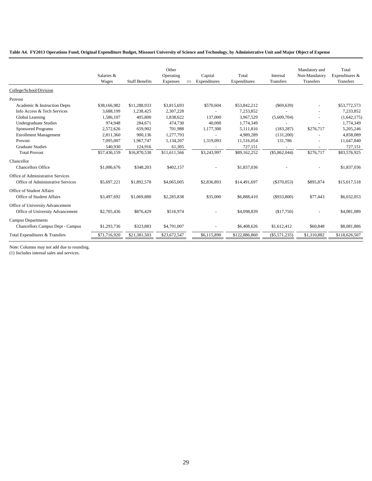#### **Table A4. FY2013 Operations Fund, Original Expenditure Budget, Missouri University of Science and Technology, by Administrative Unit and Major Object of Expense**

|                                         | Salaries &<br>Wages | <b>Staff Benefits</b> | Other<br>Operating<br>Expenses | Capital<br>Expenditures<br>(1) | Total<br>Expenditures | Internal<br>Transfers | Mandatory and<br>Non-Mandatory<br>Transfers | Total<br>Expenditures &<br>Transfers |
|-----------------------------------------|---------------------|-----------------------|--------------------------------|--------------------------------|-----------------------|-----------------------|---------------------------------------------|--------------------------------------|
| College/School/Division                 |                     |                       |                                |                                |                       |                       |                                             |                                      |
| Provost                                 |                     |                       |                                |                                |                       |                       |                                             |                                      |
| Academic & Instruction Depts            | \$38,166,982        | \$11,288,933          | \$3,815,693                    | \$570,604                      | \$53,842,212          | $(\$69,639)$          |                                             | \$53,772,573                         |
| Info Access & Tech Services             | 3,688,199           | 1,238,425             | 2,307,228                      |                                | 7,233,852             |                       |                                             | 7,233,852                            |
| Global Learning                         | 1,586,107           | 405,800               | 1,838,622                      | 137,000                        | 3,967,529             | (5,609,704)           |                                             | (1,642,175)                          |
| <b>Undergraduate Studies</b>            | 974,948             | 284,671               | 474,730                        | 40,000                         | 1,774,349             |                       |                                             | 1,774,349                            |
| <b>Sponsored Programs</b>               | 2,572,626           | 659,902               | 701,988                        | 1,177,300                      | 5,111,816             | (183, 287)            | \$276,717                                   | 5,205,246                            |
| <b>Enrollment Management</b>            | 2,811,360           | 900,136               | 1,277,793                      |                                | 4,989,289             | (131,200)             |                                             | 4,858,089                            |
| Provost                                 | 7.095.007           | 1.967.747             | 1,134,207                      | 1,319,093                      | 11,516,054            | 131,786               |                                             | 11,647,840                           |
| <b>Graduate Studies</b>                 | 540,930             | 124,916               | 61,305                         |                                | 727,151               |                       |                                             | 727,151                              |
| <b>Total Provost</b>                    | \$57,436,159        | \$16,870,530          | \$11,611,566                   | \$3,243,997                    | \$89,162,252          | $(\$5,862,044)$       | \$276,717                                   | \$83,576,925                         |
| Chancellor                              |                     |                       |                                |                                |                       |                       |                                             |                                      |
| Chancellors Office                      | \$1,086,676         | \$348,203             | \$402,157                      |                                | \$1,837,036           |                       |                                             | \$1,837,036                          |
| Office of Administrative Services       |                     |                       |                                |                                |                       |                       |                                             |                                      |
| Office of Administrative Services       | \$5,697,221         | \$1,892,578           | \$4,065,005                    | \$2,836,893                    | \$14,491,697          | $(\$370,053)$         | \$895,874                                   | \$15,017,518                         |
| Office of Student Affairs               |                     |                       |                                |                                |                       |                       |                                             |                                      |
| Office of Student Affairs               | \$3,497,692         | \$1,069,880           | \$2,285,838                    | \$35,000                       | \$6,888,410           | $(\$933,800)$         | \$77,443                                    | \$6,032,053                          |
| Office of University Advancement        |                     |                       |                                |                                |                       |                       |                                             |                                      |
| Office of University Advancement        | \$2,705,436         | \$876,429             | \$516,974                      |                                | \$4,098,839           | (\$17,750)            |                                             | \$4,081,089                          |
| Campus Departments                      |                     |                       |                                |                                |                       |                       |                                             |                                      |
| <b>Chancellors Campus Dept - Campus</b> | \$1,293,736         | \$323,883             | \$4,791,007                    |                                | \$6,408,626           | \$1,612,412           | \$60,848                                    | \$8,081,886                          |
| Total Expenditures & Transfers          | \$71,716,920        | \$21,381,503          | \$23,672,547                   | \$6,115,890                    | \$122,886,860         | $(\$5,571,235)$       | \$1,310,882                                 | \$118,626,507                        |

Note: Columns may not add due to rounding.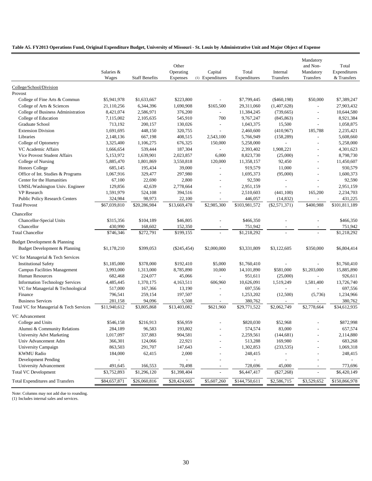#### **Table A5. FY2013 Operations Fund, Original Expenditure Budget, University of Missouri - St. Louis by Administrative Unit and Major Object of Expense**

|                                                       |                        |                        | Other                 |                             |                          |                             | Mandatory<br>and Non-            | Total                       |
|-------------------------------------------------------|------------------------|------------------------|-----------------------|-----------------------------|--------------------------|-----------------------------|----------------------------------|-----------------------------|
|                                                       | Salaries &<br>Wages    | <b>Staff Benefits</b>  | Operating<br>Expenses | Capital<br>(1) Expenditures | Total<br>Expenditures    | Internal<br>Transfers       | Mandatory<br>Transfers           | Expenditures<br>& Transfers |
| College/School/Division                               |                        |                        |                       |                             |                          |                             |                                  |                             |
| Provost                                               |                        |                        |                       |                             |                          |                             |                                  |                             |
| College of Fine Arts & Commun                         | \$5,941,978            | \$1,633,667            | \$223,800             |                             | \$7,799,445              | $(\$460,198)$               | \$50,000                         | \$7,389,247                 |
| College of Arts & Sciences                            | 21,110,256             | 6,344,396              | 1,690,908             | \$165,500                   | 29,311,060               | (1,407,628)                 | $\overline{a}$                   | 27,903,432                  |
| College of Business Administration                    | 8,421,074              | 2,586,971              | 376,200               |                             | 11,384,245               | (739, 665)                  | L,                               | 10,644,580                  |
| College of Education<br>Graduate School               | 7,115,002              | 2,105,635              | 545,910               | 700                         | 9,767,247                | (845, 863)                  | $\overline{a}$<br>$\overline{a}$ | 8,921,384<br>1,058,875      |
| <b>Extension Division</b>                             | 713,192<br>1,691,695   | 200,157<br>448,150     | 130,026<br>320,755    |                             | 1,043,375<br>2,460,600   | 15,500<br>(410,967)         | 185,788                          | 2,235,421                   |
| Libraries                                             |                        |                        |                       |                             |                          |                             |                                  | 5,608,660                   |
| College of Optometry                                  | 2,148,136<br>3,325,400 | 667,198<br>1,106,275   | 408,515<br>676,325    | 2,543,100<br>150,000        | 5,766,949<br>5,258,000   | (158, 289)<br>$\mathcal{L}$ | $\overline{a}$                   | 5,258,000                   |
| VC Academic Affairs                                   | 1,666,654              | 539,444                | 187,304               |                             | 2,393,402                | 1,908,221                   | $\overline{a}$                   | 4,301,623                   |
| Vice Provost Student Affairs                          | 5,153,972              | 1,639,901              | 2,023,857             | 6,000                       | 8,823,730                | (25,000)                    | L,                               | 8,798,730                   |
| College of Nursing                                    | 5,885,470              | 1,801,869              | 3,550,818             | 120,000                     | 11,358,157               | 92,450                      | L,                               | 11,450,607                  |
| Honors College                                        | 685,145                | 195,434                | 39,000                | $\blacksquare$              | 919,579                  | 11,000                      |                                  | 930,579                     |
| Office of Int. Studies & Programs                     | 1,067,916              | 329,477                | 297,980               |                             | 1,695,373                | (95,000)                    | $\overline{a}$                   | 1,600,373                   |
| Center for the Humanities                             | 67,100                 | 22,690                 | 2,800                 | $\overline{a}$              | 92,590                   | $\overline{\phantom{a}}$    | $\overline{a}$                   | 92,590                      |
| UMSL/Washington Univ. Engineer                        | 129,856                | 42,639                 | 2,778,664             | $\overline{\phantom{a}}$    | 2,951,159                |                             |                                  | 2,951,159                   |
| VP Research                                           | 1,591,979              | 524,108                | 394,516               |                             | 2,510,603                | (441, 100)                  | 165,200                          | 2,234,703                   |
| <b>Public Policy Research Centers</b>                 | 324,984                | 98,973                 | 22,100                |                             | 446,057                  | (14, 832)                   |                                  | 431,225                     |
| <b>Total Provost</b>                                  | \$67,039,810           | \$20,286,984           | \$13,669,478          | \$2,985,300                 | \$103,981,572            | $(\$2,571,371)$             | \$400,988                        | \$101,811,189               |
| Chancellor                                            |                        |                        |                       |                             |                          |                             |                                  |                             |
| Chancellor-Special Units                              | \$315,356              | \$104,189              | \$46,805              |                             | \$466,350                |                             |                                  | \$466,350                   |
| Chancellor                                            | 430,990                | 168,602                | 152,350               |                             | 751,942                  | $\overline{\phantom{a}}$    | $\qquad \qquad -$                | 751,942                     |
| <b>Total Chancellor</b>                               | \$746,346              | \$272,791              | \$199,155             |                             | \$1,218,292              | $\overline{a}$              |                                  | \$1,218,292                 |
| Budget Development & Planning                         |                        |                        |                       |                             |                          |                             |                                  |                             |
| Budget Development & Planning                         | \$1,178,210            | \$399,053              | $(\$245,454)$         | \$2,000,000                 | \$3,331,809              | \$3,122,605                 | \$350,000                        | \$6,804,414                 |
| VC for Managerial & Tech Services                     |                        |                        |                       |                             |                          |                             |                                  |                             |
| <b>Institutional Safety</b>                           | \$1,185,000            | \$378,000              | \$192,410             | \$5,000                     | \$1,760,410              | $\overline{\phantom{a}}$    |                                  | \$1,760,410                 |
| <b>Campus Facilities Management</b>                   | 3,993,000              | 1,313,000              | 8,785,890             | 10,000                      | 14, 101, 890             | \$581,000                   | \$1,203,000                      | 15,885,890                  |
| <b>Human Resources</b>                                | 682,468                | 224,077                | 45,066                | $\overline{\phantom{a}}$    | 951,611                  | (25,000)                    |                                  | 926,611                     |
| <b>Information Technology Services</b>                | 4,485,445              | 1,370,175              | 4,163,511             | 606,960                     | 10,626,091               | 1,519,249                   | 1,581,400                        | 13,726,740                  |
| VC for Managerial & Technological                     | 517,000                | 167,366                | 13,190                | $\overline{\phantom{a}}$    | 697,556                  | $\mathcal{L}$               |                                  | 697,556                     |
| Finance                                               | 796,541                | 259,154                | 197,507               |                             | 1,253,202                | (12,500)                    | (5,736)                          | 1,234,966                   |
| <b>Business Services</b>                              | 281,158                | 94,096                 | 5,508                 |                             | 380,762                  |                             |                                  | 380,762                     |
| Total VC for Managerial & Tech Services               | \$11,940,612           | \$3,805,868            | \$13,403,082          | \$621,960                   | \$29,771,522             | \$2,062,749                 | \$2,778,664                      | \$34,612,935                |
| VC Advancement                                        |                        |                        |                       |                             |                          |                             |                                  |                             |
| College and Units                                     | \$546,158              | \$216,913              | \$56,959              |                             | \$820,030                | \$52,968                    |                                  | \$872,998                   |
| Alumni & Community Relations                          | 284,189                | 96,583                 | 193,802               |                             | 574,574                  | 83,000                      |                                  | 657,574                     |
| University Advt Marketing                             | 1,017,097              | 337,883                | 904,581               |                             | 2,259,561                | (144, 681)                  |                                  | 2,114,880                   |
| Univ Advancement Adm                                  | 366,301                | 124,066                | 22,921                |                             | 513,288                  | 169,980                     |                                  | 683,268                     |
| University Campaign                                   | 863,503                | 291,707                | 147,643               |                             | 1,302,853                | (233, 535)                  |                                  | 1,069,318                   |
| <b>KWMU Radio</b>                                     | 184,000                | 62,415                 | 2,000                 |                             | 248,415                  |                             |                                  | 248,415                     |
| <b>Development Pending</b>                            |                        |                        |                       |                             | $\overline{\phantom{a}}$ |                             |                                  |                             |
| University Advancement<br><b>Total VC Development</b> | 491,645<br>\$3,752,893 | 166,553<br>\$1,296,120 | 70,498<br>\$1,398,404 | $\overline{\phantom{a}}$    | 728,696<br>\$6,447,417   | 45,000<br>(\$27,268)        | $\overline{a}$                   | 773,696<br>\$6,420,149      |
|                                                       |                        |                        |                       |                             |                          |                             |                                  |                             |
| <b>Total Expenditures and Transfers</b>               | \$84,657,871           | \$26,060,816           | \$28,424,665          | \$5,607,260                 | \$144,750,611            | \$2,586,715                 | \$3,529,652                      | \$150,866,978               |

Note: Columns may not add due to rounding.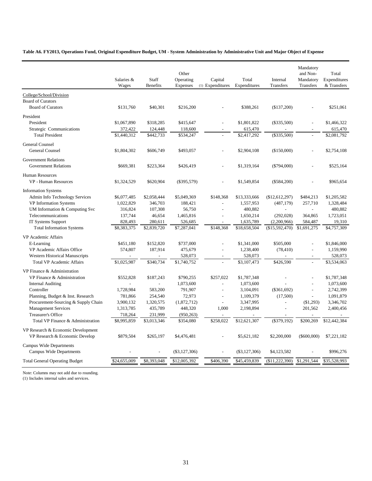**Table A6. FY2013, Operations Fund, Original Expenditure Budget, UM - System Administration by Administrative Unit and Major Object of Expense**

|                                                                      | Salaries &<br>Wages | Staff<br><b>Benefits</b> | Other<br>Operating<br><b>Expenses</b> | Capital<br>(1) Expenditures | Total<br>Expenditures | Internal<br><b>Transfers</b> | Mandatory<br>and Non-<br>Mandatory<br>Transfers | Total<br>Expenditures<br>& Transfers |
|----------------------------------------------------------------------|---------------------|--------------------------|---------------------------------------|-----------------------------|-----------------------|------------------------------|-------------------------------------------------|--------------------------------------|
| College/School/Division                                              |                     |                          |                                       |                             |                       |                              |                                                 |                                      |
| <b>Board of Curators</b><br><b>Board of Curators</b>                 | \$131,760           | \$40,301                 | \$216,200                             |                             | \$388,261             | (\$137,200)                  |                                                 | \$251,061                            |
| President                                                            |                     |                          |                                       |                             |                       |                              |                                                 |                                      |
| President                                                            | \$1,067,890         | \$318,285                | \$415,647                             |                             | \$1,801,822           | $(\$335,500)$                |                                                 | \$1,466,322                          |
| Strategic Communications                                             | 372,422             | 124,448                  | 118,600                               |                             | 615,470               |                              |                                                 | 615,470                              |
| <b>Total President</b>                                               | \$1,440,312         | \$442,733                | \$534,247                             |                             | \$2,417,292           | $(\$335,500)$                |                                                 | \$2,081,792                          |
| General Counsel<br>General Counsel                                   | \$1,804,302         | \$606,749                | \$493,057                             |                             | \$2,904,108           | (\$150,000)                  |                                                 | \$2,754,108                          |
| <b>Government Relations</b>                                          |                     |                          |                                       |                             |                       |                              |                                                 |                                      |
| <b>Government Relations</b>                                          | \$669,381           | \$223,364                | \$426,419                             |                             | \$1,319,164           | $(\$794,000)$                |                                                 | \$525,164                            |
| <b>Human Resources</b>                                               |                     |                          |                                       |                             |                       |                              |                                                 |                                      |
| <b>VP</b> - Human Resources                                          | \$1,324,529         | \$620,904                | $(\$395,579)$                         |                             | \$1,549,854           | $(\$584,200)$                |                                                 | \$965,654                            |
| <b>Information Systems</b>                                           |                     |                          |                                       |                             |                       |                              |                                                 |                                      |
| Admin Info Technology Services                                       | \$6,077,485         | \$2,058,444              | \$5,049,369                           | \$148,368                   | \$13,333,666          | (\$12,612,297)               | \$484,213                                       | \$1,205,582                          |
| VP Information Systems                                               | 1,022,829           | 346,703                  | 188,421                               | $\overline{a}$              | 1,557,953             | (487, 179)                   | 257,710                                         | 1,328,484                            |
| UM Information & Computing Svc                                       | 316,824             | 107,308                  | 56,750                                | $\overline{a}$              | 480,882               | $\overline{a}$               | $\overline{a}$                                  | 480,882                              |
| Telecommunications                                                   | 137,744             | 46,654                   | 1,465,816                             |                             | 1,650,214             | (292, 028)                   | 364,865                                         | 1,723,051                            |
| <b>IT Systems Support</b>                                            | 828,493             | 280,611                  | 526,685                               |                             | 1,635,789             | (2,200,966)                  | 584,487                                         | 19,310                               |
| <b>Total Information Systems</b>                                     | \$8,383,375         | \$2,839,720              | \$7,287,041                           | \$148,368                   | \$18,658,504          | (\$15,592,470)               | \$1,691,275                                     | \$4,757,309                          |
| VP Academic Affairs                                                  |                     |                          |                                       |                             |                       |                              |                                                 |                                      |
| E-Learning                                                           | \$451,180           | \$152,820                | \$737,000                             |                             | \$1,341,000           | \$505,000                    | $\overline{a}$                                  | \$1,846,000                          |
| VP Academic Affairs Office                                           | 574,807             | 187,914                  | 475,679                               |                             | 1,238,400             | (78, 410)                    |                                                 | 1,159,990                            |
| <b>Western Historical Manuscripts</b>                                |                     |                          | 528,073                               |                             | 528,073               |                              | $\overline{a}$                                  | 528,073                              |
| <b>Total VP Academic Affairs</b>                                     | \$1,025,987         | \$340,734                | \$1,740,752                           |                             | \$3,107,473           | \$426,590                    |                                                 | \$3,534,063                          |
| VP Finance & Administration                                          |                     |                          |                                       |                             |                       |                              |                                                 |                                      |
| VP Finance & Administration                                          | \$552,828           | \$187,243                | \$790,255                             | \$257,022                   | \$1,787,348           |                              |                                                 | \$1,787,348                          |
| <b>Internal Auditing</b>                                             | $\overline{a}$      | $\overline{a}$           | 1,073,600                             | $\overline{a}$              | 1,073,600             |                              | $\overline{\phantom{a}}$                        | 1,073,600                            |
| Controller                                                           | 1,728,984           | 583,200                  | 791,907                               |                             | 3,104,091             | (\$361,692)                  |                                                 | 2,742,399                            |
| Planning, Budget & Inst. Research                                    | 781,866             | 254,540                  | 72,973                                | $\overline{a}$              | 1,109,379             | (17,500)                     | $\overline{\phantom{a}}$                        | 1,091,879                            |
| Procurement-Sourcing & Supply Chain                                  | 3,900,132           | 1,320,575                | (1,872,712)                           | $\overline{a}$              | 3,347,995             |                              | (\$1,293)                                       | 3,346,702                            |
| <b>Management Services</b>                                           | 1,313,785           | 435,789                  | 448,320                               | 1.000                       | 2,198,894             | $\overline{a}$               | 201,562                                         | 2,400,456                            |
| <b>Treasurer's Office</b>                                            | 718,264             | 231,999                  | (950, 263)                            |                             |                       |                              |                                                 |                                      |
| Total VP Finance & Administration                                    | \$8,995,859         | \$3,013,346              | \$354,080                             | \$258,022                   | \$12,621,307          | (\$379,192)                  | \$200,269                                       | \$12,442,384                         |
| VP Research & Economic Development<br>VP Research & Economic Develop | \$879,504           | \$265,197                | \$4,476,481                           |                             | \$5,621,182           | \$2,200,000                  | $(\$600,000)$                                   | \$7,221,182                          |
| <b>Campus Wide Departments</b>                                       |                     |                          |                                       |                             |                       |                              |                                                 |                                      |
| <b>Campus Wide Departments</b>                                       |                     |                          | $(\$3,127,306)$                       |                             | $(\$3,127,306)$       | \$4,123,582                  |                                                 | \$996,276                            |
| <b>Total General Operating Budget</b>                                | \$24,655,009        | \$8,393,048              | \$12,005,392                          | \$406,390                   | \$45,459,839          | (\$11,222,390)               | \$1,291,544                                     | \$35,528,993                         |

Note: Columns may not add due to rounding.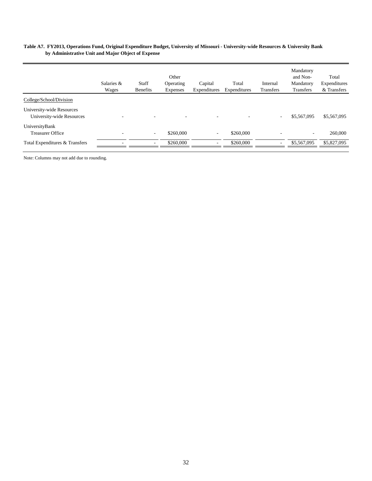#### **Table A7. FY2013, Operations Fund, Original Expenditure Budget, University of Missouri - University-wide Resources & University Bank by Administrative Unit and Major Object of Expense**

|                                                        | Salaries &<br>Wages      | Staff<br><b>Benefits</b> | Other<br>Operating<br>Expenses | Capital<br>Expenditures  | Total<br>Expenditures | Internal<br>Transfers | Mandatory<br>and Non-<br>Mandatory<br><b>Transfers</b> | Total<br>Expenditures<br>& Transfers |
|--------------------------------------------------------|--------------------------|--------------------------|--------------------------------|--------------------------|-----------------------|-----------------------|--------------------------------------------------------|--------------------------------------|
| College/School/Division                                |                          |                          |                                |                          |                       |                       |                                                        |                                      |
| University-wide Resources<br>University-wide Resources | $\overline{\phantom{a}}$ | ٠                        | -                              | $\overline{\phantom{a}}$ |                       | $\sim$                | \$5,567,095                                            | \$5,567,095                          |
| UniversityBank<br><b>Treasurer Office</b>              | $\overline{\phantom{a}}$ | ۰.                       | \$260,000                      | $\sim$                   | \$260,000             |                       | ۰                                                      | 260,000                              |
| Total Expenditures & Transfers                         |                          |                          | \$260,000                      |                          | \$260,000             |                       | \$5,567,095                                            | \$5,827,095                          |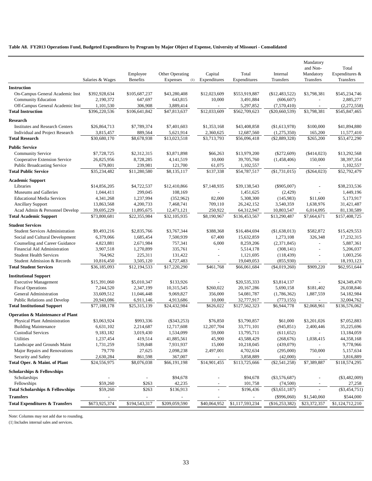#### **Table A8. FY2013 Operations Fund, Budgeted Expenditures by Program by Major Object of Expense, University of Missouri - Consolidated**

|                                             | Salaries & Wages | Employee<br><b>Benefits</b> | Other Operating<br>Expenses<br>(1) | Capital<br>Expenditures  | Total<br>Expenditures | Internal<br>Transfers | Mandatory<br>and Non-<br>Mandatory<br>Transfers | Total<br>Expenditures &<br>Transfers |
|---------------------------------------------|------------------|-----------------------------|------------------------------------|--------------------------|-----------------------|-----------------------|-------------------------------------------------|--------------------------------------|
|                                             |                  |                             |                                    |                          |                       |                       |                                                 |                                      |
| <b>Instruction</b>                          |                  |                             |                                    |                          |                       |                       |                                                 |                                      |
| On-Campus General Academic Inst             | \$392,928,634    | \$105,687,237               | \$43,280,408                       | \$12,023,609             | \$553,919,887         | (\$12,483,522)        | \$3,798,381                                     | \$545,234,746                        |
| <b>Community Education</b>                  | 2,190,372        | 647,697                     | 643,815                            | 10,000                   | 3,491,884             | (606, 607)            | $\sim$                                          | 2,885,277                            |
| Off-Campus General Academic Inst            | 1,101,530        | 306,908                     | 3,889,414                          |                          | 5,297,852             | (7,570,410)           | $\overline{\phantom{a}}$                        | (2,272,558)                          |
| <b>Total Instruction</b>                    | \$396,220,536    | \$106,641,842               | \$47,813,637                       | \$12,033,609             | \$562,709,623         | $(\$20,660,539)$      | \$3,798,381                                     | \$545,847,465                        |
| <b>Research</b>                             |                  |                             |                                    |                          |                       |                       |                                                 |                                      |
| <b>Institutes and Research Centers</b>      | \$26,864,713     | \$7,789,374                 | \$7,401,603                        | \$1,353,168              | \$43,408,858          | (\$1,613,978)         | \$100,000                                       | \$41,894,880                         |
| Individual and Project Research             | 3,815,457        | 889,564                     | 5,621,914                          | 2,360,625                | 12,687,560            | (1,275,350)           | 165,200                                         | 11,577,410                           |
| <b>Total Research</b>                       | \$30,680,170     | \$8,678,938                 | \$13,023,518                       | \$3,713,793              | \$56,096,418          | $(\$2,889,328)$       | \$265,200                                       | \$53,472,290                         |
|                                             |                  |                             |                                    |                          |                       |                       |                                                 |                                      |
| <b>Public Service</b>                       |                  |                             |                                    |                          |                       |                       |                                                 |                                      |
| <b>Community Service</b>                    | \$7,728,725      | \$2,312,315                 | \$3,871,898                        | \$66,263                 | \$13,979,200          | $(\$272,609)$         | $(\$414,023)$                                   | \$13,292,568                         |
| Cooperative Extension Service               | 26,825,956       | 8,728,285                   | 4, 141, 519                        | 10,000                   | 39,705,760            | (1,458,406)           | 150,000                                         | 38,397,354                           |
| <b>Public Broadcasting Service</b>          | 679,801          | 239,981                     | 121,700                            | 61,075                   | 1,102,557             |                       |                                                 | 1,102,557                            |
| <b>Total Public Service</b>                 | \$35,234,482     | \$11,280,580                | \$8,135,117                        | \$137,338                | \$54,787,517          | (\$1,731,015)         | $(\$264,023)$                                   | \$52,792,479                         |
| <b>Academic Support</b>                     |                  |                             |                                    |                          |                       |                       |                                                 |                                      |
| Libraries                                   | \$14,856,205     | \$4,722,537                 | \$12,410,866                       | \$7,148,935              | \$39,138,543          | $(\$905,007)$         | ÷,                                              | \$38,233,536                         |
| Museums and Galleries                       | 1,044,411        | 299,045                     | 108,169                            |                          | 1,451,625             | (2,429)               |                                                 | 1,449,196                            |
| <b>Educational Media Services</b>           | 4,341,268        | 1,237,994                   | (352,962)                          | 82,000                   | 5,308,300             | (145,983)             | \$11,600                                        | 5,173,917                            |
| <b>Ancillary Support</b>                    | 13,863,568       | 4,200,733                   | 7,468,741                          | 709,110                  | 26, 242, 152          | 3,540,359             | 1,638,976                                       | 31,421,487                           |
| Acad Admin & Personnel Develop              | 39,695,229       | 11,895,675                  | 12,471,121                         | 250,922                  | 64,312,947            | 10,803,547            | 6,014,095                                       | 81,130,589                           |
| <b>Total Academic Support</b>               | \$73,800,681     | \$22,355,984                | \$32,105,935                       | \$8,190,967              | \$136,453,567         | \$13,290,487          | \$7,664,671                                     | \$157,408,725                        |
|                                             |                  |                             |                                    |                          |                       |                       |                                                 |                                      |
| <b>Student Services</b>                     |                  |                             |                                    |                          |                       |                       |                                                 |                                      |
| <b>Student Services Administration</b>      | \$9,493,216      | \$2,835,766                 | \$3,767,344                        | \$388,368                | \$16,484,694          | (\$1,638,013)         | \$582,872                                       | \$15,429,553                         |
| Social and Cultural Development             | 6,379,066        | 1,685,454                   | 7,500,939                          | 67,400                   | 15,632,859            | 1,273,108             | 326,348                                         | 17,232,315                           |
| Counseling and Career Guidance              | 4,823,881        | 2,671,984                   | 757,341                            | 6,000                    | 8,259,206             | (2,371,845)           | $\overline{a}$                                  | 5,887,361                            |
| Financial Aid Administration                | 3,907,518        | 1,270,899                   | 335,761                            |                          | 5,514,178             | (308, 141)            | ÷,                                              | 5,206,037                            |
| <b>Student Health Services</b>              | 764,962          | 225,311                     | 131,422                            | $\overline{\phantom{a}}$ | 1,121,695             | (118, 439)            | $\overline{\phantom{a}}$                        | 1,003,256                            |
| Student Admission & Records                 | 10,816,450       | 3,505,120                   | 4,727,483                          | $\overline{\phantom{a}}$ | 19,049,053            | (855,930)             |                                                 | 18,193,123                           |
| <b>Total Student Services</b>               | \$36,185,093     | \$12,194,533                | \$17,220,290                       | \$461,768                | \$66,061,684          | $(\$4,019,260)$       | \$909,220                                       | \$62,951,644                         |
| <b>Institutional Support</b>                |                  |                             |                                    |                          |                       |                       |                                                 |                                      |
| <b>Executive Management</b>                 | \$15,391,060     | \$5,010,347                 | \$133,926                          |                          | \$20,535,333          | \$3,814,137           |                                                 | \$24,349,470                         |
| <b>Fiscal Operations</b>                    | 7,244,520        | 2,347,199                   | 10,315,545                         | \$260,022                | 20,167,286            | 5,690,158             | \$181,402                                       | 26,038,846                           |
| General Administration                      | 33,609,512       | 11,046,448                  | 9,069,827                          | 356,000                  | 54,081,787            | (1,786,362)           | 1,887,559                                       | 54,182,984                           |
| Public Relations and Develop                | 20,943,086       | 6,911,146                   | 4,913,686                          | 10,000                   | 32,777,917            | (773, 155)            |                                                 | 32,004,762                           |
| <b>Total Institutional Support</b>          | \$77,188,178     | \$25,315,139                | \$24,432,984                       | \$626,022                | \$127,562,323         | \$6,944,778           | \$2,068,961                                     | \$136,576,062                        |
|                                             |                  |                             |                                    |                          |                       |                       |                                                 |                                      |
| <b>Operation &amp; Maintenance of Plant</b> |                  |                             |                                    |                          |                       |                       |                                                 |                                      |
| Physical Plant Administration               | \$3,063,924      | \$993,336                   | $(\$343,253)$                      | \$76,850                 | \$3,790,857           | \$61,000              | \$3,201,026                                     | \$7,052,883                          |
| <b>Building Maintenance</b>                 | 6,631,102        | 2,214,687                   | 12,717,608                         | 12,207,704               | 33,771,101            | (945, 851)            | 2,400,446                                       | 35,225,696                           |
| <b>Custodial Services</b>                   | 9,183,182        | 3,019,430                   | 1,534,099                          | 59,000                   | 13,795,711            | (611, 652)            |                                                 | 13,184,059                           |
| <b>Utilities</b>                            | 1,237,454        | 419,514                     | 41,885,561                         | 45,900                   | 43,588,429            | (268, 676)            | 1,038,415                                       | 44,358,168                           |
| Landscape and Grounds Maint                 | 1,731,259        | 539,848                     | 7,931,937                          | 15,000                   | 10,218,045            | (439,079)             |                                                 | 9,778,966                            |
| Major Repairs and Renovations               | 79,770           | 27,625                      | 2,098,238                          | 2,497,001                | 4,702,634             | (295,000)             | 750,000                                         | 5,157,634                            |
| Security and Safety                         | 2,630,284        | 861,598                     | 367,007                            |                          | 3,858,889             | (42,000)              |                                                 | 3,816,889                            |
| Total Oper. & Maint. of Plant               | \$24,556,975     | \$8,076,038                 | \$66,191,198                       | \$14,901,455             | \$113,725,666         | $(\$2,541,258)$       | \$7,389,887                                     | \$118,574,295                        |
| <b>Scholarships &amp; Fellowships</b>       |                  |                             |                                    |                          |                       |                       |                                                 |                                      |
| Scholarships                                |                  |                             | \$94,678                           |                          | \$94,678              | $(\$3,576,687)$       |                                                 | $(\$3,482,009)$                      |
| Fellowships                                 | \$59,260         | \$263                       | 42,235                             |                          | 101,758               | (74,500)              |                                                 | 27,258                               |
| <b>Total Scholarships &amp; Fellowships</b> | \$59,260         | \$263                       | \$136,913                          |                          | \$196,436             | $(\$3,651,187)$       |                                                 | $(\$3,454,751)$                      |
| <b>Transfers</b>                            |                  | $\equiv$                    |                                    |                          |                       | $(\$996,060)$         | \$1,540,060                                     | \$544,000                            |
| <b>Total Expenditures &amp; Transfers</b>   | \$673,925,374    | \$194,543,317               | \$209,059,590                      | \$40,064,952             | \$1,117,593,234       | $(\$16,253,382)$      | \$23,372,357                                    | \$1,124,712,210                      |
|                                             |                  |                             |                                    |                          |                       |                       |                                                 |                                      |

Note: Columns may not add due to rounding.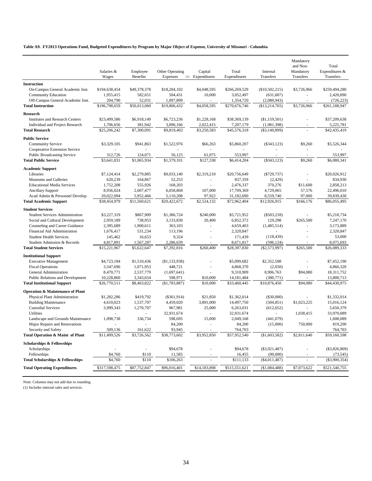#### **Table A9. FY2013 Operations Fund, Budgeted Expenditures by Program by Major Object of Expense, University of Missouri - Columbia**

|                                             |               |                 |                 |                          |               |                 | Mandatory   |                 |
|---------------------------------------------|---------------|-----------------|-----------------|--------------------------|---------------|-----------------|-------------|-----------------|
|                                             |               |                 |                 |                          |               |                 | and Non-    | Total           |
|                                             | Salaries &    | Employee        | Other Operating | Capital                  | Total         | Internal        | Mandatory   | Expenditures &  |
|                                             | Wages         | <b>Benefits</b> | Expenses        | (1) Expenditures         | Expenditures  | Transfers       | Transfers   | Transfers       |
| <b>Instruction</b>                          |               |                 |                 |                          |               |                 |             |                 |
| On-Campus General Academic Inst.            | \$194,638,454 | \$49,378,378    | \$18,204,102    | \$4,048,595              | \$266,269,529 | (\$10,502,215)  | \$3,726,966 | \$259,494,280   |
| Community Education                         | 1,955,415     | 582,651         | 504,431         | 10,000                   | 3,052,497     | (631, 607)      |             | 2,420,890       |
| Off-Campus General Academic Inst.           | 204,790       | 52,031          | 1,097,899       | ÷,                       | 1,354,720     | (2,080,943)     |             | (726, 223)      |
| <b>Total Instruction</b>                    | \$196,798,659 | \$50,013,060    | \$19,806,432    | \$4,058,595              | \$270,676,746 | (\$13,214,765)  | \$3,726,966 | \$261,188,947   |
| <b>Research</b>                             |               |                 |                 |                          |               |                 |             |                 |
| <b>Institutes and Research Centers</b>      | \$23,499,586  | \$6,918,149     | \$6,723,236     | \$1,228,168              | \$38,369,139  | (\$1,159,501)   |             | \$37,209,638    |
| Individual and Project Research             | 1,706,656     | 381,942         | 3,096,166       | 2,022,415                | 7,207,179     | (1,981,398)     |             | 5,225,781       |
| <b>Total Research</b>                       | \$25,206,242  | \$7,300,091     | \$9,819,402     | \$3,250,583              | \$45,576,318  | $(\$3,140,899)$ |             | \$42,435,419    |
|                                             |               |                 |                 |                          |               |                 |             |                 |
| <b>Public Service</b>                       |               |                 |                 |                          |               |                 |             |                 |
| <b>Community Service</b>                    | \$3,329,105   | \$941,863       | \$1,522,976     | \$66,263                 | \$5,860,207   | $(\$343,123)$   | \$9,260     | \$5,526,344     |
| Cooperative Extension Service               |               |                 |                 | ä,                       |               |                 |             |                 |
| <b>Public Broadcasting Service</b>          | 312,726       | 124,071         | 56,125          | 61,075                   | 553,997       |                 |             | 553,997         |
| <b>Total Public Service</b>                 | \$3,641,831   | \$1,065,934     | \$1,579,101     | \$127,338                | \$6,414,204   | (\$343,123)     | \$9,260     | \$6,080,341     |
| <b>Academic Support</b>                     |               |                 |                 |                          |               |                 |             |                 |
| Libraries                                   | \$7,124,414   | \$2,279,885     | \$9,033,140     | \$2,319,210              | \$20,756,649  | $(\$729,737)$   |             | \$20,026,912    |
| Museums and Galleries                       | 620,239       | 164,867         | 52,253          | $\overline{\phantom{a}}$ | 837,359       | (2, 429)        |             | 834,930         |
| <b>Educational Media Services</b>           | 1,752,208     | 555,926         | 168,203         | $\omega$                 | 2,476,337     | 370,276         | \$11,600    | 2,858,213       |
| <b>Ancillary Support</b>                    | 8,936,024     | 2,607,477       | 6,058,868       | 107,000                  | 17,709,369    | 4,729,065       | 57,576      | 22,496,010      |
| Acad Admin & Personnel Develop              | 20,022,094    | 5,952,466       | 5,110,208       | 97,922                   | 31,182,690    | 8,559,740       | 97,000      | 39,839,430      |
| <b>Total Academic Support</b>               | \$38,454,979  | \$11,560,621    | \$20,422,672    | \$2,524,132              | \$72,962,404  | \$12,926,915    | \$166,176   | \$86,055,495    |
|                                             |               |                 |                 |                          |               |                 |             |                 |
| <b>Student Services</b>                     |               |                 |                 |                          |               |                 |             |                 |
| <b>Student Services Administration</b>      | \$3,227,319   | \$867,909       | \$1,386,724     | \$240,000                | \$5,721,952   | $(\$503,218)$   |             | \$5,218,734     |
| Social and Cultural Development             | 2,959,189     | 738,953         | 3,133,830       | 20,400                   | 6,852,372     | 129,298         | \$265,500   | 7,247,170       |
| Counseling and Career Guidance              | 2,395,689     | 1,900,611       | 363,103         | ×,                       | 4,659,403     | (1,485,514)     |             | 3,173,889       |
| Financial Aid Administration                | 1,676,417     | 531,234         | 113,196         | ×,                       | 2,320,847     |                 |             | 2,320,847       |
| <b>Student Health Services</b>              | 145,462       | 16,653          | 9,324           |                          | 171,439       | (118, 439)      |             | 53,000          |
| Student Admission & Records                 | 4,817,891     | 1,567,287       | 2,286,639       |                          | 8,671,817     | (596, 124)      |             | 8,075,693       |
| <b>Total Student Services</b>               | \$15,221,967  | \$5,622,647     | \$7,292,816     | \$260,400                | \$28,397,830  | $(\$2,573,997)$ | \$265,500   | \$26,089,333    |
| <b>Institutional Support</b>                |               |                 |                 |                          |               |                 |             |                 |
| <b>Executive Management</b>                 | \$4,723,184   | \$1,510,436     | (\$1,133,938)   |                          | \$5,099,682   | \$2,352,508     |             | \$7,452,190     |
| <b>Fiscal Operations</b>                    | 3,347,696     | 1,071,953       | 448,721         | ÷,                       | 4,868,370     | (2,050)         |             | 4,866,320       |
| General Administration                      | 8,470,771     | 2,537,779       | (1,697,641)     |                          | 9,310,909     | 8,906,763       | \$94,080    | 18,311,752      |
| Public Relations and Development            | 10,228,860    | 3,343,654       | 598,971         | \$10,000                 | 14, 181, 484  | (380,771)       |             | 13,800,713      |
| <b>Total Institutional Support</b>          | \$26,770,511  | \$8,463,822     | (\$1,783,887)   | \$10,000                 | \$33,460,445  | \$10,876,450    | \$94,080    | \$44,430,975    |
| <b>Operation &amp; Maintenance of Plant</b> |               |                 |                 |                          |               |                 |             |                 |
| Physical Plant Administration               | \$1,282,286   | \$419,792       | $(\$361,914)$   | \$21,850                 | \$1,362,014   | $(\$30,000)$    |             | \$1,332,014     |
| <b>Building Maintenance</b>                 | 4,610,023     | 1,537,707       | 4,459,020       | 3,891,000                | 14,497,750    | (504, 851)      | \$1,023,225 | 15,016,124      |
| <b>Custodial Services</b>                   | 3,999,343     | 1,270,707       | 967,981         | 25,000                   | 6,263,031     | (612, 652)      |             | 5,650,379       |
| Utilities                                   |               |                 | 32,931,674      | $\omega$                 | 32,931,674    | ÷.              | 1,038,415   | 33,970,089      |
| Landscape and Grounds Maintenance           | 1,098,738     | 336,734         | 598,695         | 15,000                   | 2,049,168     | (441,079)       |             | 1,608,089       |
| Major Repairs and Renovations               |               |                 | 84,200          | ٠                        | 84,200        | (15,000)        | 750,000     | 819,200         |
| Security and Safety                         | 509,136       | 161,622         | 93,945          |                          | 764,703       |                 |             | 764,703         |
| Total Operation & Maint of Plant            | \$11,499,526  | \$3,726,562     | \$38,773,602    | \$3,952,850              | \$57,952,540  | (\$1,603,582)   | \$2,811,640 | \$59,160,598    |
|                                             |               |                 |                 |                          |               |                 |             |                 |
| <b>Scholarships &amp; Fellowships</b>       |               |                 |                 |                          |               |                 |             |                 |
| Scholarships                                |               |                 | \$94,678        |                          | \$94,678      | $(\$3,921,487)$ |             | $(\$3,826,809)$ |
| Fellowships                                 | \$4,760       | \$110           | 11,585          |                          | 16,455        | (90,000)        |             | (73, 545)       |
| <b>Total Scholarships &amp; Fellowships</b> | \$4,760       | \$110           | \$106,263       |                          | \$111,133     | $(\$4,011,487)$ |             | $(\$3,900,354)$ |
| <b>Total Operating Expenditures</b>         | \$317,598,475 | \$87,752,847    | \$96,016,401    | \$14,183,898             | \$515,551,621 | (\$1,084,488)   | \$7,073,622 | \$521,540,755   |
|                                             |               |                 |                 |                          |               |                 |             |                 |

Note: Columns may not add due to rounding.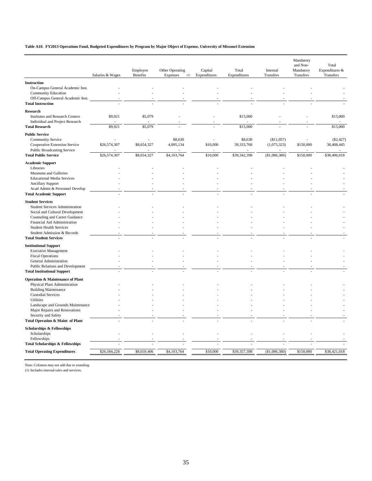#### **Table A10. FY2013 Operations Fund, Budgeted Expenditures by Program by Major Object of Expense, University of Missouri Extension**

| <b>Instruction</b><br>On-Campus General Academic Inst.<br><b>Community Education</b><br>Off-Campus General Academic Inst.<br><b>Total Instruction</b><br>Research<br><b>Institutes and Research Centers</b><br>\$9,921<br>\$5,079<br>\$15,000<br>\$15,000<br>Individual and Project Research<br>\$9,921<br>\$5,079<br>\$15,000<br>\$15,000<br><b>Total Research</b><br><b>Public Service</b><br><b>Community Service</b><br>\$8,630<br>\$8,630<br>(\$11,057)<br>(\$2,427)<br>Cooperative Extension Service<br>\$26,574,307<br>\$8,654,327<br>4,095,134<br>\$10,000<br>39, 333, 768<br>(1,075,323)<br>\$150,000<br>38,408,445<br><b>Public Broadcasting Service</b><br>\$26,574,307<br>\$10,000<br>\$39,342,398<br>(\$1,086,380)<br>\$150,000<br><b>Total Public Service</b><br>\$8,654,327<br>\$4,103,764<br>\$38,406,018<br><b>Academic Support</b><br>Libraries<br>Museums and Galleries<br><b>Educational Media Services</b><br><b>Ancillary Support</b><br>Acad Admin & Personnel Develop<br><b>Total Academic Support</b><br><b>Student Services</b><br><b>Student Services Administration</b><br>Social and Cultural Development<br>Counseling and Career Guidance<br>Financial Aid Administration<br><b>Student Health Services</b><br>Student Admission & Records<br><b>Total Student Services</b><br><b>Institutional Support</b><br><b>Executive Management</b><br><b>Fiscal Operations</b><br>General Administration<br>Public Relations and Development<br><b>Total Institutional Support</b><br><b>Operation &amp; Maintenance of Plant</b><br>Physical Plant Administration<br><b>Building Maintenance</b><br><b>Custodial Services</b><br>Utilities<br>Landscape and Grounds Maintenance<br>Major Repairs and Renovations<br>Security and Safety<br>Total Operation & Maint of Plant<br><b>Scholarships &amp; Fellowships</b><br>Scholarships<br>Fellowships<br><b>Total Scholarships &amp; Fellowships</b><br><b>Total Operating Expenditures</b><br>\$26,584,228<br>\$8,659,406<br>\$4,103,764<br>\$10,000<br>\$39,357,398<br>(\$1,086,380)<br>\$150,000<br>\$38,421,018 | Salaries & Wages | Employee<br>Benefits | Other Operating<br>Expenses<br>(1) | Capital<br>Expenditures | Total<br>Expenditures | Internal<br>Transfers | Mandatory<br>and Non-<br>Mandatory<br>Transfers | Total<br>Expenditures &<br>Transfers |
|-------------------------------------------------------------------------------------------------------------------------------------------------------------------------------------------------------------------------------------------------------------------------------------------------------------------------------------------------------------------------------------------------------------------------------------------------------------------------------------------------------------------------------------------------------------------------------------------------------------------------------------------------------------------------------------------------------------------------------------------------------------------------------------------------------------------------------------------------------------------------------------------------------------------------------------------------------------------------------------------------------------------------------------------------------------------------------------------------------------------------------------------------------------------------------------------------------------------------------------------------------------------------------------------------------------------------------------------------------------------------------------------------------------------------------------------------------------------------------------------------------------------------------------------------------------------------------------------------------------------------------------------------------------------------------------------------------------------------------------------------------------------------------------------------------------------------------------------------------------------------------------------------------------------------------------------------------------------------------------------------------------------------------------------------------------------------------------------|------------------|----------------------|------------------------------------|-------------------------|-----------------------|-----------------------|-------------------------------------------------|--------------------------------------|
|                                                                                                                                                                                                                                                                                                                                                                                                                                                                                                                                                                                                                                                                                                                                                                                                                                                                                                                                                                                                                                                                                                                                                                                                                                                                                                                                                                                                                                                                                                                                                                                                                                                                                                                                                                                                                                                                                                                                                                                                                                                                                           |                  |                      |                                    |                         |                       |                       |                                                 |                                      |
|                                                                                                                                                                                                                                                                                                                                                                                                                                                                                                                                                                                                                                                                                                                                                                                                                                                                                                                                                                                                                                                                                                                                                                                                                                                                                                                                                                                                                                                                                                                                                                                                                                                                                                                                                                                                                                                                                                                                                                                                                                                                                           |                  |                      |                                    |                         |                       |                       |                                                 |                                      |
|                                                                                                                                                                                                                                                                                                                                                                                                                                                                                                                                                                                                                                                                                                                                                                                                                                                                                                                                                                                                                                                                                                                                                                                                                                                                                                                                                                                                                                                                                                                                                                                                                                                                                                                                                                                                                                                                                                                                                                                                                                                                                           |                  |                      |                                    |                         |                       |                       |                                                 |                                      |
|                                                                                                                                                                                                                                                                                                                                                                                                                                                                                                                                                                                                                                                                                                                                                                                                                                                                                                                                                                                                                                                                                                                                                                                                                                                                                                                                                                                                                                                                                                                                                                                                                                                                                                                                                                                                                                                                                                                                                                                                                                                                                           |                  |                      |                                    |                         |                       |                       |                                                 |                                      |
|                                                                                                                                                                                                                                                                                                                                                                                                                                                                                                                                                                                                                                                                                                                                                                                                                                                                                                                                                                                                                                                                                                                                                                                                                                                                                                                                                                                                                                                                                                                                                                                                                                                                                                                                                                                                                                                                                                                                                                                                                                                                                           |                  |                      |                                    |                         |                       |                       |                                                 |                                      |
|                                                                                                                                                                                                                                                                                                                                                                                                                                                                                                                                                                                                                                                                                                                                                                                                                                                                                                                                                                                                                                                                                                                                                                                                                                                                                                                                                                                                                                                                                                                                                                                                                                                                                                                                                                                                                                                                                                                                                                                                                                                                                           |                  |                      |                                    |                         |                       |                       |                                                 |                                      |
|                                                                                                                                                                                                                                                                                                                                                                                                                                                                                                                                                                                                                                                                                                                                                                                                                                                                                                                                                                                                                                                                                                                                                                                                                                                                                                                                                                                                                                                                                                                                                                                                                                                                                                                                                                                                                                                                                                                                                                                                                                                                                           |                  |                      |                                    |                         |                       |                       |                                                 |                                      |
|                                                                                                                                                                                                                                                                                                                                                                                                                                                                                                                                                                                                                                                                                                                                                                                                                                                                                                                                                                                                                                                                                                                                                                                                                                                                                                                                                                                                                                                                                                                                                                                                                                                                                                                                                                                                                                                                                                                                                                                                                                                                                           |                  |                      |                                    |                         |                       |                       |                                                 |                                      |
|                                                                                                                                                                                                                                                                                                                                                                                                                                                                                                                                                                                                                                                                                                                                                                                                                                                                                                                                                                                                                                                                                                                                                                                                                                                                                                                                                                                                                                                                                                                                                                                                                                                                                                                                                                                                                                                                                                                                                                                                                                                                                           |                  |                      |                                    |                         |                       |                       |                                                 |                                      |
|                                                                                                                                                                                                                                                                                                                                                                                                                                                                                                                                                                                                                                                                                                                                                                                                                                                                                                                                                                                                                                                                                                                                                                                                                                                                                                                                                                                                                                                                                                                                                                                                                                                                                                                                                                                                                                                                                                                                                                                                                                                                                           |                  |                      |                                    |                         |                       |                       |                                                 |                                      |
|                                                                                                                                                                                                                                                                                                                                                                                                                                                                                                                                                                                                                                                                                                                                                                                                                                                                                                                                                                                                                                                                                                                                                                                                                                                                                                                                                                                                                                                                                                                                                                                                                                                                                                                                                                                                                                                                                                                                                                                                                                                                                           |                  |                      |                                    |                         |                       |                       |                                                 |                                      |
|                                                                                                                                                                                                                                                                                                                                                                                                                                                                                                                                                                                                                                                                                                                                                                                                                                                                                                                                                                                                                                                                                                                                                                                                                                                                                                                                                                                                                                                                                                                                                                                                                                                                                                                                                                                                                                                                                                                                                                                                                                                                                           |                  |                      |                                    |                         |                       |                       |                                                 |                                      |
|                                                                                                                                                                                                                                                                                                                                                                                                                                                                                                                                                                                                                                                                                                                                                                                                                                                                                                                                                                                                                                                                                                                                                                                                                                                                                                                                                                                                                                                                                                                                                                                                                                                                                                                                                                                                                                                                                                                                                                                                                                                                                           |                  |                      |                                    |                         |                       |                       |                                                 |                                      |
|                                                                                                                                                                                                                                                                                                                                                                                                                                                                                                                                                                                                                                                                                                                                                                                                                                                                                                                                                                                                                                                                                                                                                                                                                                                                                                                                                                                                                                                                                                                                                                                                                                                                                                                                                                                                                                                                                                                                                                                                                                                                                           |                  |                      |                                    |                         |                       |                       |                                                 |                                      |
|                                                                                                                                                                                                                                                                                                                                                                                                                                                                                                                                                                                                                                                                                                                                                                                                                                                                                                                                                                                                                                                                                                                                                                                                                                                                                                                                                                                                                                                                                                                                                                                                                                                                                                                                                                                                                                                                                                                                                                                                                                                                                           |                  |                      |                                    |                         |                       |                       |                                                 |                                      |
|                                                                                                                                                                                                                                                                                                                                                                                                                                                                                                                                                                                                                                                                                                                                                                                                                                                                                                                                                                                                                                                                                                                                                                                                                                                                                                                                                                                                                                                                                                                                                                                                                                                                                                                                                                                                                                                                                                                                                                                                                                                                                           |                  |                      |                                    |                         |                       |                       |                                                 |                                      |
|                                                                                                                                                                                                                                                                                                                                                                                                                                                                                                                                                                                                                                                                                                                                                                                                                                                                                                                                                                                                                                                                                                                                                                                                                                                                                                                                                                                                                                                                                                                                                                                                                                                                                                                                                                                                                                                                                                                                                                                                                                                                                           |                  |                      |                                    |                         |                       |                       |                                                 |                                      |
|                                                                                                                                                                                                                                                                                                                                                                                                                                                                                                                                                                                                                                                                                                                                                                                                                                                                                                                                                                                                                                                                                                                                                                                                                                                                                                                                                                                                                                                                                                                                                                                                                                                                                                                                                                                                                                                                                                                                                                                                                                                                                           |                  |                      |                                    |                         |                       |                       |                                                 |                                      |
|                                                                                                                                                                                                                                                                                                                                                                                                                                                                                                                                                                                                                                                                                                                                                                                                                                                                                                                                                                                                                                                                                                                                                                                                                                                                                                                                                                                                                                                                                                                                                                                                                                                                                                                                                                                                                                                                                                                                                                                                                                                                                           |                  |                      |                                    |                         |                       |                       |                                                 |                                      |
|                                                                                                                                                                                                                                                                                                                                                                                                                                                                                                                                                                                                                                                                                                                                                                                                                                                                                                                                                                                                                                                                                                                                                                                                                                                                                                                                                                                                                                                                                                                                                                                                                                                                                                                                                                                                                                                                                                                                                                                                                                                                                           |                  |                      |                                    |                         |                       |                       |                                                 |                                      |
|                                                                                                                                                                                                                                                                                                                                                                                                                                                                                                                                                                                                                                                                                                                                                                                                                                                                                                                                                                                                                                                                                                                                                                                                                                                                                                                                                                                                                                                                                                                                                                                                                                                                                                                                                                                                                                                                                                                                                                                                                                                                                           |                  |                      |                                    |                         |                       |                       |                                                 |                                      |
|                                                                                                                                                                                                                                                                                                                                                                                                                                                                                                                                                                                                                                                                                                                                                                                                                                                                                                                                                                                                                                                                                                                                                                                                                                                                                                                                                                                                                                                                                                                                                                                                                                                                                                                                                                                                                                                                                                                                                                                                                                                                                           |                  |                      |                                    |                         |                       |                       |                                                 |                                      |
|                                                                                                                                                                                                                                                                                                                                                                                                                                                                                                                                                                                                                                                                                                                                                                                                                                                                                                                                                                                                                                                                                                                                                                                                                                                                                                                                                                                                                                                                                                                                                                                                                                                                                                                                                                                                                                                                                                                                                                                                                                                                                           |                  |                      |                                    |                         |                       |                       |                                                 |                                      |
|                                                                                                                                                                                                                                                                                                                                                                                                                                                                                                                                                                                                                                                                                                                                                                                                                                                                                                                                                                                                                                                                                                                                                                                                                                                                                                                                                                                                                                                                                                                                                                                                                                                                                                                                                                                                                                                                                                                                                                                                                                                                                           |                  |                      |                                    |                         |                       |                       |                                                 |                                      |
|                                                                                                                                                                                                                                                                                                                                                                                                                                                                                                                                                                                                                                                                                                                                                                                                                                                                                                                                                                                                                                                                                                                                                                                                                                                                                                                                                                                                                                                                                                                                                                                                                                                                                                                                                                                                                                                                                                                                                                                                                                                                                           |                  |                      |                                    |                         |                       |                       |                                                 |                                      |
|                                                                                                                                                                                                                                                                                                                                                                                                                                                                                                                                                                                                                                                                                                                                                                                                                                                                                                                                                                                                                                                                                                                                                                                                                                                                                                                                                                                                                                                                                                                                                                                                                                                                                                                                                                                                                                                                                                                                                                                                                                                                                           |                  |                      |                                    |                         |                       |                       |                                                 |                                      |
|                                                                                                                                                                                                                                                                                                                                                                                                                                                                                                                                                                                                                                                                                                                                                                                                                                                                                                                                                                                                                                                                                                                                                                                                                                                                                                                                                                                                                                                                                                                                                                                                                                                                                                                                                                                                                                                                                                                                                                                                                                                                                           |                  |                      |                                    |                         |                       |                       |                                                 |                                      |
|                                                                                                                                                                                                                                                                                                                                                                                                                                                                                                                                                                                                                                                                                                                                                                                                                                                                                                                                                                                                                                                                                                                                                                                                                                                                                                                                                                                                                                                                                                                                                                                                                                                                                                                                                                                                                                                                                                                                                                                                                                                                                           |                  |                      |                                    |                         |                       |                       |                                                 |                                      |
|                                                                                                                                                                                                                                                                                                                                                                                                                                                                                                                                                                                                                                                                                                                                                                                                                                                                                                                                                                                                                                                                                                                                                                                                                                                                                                                                                                                                                                                                                                                                                                                                                                                                                                                                                                                                                                                                                                                                                                                                                                                                                           |                  |                      |                                    |                         |                       |                       |                                                 |                                      |
|                                                                                                                                                                                                                                                                                                                                                                                                                                                                                                                                                                                                                                                                                                                                                                                                                                                                                                                                                                                                                                                                                                                                                                                                                                                                                                                                                                                                                                                                                                                                                                                                                                                                                                                                                                                                                                                                                                                                                                                                                                                                                           |                  |                      |                                    |                         |                       |                       |                                                 |                                      |
|                                                                                                                                                                                                                                                                                                                                                                                                                                                                                                                                                                                                                                                                                                                                                                                                                                                                                                                                                                                                                                                                                                                                                                                                                                                                                                                                                                                                                                                                                                                                                                                                                                                                                                                                                                                                                                                                                                                                                                                                                                                                                           |                  |                      |                                    |                         |                       |                       |                                                 |                                      |
|                                                                                                                                                                                                                                                                                                                                                                                                                                                                                                                                                                                                                                                                                                                                                                                                                                                                                                                                                                                                                                                                                                                                                                                                                                                                                                                                                                                                                                                                                                                                                                                                                                                                                                                                                                                                                                                                                                                                                                                                                                                                                           |                  |                      |                                    |                         |                       |                       |                                                 |                                      |
|                                                                                                                                                                                                                                                                                                                                                                                                                                                                                                                                                                                                                                                                                                                                                                                                                                                                                                                                                                                                                                                                                                                                                                                                                                                                                                                                                                                                                                                                                                                                                                                                                                                                                                                                                                                                                                                                                                                                                                                                                                                                                           |                  |                      |                                    |                         |                       |                       |                                                 |                                      |
|                                                                                                                                                                                                                                                                                                                                                                                                                                                                                                                                                                                                                                                                                                                                                                                                                                                                                                                                                                                                                                                                                                                                                                                                                                                                                                                                                                                                                                                                                                                                                                                                                                                                                                                                                                                                                                                                                                                                                                                                                                                                                           |                  |                      |                                    |                         |                       |                       |                                                 |                                      |
|                                                                                                                                                                                                                                                                                                                                                                                                                                                                                                                                                                                                                                                                                                                                                                                                                                                                                                                                                                                                                                                                                                                                                                                                                                                                                                                                                                                                                                                                                                                                                                                                                                                                                                                                                                                                                                                                                                                                                                                                                                                                                           |                  |                      |                                    |                         |                       |                       |                                                 |                                      |
|                                                                                                                                                                                                                                                                                                                                                                                                                                                                                                                                                                                                                                                                                                                                                                                                                                                                                                                                                                                                                                                                                                                                                                                                                                                                                                                                                                                                                                                                                                                                                                                                                                                                                                                                                                                                                                                                                                                                                                                                                                                                                           |                  |                      |                                    |                         |                       |                       |                                                 |                                      |
|                                                                                                                                                                                                                                                                                                                                                                                                                                                                                                                                                                                                                                                                                                                                                                                                                                                                                                                                                                                                                                                                                                                                                                                                                                                                                                                                                                                                                                                                                                                                                                                                                                                                                                                                                                                                                                                                                                                                                                                                                                                                                           |                  |                      |                                    |                         |                       |                       |                                                 |                                      |
|                                                                                                                                                                                                                                                                                                                                                                                                                                                                                                                                                                                                                                                                                                                                                                                                                                                                                                                                                                                                                                                                                                                                                                                                                                                                                                                                                                                                                                                                                                                                                                                                                                                                                                                                                                                                                                                                                                                                                                                                                                                                                           |                  |                      |                                    |                         |                       |                       |                                                 |                                      |
|                                                                                                                                                                                                                                                                                                                                                                                                                                                                                                                                                                                                                                                                                                                                                                                                                                                                                                                                                                                                                                                                                                                                                                                                                                                                                                                                                                                                                                                                                                                                                                                                                                                                                                                                                                                                                                                                                                                                                                                                                                                                                           |                  |                      |                                    |                         |                       |                       |                                                 |                                      |
|                                                                                                                                                                                                                                                                                                                                                                                                                                                                                                                                                                                                                                                                                                                                                                                                                                                                                                                                                                                                                                                                                                                                                                                                                                                                                                                                                                                                                                                                                                                                                                                                                                                                                                                                                                                                                                                                                                                                                                                                                                                                                           |                  |                      |                                    |                         |                       |                       |                                                 |                                      |
|                                                                                                                                                                                                                                                                                                                                                                                                                                                                                                                                                                                                                                                                                                                                                                                                                                                                                                                                                                                                                                                                                                                                                                                                                                                                                                                                                                                                                                                                                                                                                                                                                                                                                                                                                                                                                                                                                                                                                                                                                                                                                           |                  |                      |                                    |                         |                       |                       |                                                 |                                      |
|                                                                                                                                                                                                                                                                                                                                                                                                                                                                                                                                                                                                                                                                                                                                                                                                                                                                                                                                                                                                                                                                                                                                                                                                                                                                                                                                                                                                                                                                                                                                                                                                                                                                                                                                                                                                                                                                                                                                                                                                                                                                                           |                  |                      |                                    |                         |                       |                       |                                                 |                                      |
|                                                                                                                                                                                                                                                                                                                                                                                                                                                                                                                                                                                                                                                                                                                                                                                                                                                                                                                                                                                                                                                                                                                                                                                                                                                                                                                                                                                                                                                                                                                                                                                                                                                                                                                                                                                                                                                                                                                                                                                                                                                                                           |                  |                      |                                    |                         |                       |                       |                                                 |                                      |
|                                                                                                                                                                                                                                                                                                                                                                                                                                                                                                                                                                                                                                                                                                                                                                                                                                                                                                                                                                                                                                                                                                                                                                                                                                                                                                                                                                                                                                                                                                                                                                                                                                                                                                                                                                                                                                                                                                                                                                                                                                                                                           |                  |                      |                                    |                         |                       |                       |                                                 |                                      |

Note: Columns may not add due to rounding.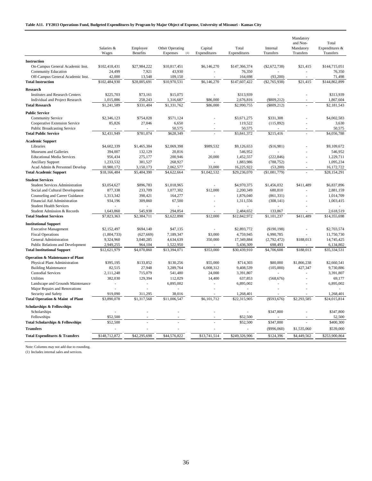|                                             | Salaries &<br>Wages | Employee<br>Benefits | Other Operating<br>Expenses<br>(1) | Capital<br>Expenditures | Total<br>Expenditures | Internal<br>Transfers | Mandatory<br>and Non-<br>Mandatory<br>Transfers | Total<br>Expenditures &<br>Transfers |
|---------------------------------------------|---------------------|----------------------|------------------------------------|-------------------------|-----------------------|-----------------------|-------------------------------------------------|--------------------------------------|
| <b>Instruction</b>                          |                     |                      |                                    |                         |                       |                       |                                                 |                                      |
| On-Campus General Academic Inst.            | \$102,418,431       | \$27,984,222         | \$10,817,451                       | \$6,146,270             | \$147,366,374         | $(\$2,672,738)$       | \$21,415                                        | \$144,715,051                        |
| <b>Community Education</b>                  | 24.499              | 7,921                | 43,930                             |                         | 76,350                |                       |                                                 | 76,350                               |
| Off-Campus General Academic Inst.           | 42,000              | 13,548               | 109,150                            |                         | 164,698               | (93, 200)             |                                                 | 71,498                               |
| <b>Total Instruction</b>                    | \$102,484,930       | \$28,005,691         | \$10,970,531                       | \$6,146,270             | \$147,607,422         | $(\$2,765,938)$       | \$21.415                                        | \$144,862,899                        |
| <b>Research</b>                             |                     |                      |                                    |                         |                       |                       |                                                 |                                      |
| <b>Institutes and Research Centers</b>      | \$225,703           | \$73,161             | \$15,075                           |                         | \$313,939             |                       |                                                 | \$313,939                            |
| Individual and Project Research             | 1,015,886           | 258,243              | 1,316,687                          | \$86,000                | 2,676,816             | $(\$809,212)$         |                                                 | 1,867,604                            |
| <b>Total Research</b>                       | \$1,241,589         | \$331,404            | \$1,331,762                        | \$86,000                | \$2,990,755           | $(\$809,212)$         |                                                 | \$2,181,543                          |
| <b>Public Service</b>                       |                     |                      |                                    |                         |                       |                       |                                                 |                                      |
| <b>Community Service</b>                    | \$2,346,123         | \$754,028            | \$571,124                          |                         | \$3,671,275           | \$331,308             |                                                 | \$4,002,583                          |
| Cooperative Extension Service               | 85,826              | 27,046               | 6,650                              |                         | 119,522               | (115, 892)            |                                                 | 3,630                                |
| <b>Public Broadcasting Service</b>          |                     |                      | 50,575                             |                         | 50,575                |                       |                                                 | 50,575                               |
| <b>Total Public Service</b>                 | \$2,431,949         | \$781,074            | \$628,349                          |                         | \$3,841,372           | \$215,416             |                                                 | \$4,056,788                          |
| <b>Academic Support</b>                     |                     |                      |                                    |                         |                       |                       |                                                 |                                      |
| Libraries                                   | \$4,602,339         | \$1,465,384          | \$2,069,398                        | \$989,532               | \$9,126,653           | (\$16,981)            |                                                 | \$9,109,672                          |
| Museums and Galleries                       | 394,007             | 132,129              | 20,816                             | ÷.                      | 546,952               |                       |                                                 | 546,952                              |
| <b>Educational Media Services</b>           | 956,434             | 275,177              | 200,946                            | 20,000                  | 1,452,557             | (222, 846)            |                                                 | 1,229,711                            |
| <b>Ancillary Support</b>                    | 1,233,532           | 381,527              | 268,927                            | ÷.                      | 1,883,986             | (788, 752)            |                                                 | 1,095,234                            |
| Acad Admin & Personnel Develop              | 10,980,172          | 3,150,173            | 2,062,577                          | 33,000                  | 16,225,922            | (53,200)              |                                                 | 16,172,722                           |
| <b>Total Academic Support</b>               | \$18,166,484        | \$5,404,390          | \$4,622,664                        | \$1,042,532             | \$29,236,070          | (\$1,081,779)         |                                                 | \$28,154,291                         |
| <b>Student Services</b>                     |                     |                      |                                    |                         |                       |                       |                                                 |                                      |
| Student Services Administration             | \$3,054,627         | \$896,783            | \$1,018,965                        | ä,                      | \$4,970,375           | \$1,456,032           | \$411,489                                       | \$6,837,896                          |
| Social and Cultural Development             | 877,338             | 233,709              | 1,077,302                          | \$12,000                | 2,200,349             | 680,810               |                                                 | 2,881,159                            |
| Counseling and Career Guidance              | 1,313,342           | 398,421              | 164,277                            | ÷.                      | 1,876,040             | (861, 331)            |                                                 | 1,014,709                            |
| Financial Aid Administration                | 934,196             | 309,860              | 67,500                             |                         | 1,311,556             | (308, 141)            |                                                 | 1,003,415                            |
| <b>Student Health Services</b>              | <b>College</b>      |                      | ×.                                 | ÷.                      | in 1                  | ÷.                    | ÷                                               | <b>College</b>                       |
| Student Admission & Records                 | 1,643,860           | 545,938              | 294,854                            |                         | 2,484,652             | 133,867               |                                                 | 2,618,519                            |
| <b>Total Student Services</b>               | \$7,823,363         | \$2,384,711          | \$2,622,898                        | \$12,000                | \$12,842,972          | \$1,101,237           | \$411,489                                       | \$14,355,698                         |
| <b>Institutional Support</b>                |                     |                      |                                    |                         |                       |                       |                                                 |                                      |
| <b>Executive Management</b>                 | \$2,152,497         | \$694,140            | \$47,135                           |                         | \$2,893,772           | (\$190, 198)          |                                                 | \$2,703,574                          |
| <b>Fiscal Operations</b>                    | (1,804,733)         | (627, 669)           | 7,189,347                          | \$3,000                 | 4,759,945             | 6,990,785             |                                                 | 11,750,730                           |
| General Administration                      | 9,324,960           | 3,040,285            | 4,634,639                          | 350,000                 | 17,349,884            | (2,792,472)           | \$188,013                                       | 14,745,425                           |
| Public Relations and Development            | 2,949,255           | 964,104              | 1,522,950                          |                         | 5,436,309             | 698,493               |                                                 | 6,134,802                            |
| <b>Total Institutional Support</b>          | \$12,621,979        | \$4,070,860          | \$13,394,071                       | \$353,000               | \$30,439,910          | \$4,706,608           | \$188,013                                       | \$35,334,531                         |
| <b>Operation &amp; Maintenance of Plant</b> |                     |                      |                                    |                         |                       |                       |                                                 |                                      |
| Physical Plant Administration               | \$395,195           | \$133,852            | \$130,256                          | \$55,000                | \$714,303             | \$80,000              | \$1,866,238                                     | \$2,660,541                          |
| <b>Building Maintenance</b>                 | 82,515              | 27,948               | 3,289,764                          | 6,008,312               | 9,408,539             | (105,000)             | 427,347                                         | 9,730,886                            |
| <b>Custodial Services</b>                   | 2,111,248           | 715,079              | 541,480                            | 24,000                  | 3,391,807             | ÷.                    | $\overline{\phantom{a}}$                        | 3,391,807                            |
| Utilities                                   | 382,030             | 129,394              | 112,029                            | 14,400                  | 637,853               | (568, 676)            |                                                 | 69,177                               |
| Landscape and Grounds Maintenance           | $\sim$              | ÷.                   | 6,895,002                          | ÷                       | 6,895,002             | ÷                     |                                                 | 6,895,002                            |
| Major Repairs and Renovations               | ÷                   |                      | ÷                                  |                         | $\sim$                | ÷                     |                                                 |                                      |
| Security and Safety                         | 919,090             | 311,295              | 38,016                             |                         | 1,268,401             |                       |                                                 | 1,268,401                            |
| Total Operation & Maint of Plant            | \$3,890,078         | \$1,317,568          | \$11,006,547                       | \$6,101,712             | \$22,315,905          | $(\$593,676)$         | \$2,293,585                                     | \$24,015,814                         |
| Scholarships & Fellowships                  |                     |                      |                                    |                         |                       |                       |                                                 |                                      |
| Scholarships                                |                     |                      |                                    |                         |                       | \$347,800             |                                                 | \$347,800                            |
| Fellowships                                 | \$52,500            |                      |                                    |                         | \$52,500              |                       |                                                 | 52,500                               |
| <b>Total Scholarships &amp; Fellowships</b> | \$52,500            |                      |                                    |                         | \$52,500              | \$347,800             |                                                 | \$400,300                            |
| <b>Transfers</b>                            |                     |                      |                                    |                         |                       | $(\$996,060)$         | \$1,535,060                                     | \$539,000                            |
| <b>Total Expenditures &amp; Transfers</b>   | \$148,712,872       | \$42,295,698         | \$44,576,822                       | \$13,741,514            | \$249,326,906         | \$124,396             | \$4,449,562                                     | \$253,900,864                        |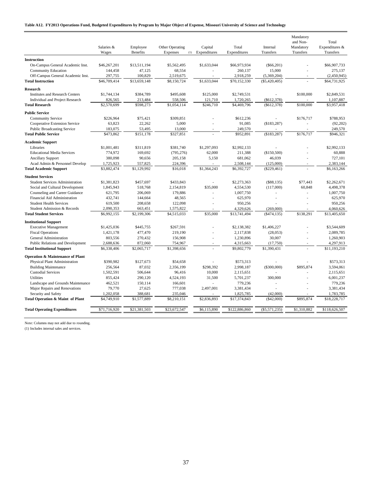|  |  |  | Table A12. FY2013 Operations Fund, Budgeted Expenditures by Program by Major Object of Expense, Missouri University of Science and Technology |  |
|--|--|--|-----------------------------------------------------------------------------------------------------------------------------------------------|--|
|  |  |  |                                                                                                                                               |  |

|                                                                   |                          |                             |                                    |                         |                           |                            | Mandatory<br>and Non-  | Total                       |
|-------------------------------------------------------------------|--------------------------|-----------------------------|------------------------------------|-------------------------|---------------------------|----------------------------|------------------------|-----------------------------|
|                                                                   | Salaries &<br>Wages      | Employee<br><b>Benefits</b> | Other Operating<br>Expenses<br>(1) | Capital<br>Expenditures | Total<br>Expenditures     | Internal<br>Transfers      | Mandatory<br>Transfers | Expenditures &<br>Transfers |
| <b>Instruction</b>                                                |                          |                             |                                    |                         |                           |                            |                        |                             |
| On-Campus General Academic Inst.                                  | \$46,267,201             | \$13,511,194                | \$5,562,495                        | \$1,633,044             | \$66,973,934              | $(\$66,201)$               |                        | \$66,907,733                |
| <b>Community Education</b>                                        | 144,458                  | 47,125                      | 68,554                             |                         | 260,137                   | 15,000                     |                        | 275,137                     |
| Off-Campus General Academic Inst.                                 | 297,755                  | 100,829                     | 2,519,675                          |                         | 2,918,259                 | (5,369,204)                |                        | (2,450,945)                 |
| <b>Total Instruction</b>                                          | \$46,709,414             | \$13,659,148                | \$8,150,724                        | \$1,633,044             | \$70,152,330              | $(\$5,420,405)$            |                        | \$64,731,925                |
| Research                                                          |                          |                             |                                    |                         |                           |                            |                        |                             |
| <b>Institutes and Research Centers</b>                            | \$1,744,134              | \$384,789                   | \$495,608                          | \$125,000               | \$2,749,531               |                            | \$100,000              | \$2,849,531                 |
| Individual and Project Research                                   | 826,565                  | 213,484                     | 558,506                            | 121,710                 | 1,720,265                 | $(\$612,378)$              |                        | 1,107,887                   |
| <b>Total Research</b>                                             | \$2,570,699              | \$598,273                   | \$1,054,114                        | \$246,710               | \$4,469,796               | (S612, 378)                | \$100,000              | \$3,957,418                 |
| <b>Public Service</b>                                             |                          |                             |                                    |                         |                           |                            |                        |                             |
| <b>Community Service</b>                                          | \$226,964                | \$75,421                    | \$309,851                          |                         | \$612,236                 |                            | \$176,717              | \$788,953                   |
| Cooperative Extension Service                                     | 63,823                   | 22,262                      | 5,000                              |                         | 91,085                    | (\$183, 287)               |                        | (92, 202)                   |
| <b>Public Broadcasting Service</b>                                | 183,075                  | 53,495                      | 13,000                             |                         | 249,570                   |                            |                        | 249,570                     |
| <b>Total Public Service</b>                                       | \$473,862                | \$151,178                   | \$327,851                          |                         | \$952,891                 | (\$183, 287)               | \$176,717              | \$946,321                   |
| <b>Academic Support</b>                                           |                          |                             |                                    |                         |                           |                            |                        |                             |
| Libraries                                                         | \$1,001,481              | \$311,819                   | \$381,740                          | \$1,297,093             | \$2,992,133               |                            |                        | \$2,992,133                 |
| <b>Educational Media Services</b>                                 | 774,972                  | 169,692                     | (795, 276)                         | 62,000                  | 211,388                   | (\$150,500)                |                        | 60,888                      |
| <b>Ancillary Support</b>                                          | 380,098                  | 90,656                      | 205,158                            | 5,150                   | 681,062                   | 46,039                     |                        | 727,101                     |
| Acad Admin & Personnel Develop                                    | 1,725,923                | 557,825                     | 224,396                            |                         | 2,508,144                 | (125,000)                  |                        | 2,383,144                   |
| <b>Total Academic Support</b>                                     | \$3,882,474              | \$1,129,992                 | \$16,018                           | \$1,364,243             | \$6,392,727               | $(\$229,461)$              |                        | \$6,163,266                 |
| <b>Student Services</b>                                           |                          |                             |                                    |                         |                           |                            |                        |                             |
| <b>Student Services Administration</b>                            | \$1,381,823              | \$457,697                   | \$433,843                          |                         | \$2,273,363               | (\$88,135)                 | \$77,443               | \$2,262,671                 |
| Social and Cultural Development                                   | 1,845,943                | 518,768                     | 2,154,819                          | \$35,000                | 4,554,530                 | (117,000)                  | 60,848                 | 4,498,378                   |
| Counseling and Career Guidance                                    | 621,795                  | 206,069                     | 179,886                            |                         | 1,007,750                 |                            |                        | 1,007,750                   |
| Financial Aid Administration                                      | 432,741                  | 144,664                     | 48,565                             |                         | 625,970                   |                            |                        | 625,970                     |
| <b>Student Health Services</b><br>Student Admission & Records     | 619,500                  | 208,658                     | 122,098                            |                         | 950,256                   |                            |                        | 950,256                     |
| <b>Total Student Services</b>                                     | 2,090,353<br>\$6,992,155 | 663,451<br>\$2,199,306      | 1,575,822<br>\$4,515,033           | \$35,000                | 4,329,626<br>\$13,741,494 | (269,000)<br>( \$474, 135) | \$138,291              | 4,060,626<br>\$13,405,650   |
|                                                                   |                          |                             |                                    |                         |                           |                            |                        |                             |
| <b>Institutional Support</b>                                      |                          |                             |                                    |                         |                           |                            |                        |                             |
| <b>Executive Management</b>                                       | \$1,425,036              | \$445.755                   | \$267,591                          |                         | \$2,138,382               | \$1,406,227                |                        | \$3,544,609                 |
| <b>Fiscal Operations</b>                                          | 1,421,178                | 477,470                     | 219,190                            |                         | 2,117,838                 | (28,053)                   |                        | 2,089,785                   |
| General Administration<br><b>Public Relations and Development</b> | 803,556<br>2,688,636     | 270,432<br>872,060          | 156,908<br>754,967                 |                         | 1,230,896<br>4,315,663    | 30,007<br>(17,750)         |                        | 1,260,903<br>4,297,913      |
| <b>Total Institutional Support</b>                                | \$6,338,406              | \$2,065,717                 | \$1,398,656                        |                         | \$9,802,779               | \$1,390,431                |                        | \$11,193,210                |
|                                                                   |                          |                             |                                    |                         |                           |                            |                        |                             |
| <b>Operation &amp; Maintenance of Plant</b>                       | \$390,982                | \$127,673                   | \$54,658                           |                         | \$573,313                 |                            |                        | \$573,313                   |
| Physical Plant Administration<br><b>Building Maintenance</b>      | 256,564                  | 87,032                      | 2,356,199                          | \$298,392               | 2,998,187                 | (\$300,000)                | \$895,874              | 3,594,061                   |
| <b>Custodial Services</b>                                         | 1,502,591                | 506,644                     | 96,416                             | 10,000                  | 2,115,651                 |                            |                        | 2,115,651                   |
| <b>Utilities</b>                                                  | 855,424                  | 290,120                     | 4,524,193                          | 31,500                  | 5,701,237                 | 300,000                    |                        | 6,001,237                   |
| Landscape and Grounds Maintenance                                 | 462,521                  | 150,114                     | 166,601                            |                         | 779,236                   |                            |                        | 779,236                     |
| Major Repairs and Renovations                                     | 79,770                   | 27,625                      | 777,038                            | 2,497,001               | 3,381,434                 |                            |                        | 3,381,434                   |
| Security and Safety                                               | 1,202,058                | 388,681                     | 235,046                            |                         | 1,825,785                 | (42,000)                   |                        | 1,783,785                   |
| Total Operation & Maint of Plant                                  | \$4,749,910              | \$1,577,889                 | \$8,210,151                        | \$2,836,893             | \$17,374,843              | (\$42,000)                 | \$895,874              | \$18,228,717                |
|                                                                   |                          |                             |                                    |                         |                           |                            |                        |                             |
| <b>Total Operating Expenditures</b>                               | \$71,716,920             | \$21,381,503                | \$23,672,547                       | \$6,115,890             | \$122,886,860             | $(\$5,571,235)$            | \$1,310,882            | \$118,626,507               |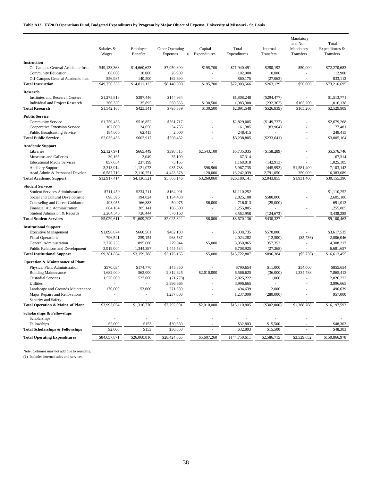| Salaries &<br>Capital<br>Total<br>Mandatory<br>Expenditures &<br>Employee<br>Other Operating<br>Internal<br><b>Benefits</b><br>Expenditures<br>Expenditures<br>Transfers<br>Transfers<br>Wages<br>Expenses<br>(1)<br>Transfers<br><b>Instruction</b><br>\$50,000<br>On-Campus General Academic Inst.<br>\$49,133,368<br>\$14,660,623<br>\$7,950,800<br>\$195,700<br>\$71,940,491<br>\$280,192<br>\$72,270,683<br>10,000<br>26,900<br>102,900<br>10,000<br>112,900<br><b>Community Education</b><br>66,000<br>÷,<br>ä,<br>Off-Campus General Academic Inst.<br>556,985<br>140,500<br>162,690<br>860,175<br>(27,063)<br>833,112<br>÷<br>$\sim$<br>\$49,756,353<br>\$14,811,123<br>\$8,140,390<br>\$195,700<br>\$72,903,566<br>\$50,000<br>\$73,216,695<br><b>Total Instruction</b><br>\$263,129<br><b>Research</b><br>\$144,984<br><b>Institutes and Research Centers</b><br>\$1,275,818<br>\$387,446<br>\$1,808,248<br>$(\$294,477)$<br>\$1,513,771<br>÷,<br>×.<br>266,350<br>35,895<br>650,555<br>\$130,500<br>1,083,300<br>(232, 362)<br>\$165,200<br>1,016,138<br>Individual and Project Research<br>\$2,529,909<br><b>Total Research</b><br>\$1,542,168<br>\$423,341<br>\$795,539<br>\$130,500<br>\$2,891,548<br>$(\$526,839)$<br>\$165,200<br><b>Public Service</b><br>\$2,679.268<br>\$1,750,436<br>\$516,852<br>\$561,717<br>\$2,829,005<br>(\$149,737)<br><b>Community Service</b><br>102,000<br>24,650<br>34,735<br>161,385<br>(83,904)<br>77,481<br>Cooperative Extension Service<br><b>Public Broadcasting Service</b><br>184,000<br>62,415<br>2,000<br>248,415<br>248,415<br>\$2,036,436<br>\$603,917<br>\$598,452<br>\$3,238,805<br>(\$233,641)<br>\$3,005,164<br><b>Total Public Service</b><br><b>Academic Support</b><br>\$2,127,971<br>\$665,449<br>\$398,515<br>\$2,543,100<br>\$5,735,035<br>(\$158,289)<br>\$5,576,746<br>Libraries<br>ä,<br>30,165<br>2,049<br>35,100<br>67,314<br>67,314<br>Museums and Galleries<br>857.654<br>1,168,018<br>(142, 913)<br>1,025,105<br><b>Educational Media Services</b><br>237,199<br>73,165<br>÷,<br>3,313,914<br>1,121,073<br>935,788<br>596,960<br>5,967,735<br>\$1,581,400<br>7.103.142<br><b>Ancillary Support</b><br>(445,993)<br>2,110,751<br>120,000<br>13,242,039<br>350,000<br>16,383,089<br>Acad Admin & Personnel Develop<br>6,587,710<br>4,423,578<br>2,791,050<br>\$12,917,414<br>\$3,260,060<br>\$26,180,141<br>\$1,931,400<br>\$30,155,396<br><b>Total Academic Support</b><br>\$4,136,521<br>\$5,866,146<br>\$2,043,855<br><b>Student Services</b><br>\$1,110,252<br><b>Student Services Administration</b><br>\$711,450<br>\$234,711<br>\$164,091<br>\$1,110,252<br>ä,<br>696,596<br>194,024<br>1,134,488<br>2,025,108<br>\$580,000<br>2,605,108<br>Social and Cultural Development<br>Counseling and Career Guidance<br>493,055<br>166,883<br>50,075<br>\$6,000<br>716,013<br>(25,000)<br>691,013<br>1,255,805<br>Financial Aid Administration<br>864,164<br>285,141<br>106,500<br>1,255,805<br>÷.<br>÷.<br>J.<br>Student Admission & Records<br>2,264,346<br>728,444<br>570,168<br>3,562,958<br>(124, 673)<br>3,438,285<br>\$6,000<br>\$430,327<br>\$9,100,463<br><b>Total Student Services</b><br>\$5,029,611<br>\$1,609,203<br>\$2,025,322<br>\$8,670,136<br><b>Institutional Support</b><br>\$3,038,735<br>\$1,896,074<br>\$660,561<br>\$482,100<br>\$578,800<br>\$3,617,535<br><b>Executive Management</b><br>796,541<br>259,154<br>968,587<br>2,024,282<br>$(\$5,736)$<br>2,006,046<br><b>Fiscal Operations</b><br>(12,500)<br>2,770,235<br>895,686<br>279,944<br>\$5,000<br>3,950,865<br>357,352<br>4,308,217<br>General Administration<br>k,<br>3,919,004<br>1,344,387<br>1,445,534<br>6,708,925<br>6,681,657<br>Public Relations and Development<br>(27, 268)<br>\$5,000<br>\$9,381,854<br>\$3,159,788<br>\$3,176,165<br>\$15,722,807<br>\$896,384<br>(\$5,736)<br>\$16,613,455<br><b>Total Institutional Support</b><br><b>Operation &amp; Maintenance of Plant</b><br>Physical Plant Administration<br>\$570,034<br>\$174,770<br>\$45,850<br>\$790,654<br>\$11,000<br>\$54,000<br>\$855,654<br>1,682,000<br>562,000<br>\$2,010,000<br>6,566,625<br>(36,000)<br>1,334,788<br>7,865,413<br><b>Building Maintenance</b><br>2,312,625<br><b>Custodial Services</b><br>1,000<br>2,026,222<br>1,570,000<br>527,000<br>(71, 778)<br>2,025,222<br>÷.<br><b>Utilities</b><br>3,996,665<br>3,996,665<br>3,996,665<br>ä,<br>53,000<br>2,000<br>496,639<br>Landscape and Grounds Maintenance<br>170,000<br>271,639<br>494,639<br>1,237,000<br>957,000<br>Major Repairs and Renovations<br>1,237,000<br>(280,000)<br>×.<br>$\overline{a}$<br>÷,<br>Security and Safety<br>\$3,992,034<br>\$1,316,770<br>\$7,792,001<br>\$2,010,000<br>\$15,110,805<br>\$1,388,788<br>\$16,197,593<br>Total Operation & Maint of Plant<br>(\$302,000)<br><b>Scholarships &amp; Fellowships</b><br>Scholarships<br>ä,<br>Fellowships<br>\$2,000<br>\$153<br>\$30,650<br>\$32,803<br>\$15,500<br>\$48,303<br><b>Total Scholarships &amp; Fellowships</b><br>\$2,000<br>\$153<br>\$30,650<br>\$32,803<br>\$15,500<br>\$48,303<br>\$84,657,871<br>\$26,060,816<br>\$28,424,665<br>\$5,607,260<br>\$144,750,611<br>\$2,586,715<br>\$150,866,978<br><b>Total Operating Expenditures</b><br>\$3,529,652 |  |  |  | Mandatory<br>and Non- | Total |
|---------------------------------------------------------------------------------------------------------------------------------------------------------------------------------------------------------------------------------------------------------------------------------------------------------------------------------------------------------------------------------------------------------------------------------------------------------------------------------------------------------------------------------------------------------------------------------------------------------------------------------------------------------------------------------------------------------------------------------------------------------------------------------------------------------------------------------------------------------------------------------------------------------------------------------------------------------------------------------------------------------------------------------------------------------------------------------------------------------------------------------------------------------------------------------------------------------------------------------------------------------------------------------------------------------------------------------------------------------------------------------------------------------------------------------------------------------------------------------------------------------------------------------------------------------------------------------------------------------------------------------------------------------------------------------------------------------------------------------------------------------------------------------------------------------------------------------------------------------------------------------------------------------------------------------------------------------------------------------------------------------------------------------------------------------------------------------------------------------------------------------------------------------------------------------------------------------------------------------------------------------------------------------------------------------------------------------------------------------------------------------------------------------------------------------------------------------------------------------------------------------------------------------------------------------------------------------------------------------------------------------------------------------------------------------------------------------------------------------------------------------------------------------------------------------------------------------------------------------------------------------------------------------------------------------------------------------------------------------------------------------------------------------------------------------------------------------------------------------------------------------------------------------------------------------------------------------------------------------------------------------------------------------------------------------------------------------------------------------------------------------------------------------------------------------------------------------------------------------------------------------------------------------------------------------------------------------------------------------------------------------------------------------------------------------------------------------------------------------------------------------------------------------------------------------------------------------------------------------------------------------------------------------------------------------------------------------------------------------------------------------------------------------------------------------------------------------------------------------------------------------------------------------------------------------------------------------------------------------------------------------------------------------------------------------------------------------------------------------------------------------------------------------------------------------------------------------------------------------------------------------------------------------------------------------------------------------------------------------------------------------------------------------------------------------------------------------------------------------------------------------------------------------------------------------------------------------------------------------------------------------------------------------------------------------------------------------------------------------------------------------------------------------------------------------------------------------------------------------------------------------------------------------------------------------------------------------------------------------------------------------|--|--|--|-----------------------|-------|
|                                                                                                                                                                                                                                                                                                                                                                                                                                                                                                                                                                                                                                                                                                                                                                                                                                                                                                                                                                                                                                                                                                                                                                                                                                                                                                                                                                                                                                                                                                                                                                                                                                                                                                                                                                                                                                                                                                                                                                                                                                                                                                                                                                                                                                                                                                                                                                                                                                                                                                                                                                                                                                                                                                                                                                                                                                                                                                                                                                                                                                                                                                                                                                                                                                                                                                                                                                                                                                                                                                                                                                                                                                                                                                                                                                                                                                                                                                                                                                                                                                                                                                                                                                                                                                                                                                                                                                                                                                                                                                                                                                                                                                                                                                                                                                                                                                                                                                                                                                                                                                                                                                                                                                                                                                                         |  |  |  |                       |       |
|                                                                                                                                                                                                                                                                                                                                                                                                                                                                                                                                                                                                                                                                                                                                                                                                                                                                                                                                                                                                                                                                                                                                                                                                                                                                                                                                                                                                                                                                                                                                                                                                                                                                                                                                                                                                                                                                                                                                                                                                                                                                                                                                                                                                                                                                                                                                                                                                                                                                                                                                                                                                                                                                                                                                                                                                                                                                                                                                                                                                                                                                                                                                                                                                                                                                                                                                                                                                                                                                                                                                                                                                                                                                                                                                                                                                                                                                                                                                                                                                                                                                                                                                                                                                                                                                                                                                                                                                                                                                                                                                                                                                                                                                                                                                                                                                                                                                                                                                                                                                                                                                                                                                                                                                                                                         |  |  |  |                       |       |
|                                                                                                                                                                                                                                                                                                                                                                                                                                                                                                                                                                                                                                                                                                                                                                                                                                                                                                                                                                                                                                                                                                                                                                                                                                                                                                                                                                                                                                                                                                                                                                                                                                                                                                                                                                                                                                                                                                                                                                                                                                                                                                                                                                                                                                                                                                                                                                                                                                                                                                                                                                                                                                                                                                                                                                                                                                                                                                                                                                                                                                                                                                                                                                                                                                                                                                                                                                                                                                                                                                                                                                                                                                                                                                                                                                                                                                                                                                                                                                                                                                                                                                                                                                                                                                                                                                                                                                                                                                                                                                                                                                                                                                                                                                                                                                                                                                                                                                                                                                                                                                                                                                                                                                                                                                                         |  |  |  |                       |       |
|                                                                                                                                                                                                                                                                                                                                                                                                                                                                                                                                                                                                                                                                                                                                                                                                                                                                                                                                                                                                                                                                                                                                                                                                                                                                                                                                                                                                                                                                                                                                                                                                                                                                                                                                                                                                                                                                                                                                                                                                                                                                                                                                                                                                                                                                                                                                                                                                                                                                                                                                                                                                                                                                                                                                                                                                                                                                                                                                                                                                                                                                                                                                                                                                                                                                                                                                                                                                                                                                                                                                                                                                                                                                                                                                                                                                                                                                                                                                                                                                                                                                                                                                                                                                                                                                                                                                                                                                                                                                                                                                                                                                                                                                                                                                                                                                                                                                                                                                                                                                                                                                                                                                                                                                                                                         |  |  |  |                       |       |
|                                                                                                                                                                                                                                                                                                                                                                                                                                                                                                                                                                                                                                                                                                                                                                                                                                                                                                                                                                                                                                                                                                                                                                                                                                                                                                                                                                                                                                                                                                                                                                                                                                                                                                                                                                                                                                                                                                                                                                                                                                                                                                                                                                                                                                                                                                                                                                                                                                                                                                                                                                                                                                                                                                                                                                                                                                                                                                                                                                                                                                                                                                                                                                                                                                                                                                                                                                                                                                                                                                                                                                                                                                                                                                                                                                                                                                                                                                                                                                                                                                                                                                                                                                                                                                                                                                                                                                                                                                                                                                                                                                                                                                                                                                                                                                                                                                                                                                                                                                                                                                                                                                                                                                                                                                                         |  |  |  |                       |       |
|                                                                                                                                                                                                                                                                                                                                                                                                                                                                                                                                                                                                                                                                                                                                                                                                                                                                                                                                                                                                                                                                                                                                                                                                                                                                                                                                                                                                                                                                                                                                                                                                                                                                                                                                                                                                                                                                                                                                                                                                                                                                                                                                                                                                                                                                                                                                                                                                                                                                                                                                                                                                                                                                                                                                                                                                                                                                                                                                                                                                                                                                                                                                                                                                                                                                                                                                                                                                                                                                                                                                                                                                                                                                                                                                                                                                                                                                                                                                                                                                                                                                                                                                                                                                                                                                                                                                                                                                                                                                                                                                                                                                                                                                                                                                                                                                                                                                                                                                                                                                                                                                                                                                                                                                                                                         |  |  |  |                       |       |
|                                                                                                                                                                                                                                                                                                                                                                                                                                                                                                                                                                                                                                                                                                                                                                                                                                                                                                                                                                                                                                                                                                                                                                                                                                                                                                                                                                                                                                                                                                                                                                                                                                                                                                                                                                                                                                                                                                                                                                                                                                                                                                                                                                                                                                                                                                                                                                                                                                                                                                                                                                                                                                                                                                                                                                                                                                                                                                                                                                                                                                                                                                                                                                                                                                                                                                                                                                                                                                                                                                                                                                                                                                                                                                                                                                                                                                                                                                                                                                                                                                                                                                                                                                                                                                                                                                                                                                                                                                                                                                                                                                                                                                                                                                                                                                                                                                                                                                                                                                                                                                                                                                                                                                                                                                                         |  |  |  |                       |       |
|                                                                                                                                                                                                                                                                                                                                                                                                                                                                                                                                                                                                                                                                                                                                                                                                                                                                                                                                                                                                                                                                                                                                                                                                                                                                                                                                                                                                                                                                                                                                                                                                                                                                                                                                                                                                                                                                                                                                                                                                                                                                                                                                                                                                                                                                                                                                                                                                                                                                                                                                                                                                                                                                                                                                                                                                                                                                                                                                                                                                                                                                                                                                                                                                                                                                                                                                                                                                                                                                                                                                                                                                                                                                                                                                                                                                                                                                                                                                                                                                                                                                                                                                                                                                                                                                                                                                                                                                                                                                                                                                                                                                                                                                                                                                                                                                                                                                                                                                                                                                                                                                                                                                                                                                                                                         |  |  |  |                       |       |
|                                                                                                                                                                                                                                                                                                                                                                                                                                                                                                                                                                                                                                                                                                                                                                                                                                                                                                                                                                                                                                                                                                                                                                                                                                                                                                                                                                                                                                                                                                                                                                                                                                                                                                                                                                                                                                                                                                                                                                                                                                                                                                                                                                                                                                                                                                                                                                                                                                                                                                                                                                                                                                                                                                                                                                                                                                                                                                                                                                                                                                                                                                                                                                                                                                                                                                                                                                                                                                                                                                                                                                                                                                                                                                                                                                                                                                                                                                                                                                                                                                                                                                                                                                                                                                                                                                                                                                                                                                                                                                                                                                                                                                                                                                                                                                                                                                                                                                                                                                                                                                                                                                                                                                                                                                                         |  |  |  |                       |       |
|                                                                                                                                                                                                                                                                                                                                                                                                                                                                                                                                                                                                                                                                                                                                                                                                                                                                                                                                                                                                                                                                                                                                                                                                                                                                                                                                                                                                                                                                                                                                                                                                                                                                                                                                                                                                                                                                                                                                                                                                                                                                                                                                                                                                                                                                                                                                                                                                                                                                                                                                                                                                                                                                                                                                                                                                                                                                                                                                                                                                                                                                                                                                                                                                                                                                                                                                                                                                                                                                                                                                                                                                                                                                                                                                                                                                                                                                                                                                                                                                                                                                                                                                                                                                                                                                                                                                                                                                                                                                                                                                                                                                                                                                                                                                                                                                                                                                                                                                                                                                                                                                                                                                                                                                                                                         |  |  |  |                       |       |
|                                                                                                                                                                                                                                                                                                                                                                                                                                                                                                                                                                                                                                                                                                                                                                                                                                                                                                                                                                                                                                                                                                                                                                                                                                                                                                                                                                                                                                                                                                                                                                                                                                                                                                                                                                                                                                                                                                                                                                                                                                                                                                                                                                                                                                                                                                                                                                                                                                                                                                                                                                                                                                                                                                                                                                                                                                                                                                                                                                                                                                                                                                                                                                                                                                                                                                                                                                                                                                                                                                                                                                                                                                                                                                                                                                                                                                                                                                                                                                                                                                                                                                                                                                                                                                                                                                                                                                                                                                                                                                                                                                                                                                                                                                                                                                                                                                                                                                                                                                                                                                                                                                                                                                                                                                                         |  |  |  |                       |       |
|                                                                                                                                                                                                                                                                                                                                                                                                                                                                                                                                                                                                                                                                                                                                                                                                                                                                                                                                                                                                                                                                                                                                                                                                                                                                                                                                                                                                                                                                                                                                                                                                                                                                                                                                                                                                                                                                                                                                                                                                                                                                                                                                                                                                                                                                                                                                                                                                                                                                                                                                                                                                                                                                                                                                                                                                                                                                                                                                                                                                                                                                                                                                                                                                                                                                                                                                                                                                                                                                                                                                                                                                                                                                                                                                                                                                                                                                                                                                                                                                                                                                                                                                                                                                                                                                                                                                                                                                                                                                                                                                                                                                                                                                                                                                                                                                                                                                                                                                                                                                                                                                                                                                                                                                                                                         |  |  |  |                       |       |
|                                                                                                                                                                                                                                                                                                                                                                                                                                                                                                                                                                                                                                                                                                                                                                                                                                                                                                                                                                                                                                                                                                                                                                                                                                                                                                                                                                                                                                                                                                                                                                                                                                                                                                                                                                                                                                                                                                                                                                                                                                                                                                                                                                                                                                                                                                                                                                                                                                                                                                                                                                                                                                                                                                                                                                                                                                                                                                                                                                                                                                                                                                                                                                                                                                                                                                                                                                                                                                                                                                                                                                                                                                                                                                                                                                                                                                                                                                                                                                                                                                                                                                                                                                                                                                                                                                                                                                                                                                                                                                                                                                                                                                                                                                                                                                                                                                                                                                                                                                                                                                                                                                                                                                                                                                                         |  |  |  |                       |       |
|                                                                                                                                                                                                                                                                                                                                                                                                                                                                                                                                                                                                                                                                                                                                                                                                                                                                                                                                                                                                                                                                                                                                                                                                                                                                                                                                                                                                                                                                                                                                                                                                                                                                                                                                                                                                                                                                                                                                                                                                                                                                                                                                                                                                                                                                                                                                                                                                                                                                                                                                                                                                                                                                                                                                                                                                                                                                                                                                                                                                                                                                                                                                                                                                                                                                                                                                                                                                                                                                                                                                                                                                                                                                                                                                                                                                                                                                                                                                                                                                                                                                                                                                                                                                                                                                                                                                                                                                                                                                                                                                                                                                                                                                                                                                                                                                                                                                                                                                                                                                                                                                                                                                                                                                                                                         |  |  |  |                       |       |
|                                                                                                                                                                                                                                                                                                                                                                                                                                                                                                                                                                                                                                                                                                                                                                                                                                                                                                                                                                                                                                                                                                                                                                                                                                                                                                                                                                                                                                                                                                                                                                                                                                                                                                                                                                                                                                                                                                                                                                                                                                                                                                                                                                                                                                                                                                                                                                                                                                                                                                                                                                                                                                                                                                                                                                                                                                                                                                                                                                                                                                                                                                                                                                                                                                                                                                                                                                                                                                                                                                                                                                                                                                                                                                                                                                                                                                                                                                                                                                                                                                                                                                                                                                                                                                                                                                                                                                                                                                                                                                                                                                                                                                                                                                                                                                                                                                                                                                                                                                                                                                                                                                                                                                                                                                                         |  |  |  |                       |       |
|                                                                                                                                                                                                                                                                                                                                                                                                                                                                                                                                                                                                                                                                                                                                                                                                                                                                                                                                                                                                                                                                                                                                                                                                                                                                                                                                                                                                                                                                                                                                                                                                                                                                                                                                                                                                                                                                                                                                                                                                                                                                                                                                                                                                                                                                                                                                                                                                                                                                                                                                                                                                                                                                                                                                                                                                                                                                                                                                                                                                                                                                                                                                                                                                                                                                                                                                                                                                                                                                                                                                                                                                                                                                                                                                                                                                                                                                                                                                                                                                                                                                                                                                                                                                                                                                                                                                                                                                                                                                                                                                                                                                                                                                                                                                                                                                                                                                                                                                                                                                                                                                                                                                                                                                                                                         |  |  |  |                       |       |
|                                                                                                                                                                                                                                                                                                                                                                                                                                                                                                                                                                                                                                                                                                                                                                                                                                                                                                                                                                                                                                                                                                                                                                                                                                                                                                                                                                                                                                                                                                                                                                                                                                                                                                                                                                                                                                                                                                                                                                                                                                                                                                                                                                                                                                                                                                                                                                                                                                                                                                                                                                                                                                                                                                                                                                                                                                                                                                                                                                                                                                                                                                                                                                                                                                                                                                                                                                                                                                                                                                                                                                                                                                                                                                                                                                                                                                                                                                                                                                                                                                                                                                                                                                                                                                                                                                                                                                                                                                                                                                                                                                                                                                                                                                                                                                                                                                                                                                                                                                                                                                                                                                                                                                                                                                                         |  |  |  |                       |       |
|                                                                                                                                                                                                                                                                                                                                                                                                                                                                                                                                                                                                                                                                                                                                                                                                                                                                                                                                                                                                                                                                                                                                                                                                                                                                                                                                                                                                                                                                                                                                                                                                                                                                                                                                                                                                                                                                                                                                                                                                                                                                                                                                                                                                                                                                                                                                                                                                                                                                                                                                                                                                                                                                                                                                                                                                                                                                                                                                                                                                                                                                                                                                                                                                                                                                                                                                                                                                                                                                                                                                                                                                                                                                                                                                                                                                                                                                                                                                                                                                                                                                                                                                                                                                                                                                                                                                                                                                                                                                                                                                                                                                                                                                                                                                                                                                                                                                                                                                                                                                                                                                                                                                                                                                                                                         |  |  |  |                       |       |
|                                                                                                                                                                                                                                                                                                                                                                                                                                                                                                                                                                                                                                                                                                                                                                                                                                                                                                                                                                                                                                                                                                                                                                                                                                                                                                                                                                                                                                                                                                                                                                                                                                                                                                                                                                                                                                                                                                                                                                                                                                                                                                                                                                                                                                                                                                                                                                                                                                                                                                                                                                                                                                                                                                                                                                                                                                                                                                                                                                                                                                                                                                                                                                                                                                                                                                                                                                                                                                                                                                                                                                                                                                                                                                                                                                                                                                                                                                                                                                                                                                                                                                                                                                                                                                                                                                                                                                                                                                                                                                                                                                                                                                                                                                                                                                                                                                                                                                                                                                                                                                                                                                                                                                                                                                                         |  |  |  |                       |       |
|                                                                                                                                                                                                                                                                                                                                                                                                                                                                                                                                                                                                                                                                                                                                                                                                                                                                                                                                                                                                                                                                                                                                                                                                                                                                                                                                                                                                                                                                                                                                                                                                                                                                                                                                                                                                                                                                                                                                                                                                                                                                                                                                                                                                                                                                                                                                                                                                                                                                                                                                                                                                                                                                                                                                                                                                                                                                                                                                                                                                                                                                                                                                                                                                                                                                                                                                                                                                                                                                                                                                                                                                                                                                                                                                                                                                                                                                                                                                                                                                                                                                                                                                                                                                                                                                                                                                                                                                                                                                                                                                                                                                                                                                                                                                                                                                                                                                                                                                                                                                                                                                                                                                                                                                                                                         |  |  |  |                       |       |
|                                                                                                                                                                                                                                                                                                                                                                                                                                                                                                                                                                                                                                                                                                                                                                                                                                                                                                                                                                                                                                                                                                                                                                                                                                                                                                                                                                                                                                                                                                                                                                                                                                                                                                                                                                                                                                                                                                                                                                                                                                                                                                                                                                                                                                                                                                                                                                                                                                                                                                                                                                                                                                                                                                                                                                                                                                                                                                                                                                                                                                                                                                                                                                                                                                                                                                                                                                                                                                                                                                                                                                                                                                                                                                                                                                                                                                                                                                                                                                                                                                                                                                                                                                                                                                                                                                                                                                                                                                                                                                                                                                                                                                                                                                                                                                                                                                                                                                                                                                                                                                                                                                                                                                                                                                                         |  |  |  |                       |       |
|                                                                                                                                                                                                                                                                                                                                                                                                                                                                                                                                                                                                                                                                                                                                                                                                                                                                                                                                                                                                                                                                                                                                                                                                                                                                                                                                                                                                                                                                                                                                                                                                                                                                                                                                                                                                                                                                                                                                                                                                                                                                                                                                                                                                                                                                                                                                                                                                                                                                                                                                                                                                                                                                                                                                                                                                                                                                                                                                                                                                                                                                                                                                                                                                                                                                                                                                                                                                                                                                                                                                                                                                                                                                                                                                                                                                                                                                                                                                                                                                                                                                                                                                                                                                                                                                                                                                                                                                                                                                                                                                                                                                                                                                                                                                                                                                                                                                                                                                                                                                                                                                                                                                                                                                                                                         |  |  |  |                       |       |
|                                                                                                                                                                                                                                                                                                                                                                                                                                                                                                                                                                                                                                                                                                                                                                                                                                                                                                                                                                                                                                                                                                                                                                                                                                                                                                                                                                                                                                                                                                                                                                                                                                                                                                                                                                                                                                                                                                                                                                                                                                                                                                                                                                                                                                                                                                                                                                                                                                                                                                                                                                                                                                                                                                                                                                                                                                                                                                                                                                                                                                                                                                                                                                                                                                                                                                                                                                                                                                                                                                                                                                                                                                                                                                                                                                                                                                                                                                                                                                                                                                                                                                                                                                                                                                                                                                                                                                                                                                                                                                                                                                                                                                                                                                                                                                                                                                                                                                                                                                                                                                                                                                                                                                                                                                                         |  |  |  |                       |       |
|                                                                                                                                                                                                                                                                                                                                                                                                                                                                                                                                                                                                                                                                                                                                                                                                                                                                                                                                                                                                                                                                                                                                                                                                                                                                                                                                                                                                                                                                                                                                                                                                                                                                                                                                                                                                                                                                                                                                                                                                                                                                                                                                                                                                                                                                                                                                                                                                                                                                                                                                                                                                                                                                                                                                                                                                                                                                                                                                                                                                                                                                                                                                                                                                                                                                                                                                                                                                                                                                                                                                                                                                                                                                                                                                                                                                                                                                                                                                                                                                                                                                                                                                                                                                                                                                                                                                                                                                                                                                                                                                                                                                                                                                                                                                                                                                                                                                                                                                                                                                                                                                                                                                                                                                                                                         |  |  |  |                       |       |
|                                                                                                                                                                                                                                                                                                                                                                                                                                                                                                                                                                                                                                                                                                                                                                                                                                                                                                                                                                                                                                                                                                                                                                                                                                                                                                                                                                                                                                                                                                                                                                                                                                                                                                                                                                                                                                                                                                                                                                                                                                                                                                                                                                                                                                                                                                                                                                                                                                                                                                                                                                                                                                                                                                                                                                                                                                                                                                                                                                                                                                                                                                                                                                                                                                                                                                                                                                                                                                                                                                                                                                                                                                                                                                                                                                                                                                                                                                                                                                                                                                                                                                                                                                                                                                                                                                                                                                                                                                                                                                                                                                                                                                                                                                                                                                                                                                                                                                                                                                                                                                                                                                                                                                                                                                                         |  |  |  |                       |       |
|                                                                                                                                                                                                                                                                                                                                                                                                                                                                                                                                                                                                                                                                                                                                                                                                                                                                                                                                                                                                                                                                                                                                                                                                                                                                                                                                                                                                                                                                                                                                                                                                                                                                                                                                                                                                                                                                                                                                                                                                                                                                                                                                                                                                                                                                                                                                                                                                                                                                                                                                                                                                                                                                                                                                                                                                                                                                                                                                                                                                                                                                                                                                                                                                                                                                                                                                                                                                                                                                                                                                                                                                                                                                                                                                                                                                                                                                                                                                                                                                                                                                                                                                                                                                                                                                                                                                                                                                                                                                                                                                                                                                                                                                                                                                                                                                                                                                                                                                                                                                                                                                                                                                                                                                                                                         |  |  |  |                       |       |
|                                                                                                                                                                                                                                                                                                                                                                                                                                                                                                                                                                                                                                                                                                                                                                                                                                                                                                                                                                                                                                                                                                                                                                                                                                                                                                                                                                                                                                                                                                                                                                                                                                                                                                                                                                                                                                                                                                                                                                                                                                                                                                                                                                                                                                                                                                                                                                                                                                                                                                                                                                                                                                                                                                                                                                                                                                                                                                                                                                                                                                                                                                                                                                                                                                                                                                                                                                                                                                                                                                                                                                                                                                                                                                                                                                                                                                                                                                                                                                                                                                                                                                                                                                                                                                                                                                                                                                                                                                                                                                                                                                                                                                                                                                                                                                                                                                                                                                                                                                                                                                                                                                                                                                                                                                                         |  |  |  |                       |       |
|                                                                                                                                                                                                                                                                                                                                                                                                                                                                                                                                                                                                                                                                                                                                                                                                                                                                                                                                                                                                                                                                                                                                                                                                                                                                                                                                                                                                                                                                                                                                                                                                                                                                                                                                                                                                                                                                                                                                                                                                                                                                                                                                                                                                                                                                                                                                                                                                                                                                                                                                                                                                                                                                                                                                                                                                                                                                                                                                                                                                                                                                                                                                                                                                                                                                                                                                                                                                                                                                                                                                                                                                                                                                                                                                                                                                                                                                                                                                                                                                                                                                                                                                                                                                                                                                                                                                                                                                                                                                                                                                                                                                                                                                                                                                                                                                                                                                                                                                                                                                                                                                                                                                                                                                                                                         |  |  |  |                       |       |
|                                                                                                                                                                                                                                                                                                                                                                                                                                                                                                                                                                                                                                                                                                                                                                                                                                                                                                                                                                                                                                                                                                                                                                                                                                                                                                                                                                                                                                                                                                                                                                                                                                                                                                                                                                                                                                                                                                                                                                                                                                                                                                                                                                                                                                                                                                                                                                                                                                                                                                                                                                                                                                                                                                                                                                                                                                                                                                                                                                                                                                                                                                                                                                                                                                                                                                                                                                                                                                                                                                                                                                                                                                                                                                                                                                                                                                                                                                                                                                                                                                                                                                                                                                                                                                                                                                                                                                                                                                                                                                                                                                                                                                                                                                                                                                                                                                                                                                                                                                                                                                                                                                                                                                                                                                                         |  |  |  |                       |       |
|                                                                                                                                                                                                                                                                                                                                                                                                                                                                                                                                                                                                                                                                                                                                                                                                                                                                                                                                                                                                                                                                                                                                                                                                                                                                                                                                                                                                                                                                                                                                                                                                                                                                                                                                                                                                                                                                                                                                                                                                                                                                                                                                                                                                                                                                                                                                                                                                                                                                                                                                                                                                                                                                                                                                                                                                                                                                                                                                                                                                                                                                                                                                                                                                                                                                                                                                                                                                                                                                                                                                                                                                                                                                                                                                                                                                                                                                                                                                                                                                                                                                                                                                                                                                                                                                                                                                                                                                                                                                                                                                                                                                                                                                                                                                                                                                                                                                                                                                                                                                                                                                                                                                                                                                                                                         |  |  |  |                       |       |
|                                                                                                                                                                                                                                                                                                                                                                                                                                                                                                                                                                                                                                                                                                                                                                                                                                                                                                                                                                                                                                                                                                                                                                                                                                                                                                                                                                                                                                                                                                                                                                                                                                                                                                                                                                                                                                                                                                                                                                                                                                                                                                                                                                                                                                                                                                                                                                                                                                                                                                                                                                                                                                                                                                                                                                                                                                                                                                                                                                                                                                                                                                                                                                                                                                                                                                                                                                                                                                                                                                                                                                                                                                                                                                                                                                                                                                                                                                                                                                                                                                                                                                                                                                                                                                                                                                                                                                                                                                                                                                                                                                                                                                                                                                                                                                                                                                                                                                                                                                                                                                                                                                                                                                                                                                                         |  |  |  |                       |       |
|                                                                                                                                                                                                                                                                                                                                                                                                                                                                                                                                                                                                                                                                                                                                                                                                                                                                                                                                                                                                                                                                                                                                                                                                                                                                                                                                                                                                                                                                                                                                                                                                                                                                                                                                                                                                                                                                                                                                                                                                                                                                                                                                                                                                                                                                                                                                                                                                                                                                                                                                                                                                                                                                                                                                                                                                                                                                                                                                                                                                                                                                                                                                                                                                                                                                                                                                                                                                                                                                                                                                                                                                                                                                                                                                                                                                                                                                                                                                                                                                                                                                                                                                                                                                                                                                                                                                                                                                                                                                                                                                                                                                                                                                                                                                                                                                                                                                                                                                                                                                                                                                                                                                                                                                                                                         |  |  |  |                       |       |
|                                                                                                                                                                                                                                                                                                                                                                                                                                                                                                                                                                                                                                                                                                                                                                                                                                                                                                                                                                                                                                                                                                                                                                                                                                                                                                                                                                                                                                                                                                                                                                                                                                                                                                                                                                                                                                                                                                                                                                                                                                                                                                                                                                                                                                                                                                                                                                                                                                                                                                                                                                                                                                                                                                                                                                                                                                                                                                                                                                                                                                                                                                                                                                                                                                                                                                                                                                                                                                                                                                                                                                                                                                                                                                                                                                                                                                                                                                                                                                                                                                                                                                                                                                                                                                                                                                                                                                                                                                                                                                                                                                                                                                                                                                                                                                                                                                                                                                                                                                                                                                                                                                                                                                                                                                                         |  |  |  |                       |       |
|                                                                                                                                                                                                                                                                                                                                                                                                                                                                                                                                                                                                                                                                                                                                                                                                                                                                                                                                                                                                                                                                                                                                                                                                                                                                                                                                                                                                                                                                                                                                                                                                                                                                                                                                                                                                                                                                                                                                                                                                                                                                                                                                                                                                                                                                                                                                                                                                                                                                                                                                                                                                                                                                                                                                                                                                                                                                                                                                                                                                                                                                                                                                                                                                                                                                                                                                                                                                                                                                                                                                                                                                                                                                                                                                                                                                                                                                                                                                                                                                                                                                                                                                                                                                                                                                                                                                                                                                                                                                                                                                                                                                                                                                                                                                                                                                                                                                                                                                                                                                                                                                                                                                                                                                                                                         |  |  |  |                       |       |
|                                                                                                                                                                                                                                                                                                                                                                                                                                                                                                                                                                                                                                                                                                                                                                                                                                                                                                                                                                                                                                                                                                                                                                                                                                                                                                                                                                                                                                                                                                                                                                                                                                                                                                                                                                                                                                                                                                                                                                                                                                                                                                                                                                                                                                                                                                                                                                                                                                                                                                                                                                                                                                                                                                                                                                                                                                                                                                                                                                                                                                                                                                                                                                                                                                                                                                                                                                                                                                                                                                                                                                                                                                                                                                                                                                                                                                                                                                                                                                                                                                                                                                                                                                                                                                                                                                                                                                                                                                                                                                                                                                                                                                                                                                                                                                                                                                                                                                                                                                                                                                                                                                                                                                                                                                                         |  |  |  |                       |       |
|                                                                                                                                                                                                                                                                                                                                                                                                                                                                                                                                                                                                                                                                                                                                                                                                                                                                                                                                                                                                                                                                                                                                                                                                                                                                                                                                                                                                                                                                                                                                                                                                                                                                                                                                                                                                                                                                                                                                                                                                                                                                                                                                                                                                                                                                                                                                                                                                                                                                                                                                                                                                                                                                                                                                                                                                                                                                                                                                                                                                                                                                                                                                                                                                                                                                                                                                                                                                                                                                                                                                                                                                                                                                                                                                                                                                                                                                                                                                                                                                                                                                                                                                                                                                                                                                                                                                                                                                                                                                                                                                                                                                                                                                                                                                                                                                                                                                                                                                                                                                                                                                                                                                                                                                                                                         |  |  |  |                       |       |
|                                                                                                                                                                                                                                                                                                                                                                                                                                                                                                                                                                                                                                                                                                                                                                                                                                                                                                                                                                                                                                                                                                                                                                                                                                                                                                                                                                                                                                                                                                                                                                                                                                                                                                                                                                                                                                                                                                                                                                                                                                                                                                                                                                                                                                                                                                                                                                                                                                                                                                                                                                                                                                                                                                                                                                                                                                                                                                                                                                                                                                                                                                                                                                                                                                                                                                                                                                                                                                                                                                                                                                                                                                                                                                                                                                                                                                                                                                                                                                                                                                                                                                                                                                                                                                                                                                                                                                                                                                                                                                                                                                                                                                                                                                                                                                                                                                                                                                                                                                                                                                                                                                                                                                                                                                                         |  |  |  |                       |       |
|                                                                                                                                                                                                                                                                                                                                                                                                                                                                                                                                                                                                                                                                                                                                                                                                                                                                                                                                                                                                                                                                                                                                                                                                                                                                                                                                                                                                                                                                                                                                                                                                                                                                                                                                                                                                                                                                                                                                                                                                                                                                                                                                                                                                                                                                                                                                                                                                                                                                                                                                                                                                                                                                                                                                                                                                                                                                                                                                                                                                                                                                                                                                                                                                                                                                                                                                                                                                                                                                                                                                                                                                                                                                                                                                                                                                                                                                                                                                                                                                                                                                                                                                                                                                                                                                                                                                                                                                                                                                                                                                                                                                                                                                                                                                                                                                                                                                                                                                                                                                                                                                                                                                                                                                                                                         |  |  |  |                       |       |
|                                                                                                                                                                                                                                                                                                                                                                                                                                                                                                                                                                                                                                                                                                                                                                                                                                                                                                                                                                                                                                                                                                                                                                                                                                                                                                                                                                                                                                                                                                                                                                                                                                                                                                                                                                                                                                                                                                                                                                                                                                                                                                                                                                                                                                                                                                                                                                                                                                                                                                                                                                                                                                                                                                                                                                                                                                                                                                                                                                                                                                                                                                                                                                                                                                                                                                                                                                                                                                                                                                                                                                                                                                                                                                                                                                                                                                                                                                                                                                                                                                                                                                                                                                                                                                                                                                                                                                                                                                                                                                                                                                                                                                                                                                                                                                                                                                                                                                                                                                                                                                                                                                                                                                                                                                                         |  |  |  |                       |       |
|                                                                                                                                                                                                                                                                                                                                                                                                                                                                                                                                                                                                                                                                                                                                                                                                                                                                                                                                                                                                                                                                                                                                                                                                                                                                                                                                                                                                                                                                                                                                                                                                                                                                                                                                                                                                                                                                                                                                                                                                                                                                                                                                                                                                                                                                                                                                                                                                                                                                                                                                                                                                                                                                                                                                                                                                                                                                                                                                                                                                                                                                                                                                                                                                                                                                                                                                                                                                                                                                                                                                                                                                                                                                                                                                                                                                                                                                                                                                                                                                                                                                                                                                                                                                                                                                                                                                                                                                                                                                                                                                                                                                                                                                                                                                                                                                                                                                                                                                                                                                                                                                                                                                                                                                                                                         |  |  |  |                       |       |
|                                                                                                                                                                                                                                                                                                                                                                                                                                                                                                                                                                                                                                                                                                                                                                                                                                                                                                                                                                                                                                                                                                                                                                                                                                                                                                                                                                                                                                                                                                                                                                                                                                                                                                                                                                                                                                                                                                                                                                                                                                                                                                                                                                                                                                                                                                                                                                                                                                                                                                                                                                                                                                                                                                                                                                                                                                                                                                                                                                                                                                                                                                                                                                                                                                                                                                                                                                                                                                                                                                                                                                                                                                                                                                                                                                                                                                                                                                                                                                                                                                                                                                                                                                                                                                                                                                                                                                                                                                                                                                                                                                                                                                                                                                                                                                                                                                                                                                                                                                                                                                                                                                                                                                                                                                                         |  |  |  |                       |       |
|                                                                                                                                                                                                                                                                                                                                                                                                                                                                                                                                                                                                                                                                                                                                                                                                                                                                                                                                                                                                                                                                                                                                                                                                                                                                                                                                                                                                                                                                                                                                                                                                                                                                                                                                                                                                                                                                                                                                                                                                                                                                                                                                                                                                                                                                                                                                                                                                                                                                                                                                                                                                                                                                                                                                                                                                                                                                                                                                                                                                                                                                                                                                                                                                                                                                                                                                                                                                                                                                                                                                                                                                                                                                                                                                                                                                                                                                                                                                                                                                                                                                                                                                                                                                                                                                                                                                                                                                                                                                                                                                                                                                                                                                                                                                                                                                                                                                                                                                                                                                                                                                                                                                                                                                                                                         |  |  |  |                       |       |
|                                                                                                                                                                                                                                                                                                                                                                                                                                                                                                                                                                                                                                                                                                                                                                                                                                                                                                                                                                                                                                                                                                                                                                                                                                                                                                                                                                                                                                                                                                                                                                                                                                                                                                                                                                                                                                                                                                                                                                                                                                                                                                                                                                                                                                                                                                                                                                                                                                                                                                                                                                                                                                                                                                                                                                                                                                                                                                                                                                                                                                                                                                                                                                                                                                                                                                                                                                                                                                                                                                                                                                                                                                                                                                                                                                                                                                                                                                                                                                                                                                                                                                                                                                                                                                                                                                                                                                                                                                                                                                                                                                                                                                                                                                                                                                                                                                                                                                                                                                                                                                                                                                                                                                                                                                                         |  |  |  |                       |       |
|                                                                                                                                                                                                                                                                                                                                                                                                                                                                                                                                                                                                                                                                                                                                                                                                                                                                                                                                                                                                                                                                                                                                                                                                                                                                                                                                                                                                                                                                                                                                                                                                                                                                                                                                                                                                                                                                                                                                                                                                                                                                                                                                                                                                                                                                                                                                                                                                                                                                                                                                                                                                                                                                                                                                                                                                                                                                                                                                                                                                                                                                                                                                                                                                                                                                                                                                                                                                                                                                                                                                                                                                                                                                                                                                                                                                                                                                                                                                                                                                                                                                                                                                                                                                                                                                                                                                                                                                                                                                                                                                                                                                                                                                                                                                                                                                                                                                                                                                                                                                                                                                                                                                                                                                                                                         |  |  |  |                       |       |
|                                                                                                                                                                                                                                                                                                                                                                                                                                                                                                                                                                                                                                                                                                                                                                                                                                                                                                                                                                                                                                                                                                                                                                                                                                                                                                                                                                                                                                                                                                                                                                                                                                                                                                                                                                                                                                                                                                                                                                                                                                                                                                                                                                                                                                                                                                                                                                                                                                                                                                                                                                                                                                                                                                                                                                                                                                                                                                                                                                                                                                                                                                                                                                                                                                                                                                                                                                                                                                                                                                                                                                                                                                                                                                                                                                                                                                                                                                                                                                                                                                                                                                                                                                                                                                                                                                                                                                                                                                                                                                                                                                                                                                                                                                                                                                                                                                                                                                                                                                                                                                                                                                                                                                                                                                                         |  |  |  |                       |       |
|                                                                                                                                                                                                                                                                                                                                                                                                                                                                                                                                                                                                                                                                                                                                                                                                                                                                                                                                                                                                                                                                                                                                                                                                                                                                                                                                                                                                                                                                                                                                                                                                                                                                                                                                                                                                                                                                                                                                                                                                                                                                                                                                                                                                                                                                                                                                                                                                                                                                                                                                                                                                                                                                                                                                                                                                                                                                                                                                                                                                                                                                                                                                                                                                                                                                                                                                                                                                                                                                                                                                                                                                                                                                                                                                                                                                                                                                                                                                                                                                                                                                                                                                                                                                                                                                                                                                                                                                                                                                                                                                                                                                                                                                                                                                                                                                                                                                                                                                                                                                                                                                                                                                                                                                                                                         |  |  |  |                       |       |
|                                                                                                                                                                                                                                                                                                                                                                                                                                                                                                                                                                                                                                                                                                                                                                                                                                                                                                                                                                                                                                                                                                                                                                                                                                                                                                                                                                                                                                                                                                                                                                                                                                                                                                                                                                                                                                                                                                                                                                                                                                                                                                                                                                                                                                                                                                                                                                                                                                                                                                                                                                                                                                                                                                                                                                                                                                                                                                                                                                                                                                                                                                                                                                                                                                                                                                                                                                                                                                                                                                                                                                                                                                                                                                                                                                                                                                                                                                                                                                                                                                                                                                                                                                                                                                                                                                                                                                                                                                                                                                                                                                                                                                                                                                                                                                                                                                                                                                                                                                                                                                                                                                                                                                                                                                                         |  |  |  |                       |       |
|                                                                                                                                                                                                                                                                                                                                                                                                                                                                                                                                                                                                                                                                                                                                                                                                                                                                                                                                                                                                                                                                                                                                                                                                                                                                                                                                                                                                                                                                                                                                                                                                                                                                                                                                                                                                                                                                                                                                                                                                                                                                                                                                                                                                                                                                                                                                                                                                                                                                                                                                                                                                                                                                                                                                                                                                                                                                                                                                                                                                                                                                                                                                                                                                                                                                                                                                                                                                                                                                                                                                                                                                                                                                                                                                                                                                                                                                                                                                                                                                                                                                                                                                                                                                                                                                                                                                                                                                                                                                                                                                                                                                                                                                                                                                                                                                                                                                                                                                                                                                                                                                                                                                                                                                                                                         |  |  |  |                       |       |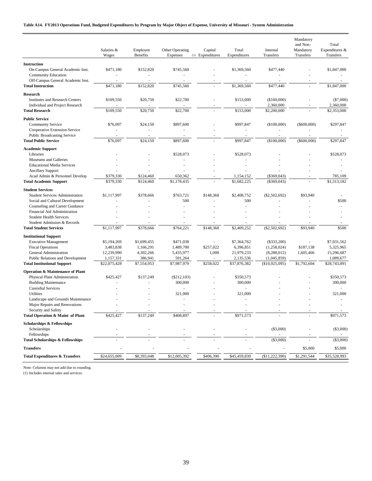|                                                                                  | Salaries &<br>Wages | Employee<br><b>Benefits</b> | Other Operating<br>Expenses | Capital<br>(1) Expenditures | Total<br>Expenditures               | Internal<br>Transfers    | Mandatory<br>and Non-<br>Mandatory<br>Transfers | Total<br>Expenditures &<br>Transfers |
|----------------------------------------------------------------------------------|---------------------|-----------------------------|-----------------------------|-----------------------------|-------------------------------------|--------------------------|-------------------------------------------------|--------------------------------------|
|                                                                                  |                     |                             |                             |                             |                                     |                          |                                                 |                                      |
| <b>Instruction</b><br>On-Campus General Academic Inst.                           | \$471,180           | \$152,820                   | \$745,560                   |                             | \$1,369,560<br>÷,                   | \$477,440                |                                                 | \$1,847,000                          |
| <b>Community Education</b><br>Off-Campus General Academic Inst.                  |                     |                             |                             | $\overline{a}$              | ÷.                                  |                          |                                                 |                                      |
| <b>Total Instruction</b>                                                         | \$471,180           | \$152,820                   | \$745,560                   |                             | \$1,369,560                         | \$477,440                |                                                 | \$1,847,000                          |
| <b>Research</b>                                                                  |                     |                             |                             |                             |                                     |                          |                                                 |                                      |
| <b>Institutes and Research Centers</b><br><b>Individual and Project Research</b> | \$109,550           | \$20,750                    | \$22,700                    |                             | \$153,000                           | (\$160,000)<br>2,360,000 |                                                 | $(\$7,000)$<br>2,360,000             |
| <b>Total Research</b>                                                            | \$109,550           | \$20,750                    | \$22,700                    |                             | \$153,000                           | \$2,200,000              |                                                 | \$2,353,000                          |
| <b>Public Service</b>                                                            |                     |                             |                             |                             |                                     |                          |                                                 |                                      |
| <b>Community Service</b>                                                         | \$76,097            | \$24,150                    | \$897,600                   |                             | \$997,847                           | (\$100,000)              | $(\$600,000)$                                   | \$297,847                            |
| Cooperative Extension Service                                                    |                     |                             | $\sim$                      |                             | $\sim$                              | $\sim$                   |                                                 |                                      |
| <b>Public Broadcasting Service</b>                                               |                     |                             |                             |                             |                                     |                          |                                                 |                                      |
| <b>Total Public Service</b>                                                      | \$76,097            | \$24,150                    | \$897,600                   |                             | \$997,847                           | (\$100,000)              | $(\$600,000)$                                   | \$297,847                            |
| <b>Academic Support</b>                                                          |                     |                             |                             |                             |                                     |                          |                                                 |                                      |
| Libraries<br>Museums and Galleries                                               |                     |                             | \$528,073                   |                             | \$528,073                           |                          |                                                 | \$528,073                            |
| <b>Educational Media Services</b>                                                |                     |                             |                             |                             |                                     |                          |                                                 |                                      |
| <b>Ancillary Support</b>                                                         |                     |                             |                             |                             |                                     |                          |                                                 |                                      |
| Acad Admin & Personnel Develop                                                   | \$379,330           | \$124,460                   | 650,362                     |                             | 1,154,152                           | $(\$369,043)$            |                                                 | 785,109                              |
| <b>Total Academic Support</b>                                                    | \$379,330           | \$124,460                   | \$1,178,435                 |                             | \$1,682,225                         | $(\$369,043)$            |                                                 | \$1,313,182                          |
| <b>Student Services</b>                                                          |                     |                             |                             |                             |                                     |                          |                                                 |                                      |
| <b>Student Services Administration</b>                                           | \$1,117,997         | \$378,666                   | \$763,721                   | \$148,368                   | \$2,408,752                         | (\$2,502,692)            | \$93,940                                        |                                      |
| Social and Cultural Development                                                  |                     |                             | 500                         |                             | 500                                 |                          |                                                 | \$500                                |
| Counseling and Career Guidance                                                   |                     |                             | ÷.                          |                             | ä,                                  |                          |                                                 |                                      |
| Financial Aid Administration                                                     |                     |                             |                             |                             |                                     |                          |                                                 |                                      |
| <b>Student Health Services</b><br>Student Admission & Records                    |                     |                             |                             |                             | ÷,                                  |                          |                                                 |                                      |
| <b>Total Student Services</b>                                                    | \$1,117,997         | \$378,666                   | \$764,221                   | \$148,368                   | \$2,409,252                         | (\$2,502,692)            | \$93,940                                        | \$500                                |
| <b>Institutional Support</b>                                                     |                     |                             |                             |                             |                                     |                          |                                                 |                                      |
| <b>Executive Management</b>                                                      | \$5,194,269         | \$1,699,455                 | \$471,038                   |                             | \$7,364,762                         | $(\$333,200)$            |                                                 | \$7,031,562                          |
| <b>Fiscal Operations</b>                                                         | 3,483,838           | 1,166,291                   | 1,489,700                   | \$257,022                   | 6,396,851                           | (1,258,024)              | \$187,138                                       | 5,325,965                            |
| General Administration                                                           | 12,239,990          | 4,302,266                   | 5,435,977                   | 1,000                       | 21,979,233                          | (8,288,012)              | 1,605,466                                       | 15,296,687                           |
| Public Relations and Development                                                 | 1,157,331           | 386,941                     | 591,264                     |                             | 2,135,536                           | (1,045,859)              |                                                 | 1,089,677                            |
| <b>Total Institutional Support</b>                                               | \$22,075,428        | \$7,554,953                 | \$7,987,979                 | \$258,022                   | \$37,876,382                        | $(\$10,925,095)$         | \$1,792,604                                     | \$28,743,891                         |
| <b>Operation &amp; Maintenance of Plant</b>                                      |                     |                             |                             |                             |                                     |                          |                                                 |                                      |
| Physical Plant Administration                                                    | \$425,427           | \$137,249                   | $(\$212,103)$               |                             | \$350,573                           |                          |                                                 | \$350,573                            |
| <b>Building Maintenance</b>                                                      |                     |                             | 300,000                     |                             | 300,000                             |                          |                                                 | 300,000                              |
| <b>Custodial Services</b><br>Utilities                                           |                     |                             | $\sim$<br>321,000           |                             | $\overline{\phantom{a}}$<br>321,000 |                          |                                                 | 321,000                              |
| Landscape and Grounds Maintenance                                                |                     |                             | $\sim$                      |                             | ÷,                                  |                          |                                                 |                                      |
| Major Repairs and Renovations                                                    |                     |                             |                             |                             |                                     |                          |                                                 |                                      |
| Security and Safety                                                              |                     |                             |                             |                             |                                     |                          |                                                 |                                      |
| Total Operation & Maint of Plant                                                 | \$425,427           | \$137,249                   | \$408,897                   |                             | \$971,573                           |                          |                                                 | \$971,573                            |
| <b>Scholarships &amp; Fellowships</b>                                            |                     |                             |                             |                             |                                     |                          |                                                 |                                      |
| Scholarships                                                                     |                     |                             |                             |                             |                                     | (\$3,000)                |                                                 | $(\$3,000)$                          |
| Fellowships                                                                      |                     |                             |                             |                             |                                     |                          |                                                 |                                      |
| <b>Total Scholarships &amp; Fellowships</b><br><b>Transfers</b>                  |                     |                             |                             |                             |                                     | (\$3,000)                | \$5,000                                         | $(\$3,000)$<br>\$5,000               |
|                                                                                  |                     |                             |                             |                             |                                     |                          |                                                 |                                      |
| <b>Total Expenditures &amp; Transfers</b>                                        | \$24,655,009        | \$8,393,048                 | \$12,005,392                | \$406,390                   | \$45,459,839                        | (\$11,222,390)           | \$1,291,544                                     | \$35,528,993                         |